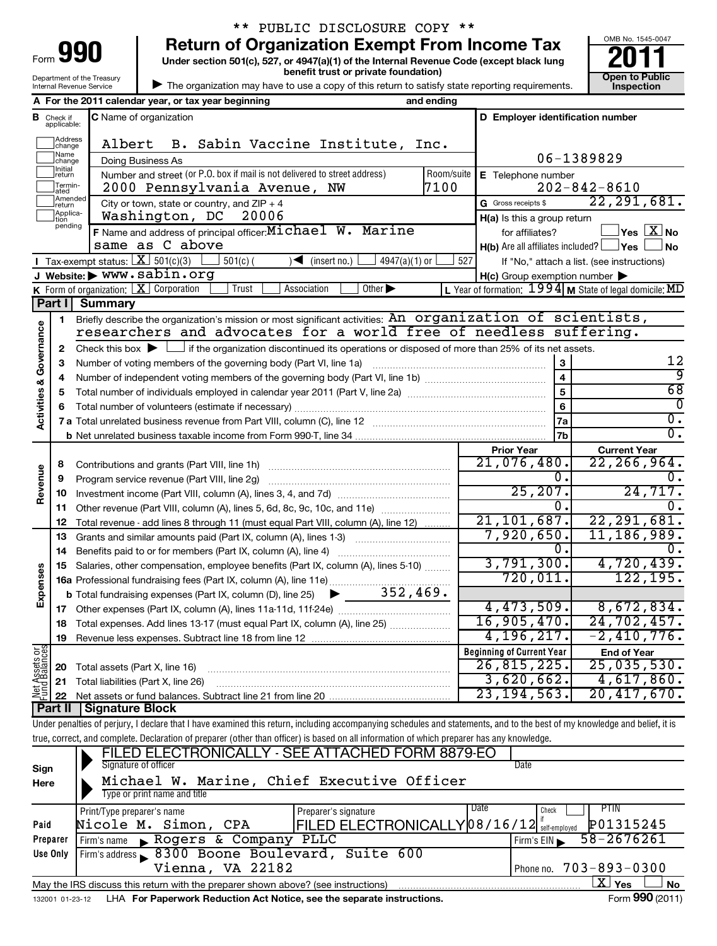| 90<br>Form                 |
|----------------------------|
| Department of the Treasury |
| Internal Revenue Service   |

# \*\* PUBLIC DISCLOSURE COPY \*\*

**Under section 501(c), 527, or 4947(a)(1) of the Internal Revenue Code (except black lung 990** Return of Organization Exempt From Income Tax <br>Under section 501(c), 527, or 4947(a)(1) of the Internal Revenue Code (except black lung **2011** 

**benefit trust or private foundation) Construction Construction Construction Construction** 



| The organization may have to use a copy of this return to satisfy state reporting requirements.

|                                    |                                  | A For the 2011 calendar year, or tax year beginning                                                                                                                        | and ending      |               |                                                     |                                                           |
|------------------------------------|----------------------------------|----------------------------------------------------------------------------------------------------------------------------------------------------------------------------|-----------------|---------------|-----------------------------------------------------|-----------------------------------------------------------|
|                                    | <b>B</b> Check if<br>applicable: | C Name of organization                                                                                                                                                     |                 |               | D Employer identification number                    |                                                           |
|                                    | Address<br> change               | Albert<br>B. Sabin Vaccine Institute, Inc.                                                                                                                                 |                 |               |                                                     |                                                           |
|                                    | Name<br>change                   | Doing Business As                                                                                                                                                          |                 |               |                                                     | 06-1389829                                                |
|                                    | Initial<br>return                | Number and street (or P.O. box if mail is not delivered to street address)                                                                                                 | Room/suite      |               | E Telephone number                                  |                                                           |
|                                    | Termin-<br>ated                  | 2000 Pennsylvania Avenue, NW                                                                                                                                               | 7100            |               |                                                     | $202 - 842 - 8610$                                        |
|                                    | Amended<br>return                | City or town, state or country, and $ZIP + 4$                                                                                                                              | 22, 291, 681.   |               |                                                     |                                                           |
|                                    | Applica-<br>Ition                | Washington, DC<br>20006                                                                                                                                                    |                 |               | H(a) Is this a group return                         |                                                           |
|                                    | pending                          | F Name and address of principal officer: Michael W. Marine                                                                                                                 |                 |               | for affiliates?                                     | $\mathbb{I}$ Yes $\boxed{\text{X}}$ No                    |
|                                    |                                  | same as C above                                                                                                                                                            |                 |               | $H(b)$ Are all affiliates included? $\Box$ Yes      | ∫ No                                                      |
|                                    |                                  | Tax-exempt status: $X \over 301(c)(3)$<br>$501(c)$ (<br>$\sqrt{\frac{1}{1}}$ (insert no.)                                                                                  | $4947(a)(1)$ or | 527           |                                                     | If "No," attach a list. (see instructions)                |
|                                    |                                  | J Website: > WWW.sabin.org                                                                                                                                                 |                 |               | $H(c)$ Group exemption number $\blacktriangleright$ |                                                           |
|                                    |                                  | <b>K</b> Form of organization: $X$ Corporation<br>Trust<br>Other $\blacktriangleright$<br>Association                                                                      |                 |               |                                                     | L Year of formation: $1994$ M State of legal domicile: MD |
|                                    | Part I                           | <b>Summary</b>                                                                                                                                                             |                 |               |                                                     |                                                           |
|                                    | 1                                | Briefly describe the organization's mission or most significant activities: An organization of scientists,                                                                 |                 |               |                                                     |                                                           |
|                                    |                                  | researchers and advocates for a world free of needless suffering.                                                                                                          |                 |               |                                                     |                                                           |
| <b>Activities &amp; Governance</b> | 2                                | Check this box $\blacktriangleright$ $\Box$ if the organization discontinued its operations or disposed of more than 25% of its net assets.                                |                 |               |                                                     | 12                                                        |
|                                    | 3                                |                                                                                                                                                                            |                 |               | 3                                                   | ब्र                                                       |
|                                    | 4                                |                                                                                                                                                                            |                 |               | 5                                                   | $\overline{68}$                                           |
|                                    | 5<br>6                           |                                                                                                                                                                            |                 |               | $6\phantom{a}$                                      | 0                                                         |
|                                    |                                  |                                                                                                                                                                            |                 |               | 7a                                                  | $\overline{0}$ .                                          |
|                                    |                                  |                                                                                                                                                                            |                 |               | 7 <sub>b</sub>                                      | 0.                                                        |
|                                    |                                  |                                                                                                                                                                            |                 |               | <b>Prior Year</b>                                   | <b>Current Year</b>                                       |
|                                    | 8                                |                                                                                                                                                                            |                 |               | 21,076,480.                                         | $\overline{22}$ , 266, 964.                               |
|                                    | 9                                | Program service revenue (Part VIII, line 2g)                                                                                                                               |                 |               | 0.                                                  | υ.                                                        |
| Revenue                            | 10                               |                                                                                                                                                                            |                 | 25, 207.      | 24,717.                                             |                                                           |
|                                    | 11                               | Other revenue (Part VIII, column (A), lines 5, 6d, 8c, 9c, 10c, and 11e)                                                                                                   |                 |               | 0.                                                  |                                                           |
|                                    | 12                               | Total revenue - add lines 8 through 11 (must equal Part VIII, column (A), line 12)                                                                                         | 21, 101, 687.   | 22, 291, 681. |                                                     |                                                           |
|                                    | 13                               | Grants and similar amounts paid (Part IX, column (A), lines 1-3) <i></i>                                                                                                   |                 |               | 7,920,650.                                          | 11, 186, 989.                                             |
|                                    | 14                               |                                                                                                                                                                            |                 |               | 0.                                                  |                                                           |
|                                    | 15                               | Salaries, other compensation, employee benefits (Part IX, column (A), lines 5-10)                                                                                          |                 |               | 3,791,300.                                          | 4,720,439.                                                |
| Expenses                           |                                  | 16a Professional fundraising fees (Part IX, column (A), line 11e)                                                                                                          |                 |               | 720,011.                                            | 122, 195.                                                 |
|                                    |                                  | 352, 469.<br><b>b</b> Total fundraising expenses (Part IX, column (D), line 25) $\blacktriangleright$                                                                      |                 |               | 4,473,509.                                          | 8,672,834.                                                |
|                                    | 17                               |                                                                                                                                                                            |                 |               | 16,905,470.                                         | 24, 702, 457.                                             |
|                                    |                                  | 18 Total expenses. Add lines 13-17 (must equal Part IX, column (A), line 25)<br>Revenue less expenses. Subtract line 18 from line 12                                       |                 |               | 4, 196, 217.                                        | $-2,410,776.$                                             |
|                                    | 19                               |                                                                                                                                                                            |                 |               | <b>Beginning of Current Year</b>                    | <b>End of Year</b>                                        |
|                                    | 20                               | Total assets (Part X, line 16)                                                                                                                                             |                 |               | 26,815,225.                                         | 25,035,530.                                               |
|                                    | 21                               | Total liabilities (Part X, line 26)                                                                                                                                        |                 |               | 3,620,662.                                          | 4,617,860.                                                |
| Net Assets or                      | 22                               |                                                                                                                                                                            |                 |               | 23, 194, 563.                                       | 20,417,670.                                               |
|                                    | Part II                          | <b>Signature Block</b>                                                                                                                                                     |                 |               |                                                     |                                                           |
|                                    |                                  | Under penalties of perjury, I declare that I have examined this return, including accompanying schedules and statements, and to the best of my knowledge and belief, it is |                 |               |                                                     |                                                           |
|                                    |                                  | true, correct, and complete. Declaration of preparer (other than officer) is based on all information of which preparer has any knowledge.                                 |                 |               |                                                     |                                                           |
|                                    |                                  | FILED ELECTRONICALLY - SEE ATTACHED FORM 8879-EO                                                                                                                           |                 |               |                                                     |                                                           |
| Sign                               |                                  | Signature of officer                                                                                                                                                       |                 |               | Date                                                |                                                           |
| Here                               |                                  | Michael W. Marine, Chief Executive Officer<br>Type or print name and title                                                                                                 |                 |               |                                                     |                                                           |
|                                    |                                  |                                                                                                                                                                            |                 |               | Date                                                | PTIN                                                      |
| Paid                               |                                  | Preparer's signature<br>Print/Type preparer's name<br>FILED ELECTRONICALLY 08/16/12 self-employed<br>Nicole M. Simon, CPA                                                  |                 |               | Check                                               | P01315245                                                 |
|                                    | Preparer                         | Rogers & Company PLLC<br>Firm's name                                                                                                                                       |                 |               |                                                     | 58-2676261                                                |
|                                    | Use Only                         | Firm's address 6300 Boone Boulevard, Suite 600                                                                                                                             |                 |               | Firm's $EIN$                                        |                                                           |
|                                    |                                  | Vienna, VA 22182                                                                                                                                                           |                 |               | Phone no.                                           | $703 - 893 - 0300$                                        |
|                                    |                                  | May the IRS discuss this return with the preparer shown above? (see instructions)                                                                                          |                 |               |                                                     | $\boxed{\text{X}}$ Yes<br>No                              |

132001 01-23-12 LHA For Paperwork Reduction Act Notice, see the separate instructions. Form 990 (2011)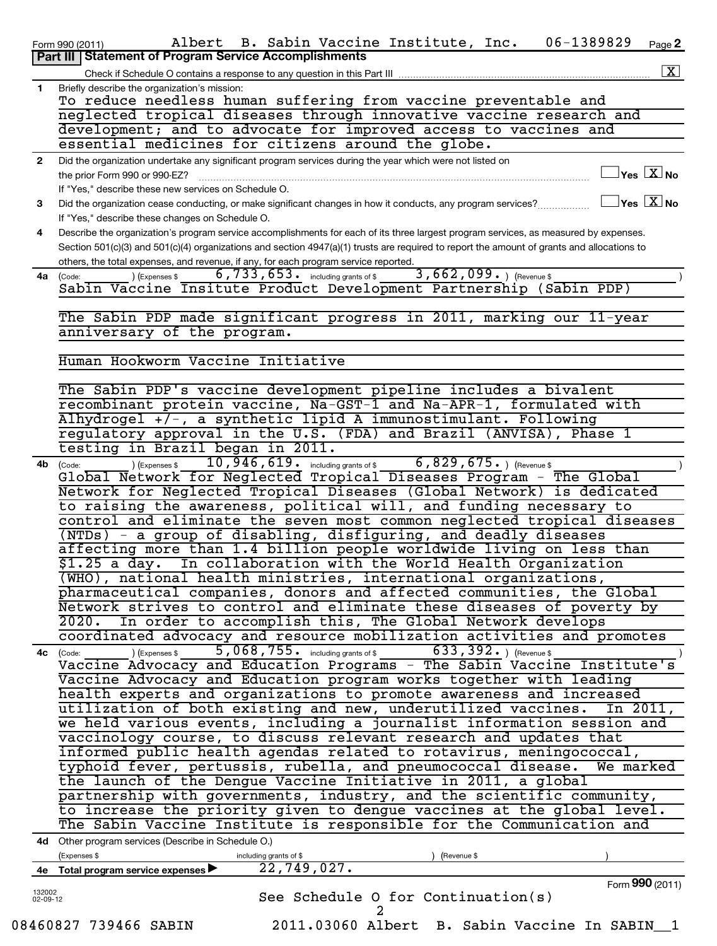|                    | 06-1389829<br>Albert B. Sabin Vaccine Institute, Inc.<br>Page 2<br>Form 990 (2011)                                                                                                                                                                                                 |
|--------------------|------------------------------------------------------------------------------------------------------------------------------------------------------------------------------------------------------------------------------------------------------------------------------------|
|                    | Part III   Statement of Program Service Accomplishments<br>$\boxed{\text{X}}$                                                                                                                                                                                                      |
| 1                  | Check if Schedule O contains a response to any question in this Part III<br>Briefly describe the organization's mission:                                                                                                                                                           |
|                    | To reduce needless human suffering from vaccine preventable and                                                                                                                                                                                                                    |
|                    | neglected tropical diseases through innovative vaccine research and                                                                                                                                                                                                                |
|                    | development; and to advocate for improved access to vaccines and                                                                                                                                                                                                                   |
|                    | essential medicines for citizens around the globe.                                                                                                                                                                                                                                 |
| $\mathbf{2}$       | Did the organization undertake any significant program services during the year which were not listed on                                                                                                                                                                           |
|                    | $\exists$ Yes $\boxed{\text{X}}$ No<br>the prior Form 990 or 990-EZ?                                                                                                                                                                                                               |
|                    | If "Yes," describe these new services on Schedule O.                                                                                                                                                                                                                               |
| 3                  | $\Box$ Yes $[\,\mathbf{X}\,]$ No<br>Did the organization cease conducting, or make significant changes in how it conducts, any program services?                                                                                                                                   |
|                    | If "Yes," describe these changes on Schedule O.                                                                                                                                                                                                                                    |
| 4                  | Describe the organization's program service accomplishments for each of its three largest program services, as measured by expenses.<br>Section 501(c)(3) and 501(c)(4) organizations and section 4947(a)(1) trusts are required to report the amount of grants and allocations to |
|                    | others, the total expenses, and revenue, if any, for each program service reported.                                                                                                                                                                                                |
| 4a                 | $3,662,099.$ (Revenue \$)<br>$6, 733, 653$ $\cdot$ including grants of \$<br>) (Expenses \$<br>(Code:                                                                                                                                                                              |
|                    | Sabin Vaccine Insitute Product Development Partnership (Sabin PDP)                                                                                                                                                                                                                 |
|                    |                                                                                                                                                                                                                                                                                    |
|                    | The Sabin PDP made significant progress in 2011, marking our 11-year                                                                                                                                                                                                               |
|                    | anniversary of the program.                                                                                                                                                                                                                                                        |
|                    |                                                                                                                                                                                                                                                                                    |
|                    | Human Hookworm Vaccine Initiative                                                                                                                                                                                                                                                  |
|                    |                                                                                                                                                                                                                                                                                    |
|                    | The Sabin PDP's vaccine development pipeline includes a bivalent<br>recombinant protein vaccine, Na-GST-1 and Na-APR-1, formulated with                                                                                                                                            |
|                    | Alhydrogel +/-, a synthetic lipid A immunostimulant. Following                                                                                                                                                                                                                     |
|                    | regulatory approval in the U.S. (FDA) and Brazil (ANVISA), Phase 1                                                                                                                                                                                                                 |
|                    | testing in Brazil began in 2011.                                                                                                                                                                                                                                                   |
| 4b                 | $10,946,619$ $\cdot$ including grants of \$<br>$6,829,675.$ (Revenue \$)<br>) (Expenses \$<br>(Code:                                                                                                                                                                               |
|                    | Global Network for Neglected Tropical Diseases Program - The Global                                                                                                                                                                                                                |
|                    | Network for Neglected Tropical Diseases (Global Network) is dedicated                                                                                                                                                                                                              |
|                    | to raising the awareness, political will, and funding necessary to                                                                                                                                                                                                                 |
|                    | control and eliminate the seven most common neglected tropical diseases                                                                                                                                                                                                            |
|                    | (NTDs) - a group of disabling, disfiguring, and deadly diseases                                                                                                                                                                                                                    |
|                    | affecting more than 1.4 billion people worldwide living on less than                                                                                                                                                                                                               |
|                    | In collaboration with the World Health Organization<br>\$1.25 a day.                                                                                                                                                                                                               |
|                    | (WHO), national health ministries, international organizations,                                                                                                                                                                                                                    |
|                    | pharmaceutical companies, donors and affected communities, the Global                                                                                                                                                                                                              |
|                    | Network strives to control and eliminate these diseases of poverty by<br>In order to accomplish this, The Global Network develops<br>2020.                                                                                                                                         |
|                    | coordinated advocacy and resource mobilization activities and promotes                                                                                                                                                                                                             |
|                    | 5,068,755. including grants of \$633,392. $($ Revenue \$<br>(Expenses \$<br>4c (Code:                                                                                                                                                                                              |
|                    | Vaccine Advocacy and Education Programs - The Sabin Vaccine Institute's                                                                                                                                                                                                            |
|                    | Vaccine Advocacy and Education program works together with leading                                                                                                                                                                                                                 |
|                    | health experts and organizations to promote awareness and increased                                                                                                                                                                                                                |
|                    | utilization of both existing and new, underutilized vaccines.<br>In 2011,                                                                                                                                                                                                          |
|                    | we held various events, including a journalist information session and                                                                                                                                                                                                             |
|                    | vaccinology course, to discuss relevant research and updates that                                                                                                                                                                                                                  |
|                    | informed public health agendas related to rotavirus, meningococcal,                                                                                                                                                                                                                |
|                    | typhoid fever, pertussis, rubella, and pneumococcal disease.<br>We marked                                                                                                                                                                                                          |
|                    | the launch of the Dengue Vaccine Initiative in 2011, a global                                                                                                                                                                                                                      |
|                    | partnership with governments, industry, and the scientific community,                                                                                                                                                                                                              |
|                    | to increase the priority given to dengue vaccines at the global level.                                                                                                                                                                                                             |
|                    | The Sabin Vaccine Institute is responsible for the Communication and                                                                                                                                                                                                               |
|                    | 4d Other program services (Describe in Schedule O.)                                                                                                                                                                                                                                |
|                    | (Expenses \$<br>including grants of \$<br>(Revenue \$                                                                                                                                                                                                                              |
|                    | 22,749,027.<br>4e Total program service expenses                                                                                                                                                                                                                                   |
|                    | Form 990 (2011)                                                                                                                                                                                                                                                                    |
| 132002<br>02-09-12 | See Schedule O for Continuation(s)                                                                                                                                                                                                                                                 |
|                    | 08460827 739466 SABIN<br>2011.03060 Albert B. Sabin Vaccine In SABIN 1                                                                                                                                                                                                             |
|                    |                                                                                                                                                                                                                                                                                    |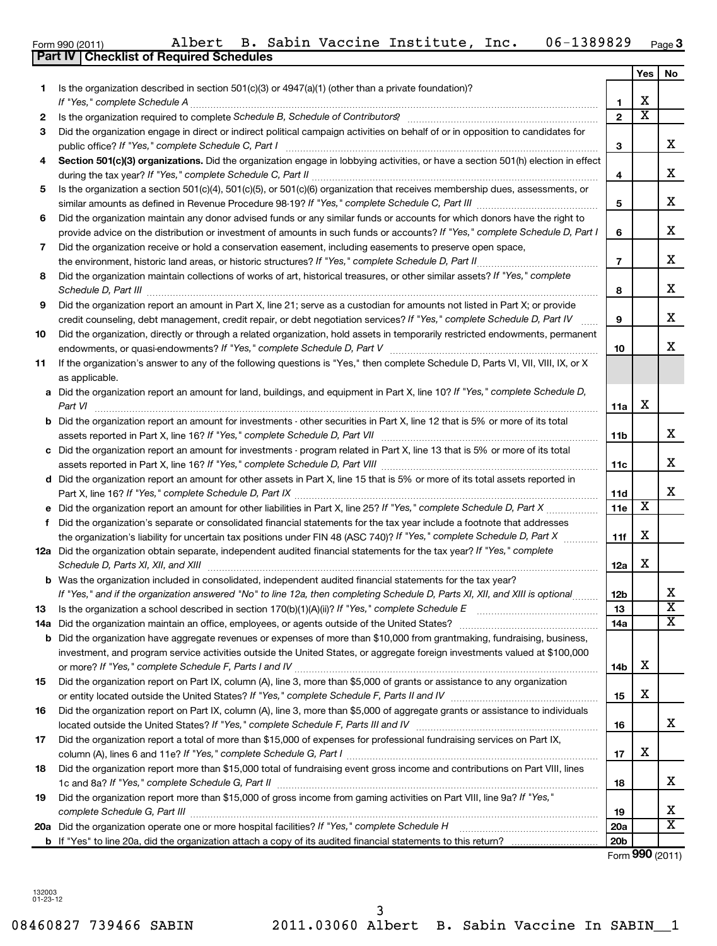**17**

**18**

**19**

|    |                                                                                                                                                                                                                                     |                | Yes                     | No                      |
|----|-------------------------------------------------------------------------------------------------------------------------------------------------------------------------------------------------------------------------------------|----------------|-------------------------|-------------------------|
| 1  | Is the organization described in section 501(c)(3) or 4947(a)(1) (other than a private foundation)?                                                                                                                                 |                |                         |                         |
|    |                                                                                                                                                                                                                                     | $\mathbf{1}$   | х                       |                         |
| 2  |                                                                                                                                                                                                                                     | $\mathbf{2}$   | $\overline{\mathbf{X}}$ |                         |
| 3  | Did the organization engage in direct or indirect political campaign activities on behalf of or in opposition to candidates for                                                                                                     |                |                         |                         |
|    |                                                                                                                                                                                                                                     | 3              |                         | x                       |
| 4  | Section 501(c)(3) organizations. Did the organization engage in lobbying activities, or have a section 501(h) election in effect                                                                                                    |                |                         | х                       |
|    | Is the organization a section 501(c)(4), 501(c)(5), or 501(c)(6) organization that receives membership dues, assessments, or                                                                                                        | 4              |                         |                         |
| 5  |                                                                                                                                                                                                                                     | 5              |                         | х                       |
| 6  | Did the organization maintain any donor advised funds or any similar funds or accounts for which donors have the right to                                                                                                           |                |                         |                         |
|    | provide advice on the distribution or investment of amounts in such funds or accounts? If "Yes," complete Schedule D, Part I                                                                                                        | 6              |                         | х                       |
| 7  | Did the organization receive or hold a conservation easement, including easements to preserve open space,                                                                                                                           |                |                         |                         |
|    |                                                                                                                                                                                                                                     | $\overline{7}$ |                         | х                       |
| 8  | Did the organization maintain collections of works of art, historical treasures, or other similar assets? If "Yes," complete                                                                                                        |                |                         |                         |
|    | Schedule D, Part III <b>Marting Community</b> Contact and Technical Contact and Technical Community Contact and Technical Community Contact and Technical Community Contact and Technical Community Contact and Technical Community | 8              |                         | х                       |
| 9  | Did the organization report an amount in Part X, line 21; serve as a custodian for amounts not listed in Part X; or provide                                                                                                         |                |                         |                         |
|    | credit counseling, debt management, credit repair, or debt negotiation services? If "Yes," complete Schedule D, Part IV                                                                                                             | 9              |                         | х                       |
| 10 | Did the organization, directly or through a related organization, hold assets in temporarily restricted endowments, permanent                                                                                                       |                |                         |                         |
|    |                                                                                                                                                                                                                                     | 10             |                         | х                       |
| 11 | If the organization's answer to any of the following questions is "Yes," then complete Schedule D, Parts VI, VII, VIII, IX, or X                                                                                                    |                |                         |                         |
|    | as applicable.                                                                                                                                                                                                                      |                |                         |                         |
|    | a Did the organization report an amount for land, buildings, and equipment in Part X, line 10? If "Yes," complete Schedule D,                                                                                                       |                |                         |                         |
|    | Part VI                                                                                                                                                                                                                             | 11a            | Х                       |                         |
|    | <b>b</b> Did the organization report an amount for investments - other securities in Part X, line 12 that is 5% or more of its total                                                                                                |                |                         |                         |
|    |                                                                                                                                                                                                                                     | 11b            |                         | x                       |
|    | c Did the organization report an amount for investments - program related in Part X, line 13 that is 5% or more of its total                                                                                                        |                |                         |                         |
|    |                                                                                                                                                                                                                                     | 11c            |                         | x                       |
|    | d Did the organization report an amount for other assets in Part X, line 15 that is 5% or more of its total assets reported in                                                                                                      |                |                         |                         |
|    |                                                                                                                                                                                                                                     | 11d            |                         | х                       |
|    |                                                                                                                                                                                                                                     | 11e            | х                       |                         |
| f. | Did the organization's separate or consolidated financial statements for the tax year include a footnote that addresses                                                                                                             |                |                         |                         |
|    | the organization's liability for uncertain tax positions under FIN 48 (ASC 740)? If "Yes," complete Schedule D, Part X                                                                                                              | 11f            | Х                       |                         |
|    | 12a Did the organization obtain separate, independent audited financial statements for the tax year? If "Yes," complete                                                                                                             |                |                         |                         |
|    | Schedule D, Parts XI, XII, and XIII                                                                                                                                                                                                 | 12a            | X.                      |                         |
|    | <b>b</b> Was the organization included in consolidated, independent audited financial statements for the tax year?                                                                                                                  |                |                         |                         |
|    | If "Yes," and if the organization answered "No" to line 12a, then completing Schedule D, Parts XI, XII, and XIII is optional                                                                                                        | 12b            |                         | х                       |
| 13 |                                                                                                                                                                                                                                     | 13             |                         | $\overline{\text{x}}$   |
|    |                                                                                                                                                                                                                                     | 14a            |                         | $\overline{\textbf{x}}$ |
|    | <b>b</b> Did the organization have aggregate revenues or expenses of more than \$10,000 from grantmaking, fundraising, business,                                                                                                    |                |                         |                         |
|    | investment, and program service activities outside the United States, or aggregate foreign investments valued at \$100,000                                                                                                          |                |                         |                         |
|    |                                                                                                                                                                                                                                     | 14b            | х                       |                         |
| 15 | Did the organization report on Part IX, column (A), line 3, more than \$5,000 of grants or assistance to any organization                                                                                                           |                |                         |                         |
|    |                                                                                                                                                                                                                                     | 15             | X                       |                         |
| 16 | Did the organization report on Part IX, column (A), line 3, more than \$5,000 of aggregate grants or assistance to individuals                                                                                                      |                |                         |                         |
|    | located outside the United States? If "Yes," complete Schedule F, Parts III and IV                                                                                                                                                  | 16             |                         | x                       |

**20 a** *If "Yes," complete Schedule H* Did the organization operate one or more hospital facilities? ~~~~~~~~~~~~~~~~

Did the organization report more than \$15,000 of gross income from gaming activities on Part VIII, line 9a? If "Yes,"

Did the organization report a total of more than \$15,000 of expenses for professional fundraising services on Part IX,

**b** If "Yes" to line 20a, did the organization attach a copy of its audited financial statements to this return?

*If "Yes," complete Schedule G, Part I* column (A), lines 6 and 11e? ~~~~~~~~~~~~~~~~~~~~~~~~~~~~~

Did the organization report more than \$15,000 total of fundraising event gross income and contributions on Part VIII, lines

1c and 8a? If "Yes," complete Schedule G, *Part II <sub>………………………………………………………………………………*…………</sub>

*complete Schedule G, Part III* ~~~~~~~~~~~~~~~~~~~~~~~~~~~~~~~~~~~~~~~~~~~~~~~

Form (2011) **990**

**17**

X

X

X  $\overline{\mathtt{x}}$ 

**18**

**19 20a 20b**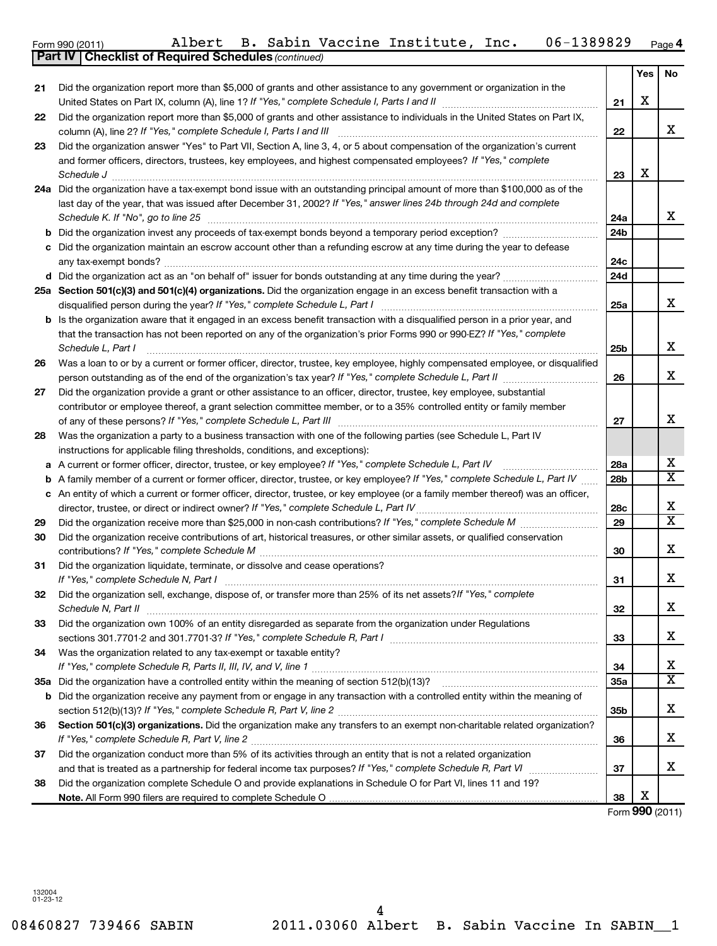|     | <b>Part IV   Checklist of Required Schedules (continued)</b>                                                                    |                 |     |                               |
|-----|---------------------------------------------------------------------------------------------------------------------------------|-----------------|-----|-------------------------------|
|     |                                                                                                                                 |                 | Yes | No.                           |
| 21  | Did the organization report more than \$5,000 of grants and other assistance to any government or organization in the           |                 |     |                               |
|     |                                                                                                                                 | 21              | х   |                               |
| 22  | Did the organization report more than \$5,000 of grants and other assistance to individuals in the United States on Part IX,    |                 |     |                               |
|     | column (A), line 2? If "Yes," complete Schedule I, Parts I and III                                                              | 22              |     | X.                            |
| 23  | Did the organization answer "Yes" to Part VII, Section A, line 3, 4, or 5 about compensation of the organization's current      |                 |     |                               |
|     | and former officers, directors, trustees, key employees, and highest compensated employees? If "Yes," complete                  |                 |     |                               |
|     | Schedule J                                                                                                                      | 23              | x   |                               |
| 24a | Did the organization have a tax-exempt bond issue with an outstanding principal amount of more than \$100,000 as of the         |                 |     |                               |
|     | last day of the year, that was issued after December 31, 2002? If "Yes," answer lines 24b through 24d and complete              |                 |     |                               |
|     | Schedule K. If "No", go to line 25                                                                                              | 24a             |     | X.                            |
|     |                                                                                                                                 | 24 <sub>b</sub> |     |                               |
| b   |                                                                                                                                 |                 |     |                               |
|     | Did the organization maintain an escrow account other than a refunding escrow at any time during the year to defease            |                 |     |                               |
|     | any tax-exempt bonds?                                                                                                           | 24c             |     |                               |
| d   |                                                                                                                                 | 24d             |     |                               |
|     | 25a Section 501(c)(3) and 501(c)(4) organizations. Did the organization engage in an excess benefit transaction with a          |                 |     |                               |
|     | disqualified person during the year? If "Yes," complete Schedule L, Part I                                                      | 25a             |     | x                             |
| b   | Is the organization aware that it engaged in an excess benefit transaction with a disqualified person in a prior year, and      |                 |     |                               |
|     | that the transaction has not been reported on any of the organization's prior Forms 990 or 990-EZ? If "Yes," complete           |                 |     |                               |
|     | Schedule L, Part I                                                                                                              | 25b             |     | x                             |
| 26  | Was a loan to or by a current or former officer, director, trustee, key employee, highly compensated employee, or disqualified  |                 |     |                               |
|     | person outstanding as of the end of the organization's tax year? If "Yes," complete Schedule L, Part II                         | 26              |     | x                             |
| 27  | Did the organization provide a grant or other assistance to an officer, director, trustee, key employee, substantial            |                 |     |                               |
|     | contributor or employee thereof, a grant selection committee member, or to a 35% controlled entity or family member             |                 |     |                               |
|     | of any of these persons? If "Yes," complete Schedule L, Part III                                                                | 27              |     | X.                            |
| 28  | Was the organization a party to a business transaction with one of the following parties (see Schedule L, Part IV               |                 |     |                               |
|     | instructions for applicable filing thresholds, conditions, and exceptions):                                                     |                 |     |                               |
| а   | A current or former officer, director, trustee, or key employee? If "Yes," complete Schedule L, Part IV                         | 28a             |     | x                             |
| b   | A family member of a current or former officer, director, trustee, or key employee? If "Yes," complete Schedule L, Part IV      | 28 <sub>b</sub> |     | $\overline{\mathbf{x}}$       |
| с   | An entity of which a current or former officer, director, trustee, or key employee (or a family member thereof) was an officer, |                 |     |                               |
|     | director, trustee, or direct or indirect owner? If "Yes," complete Schedule L, Part IV                                          | 28c             |     | x                             |
| 29  |                                                                                                                                 | 29              |     | $\overline{\mathtt{x}}$       |
| 30  | Did the organization receive contributions of art, historical treasures, or other similar assets, or qualified conservation     |                 |     |                               |
|     | contributions? If "Yes," complete Schedule M                                                                                    | 30              |     | x                             |
| 31  | Did the organization liquidate, terminate, or dissolve and cease operations?                                                    |                 |     |                               |
|     | If "Yes," complete Schedule N, Part I                                                                                           | 31              |     | X.                            |
| 32  | Did the organization sell, exchange, dispose of, or transfer more than 25% of its net assets? If "Yes," complete                |                 |     |                               |
|     | Schedule N, Part II                                                                                                             |                 |     | x                             |
|     | Did the organization own 100% of an entity disregarded as separate from the organization under Regulations                      | 32              |     |                               |
| 33  |                                                                                                                                 |                 |     | X.                            |
|     |                                                                                                                                 | 33              |     |                               |
| 34  | Was the organization related to any tax-exempt or taxable entity?                                                               |                 |     |                               |
|     |                                                                                                                                 | 34              |     | x.<br>$\overline{\mathbf{x}}$ |
| 35а | Did the organization have a controlled entity within the meaning of section 512(b)(13)?                                         | 35a             |     |                               |
| b   | Did the organization receive any payment from or engage in any transaction with a controlled entity within the meaning of       |                 |     |                               |
|     |                                                                                                                                 | 35b             |     | x                             |
| 36  | Section 501(c)(3) organizations. Did the organization make any transfers to an exempt non-charitable related organization?      |                 |     |                               |
|     |                                                                                                                                 | 36              |     | x                             |
| 37  | Did the organization conduct more than 5% of its activities through an entity that is not a related organization                |                 |     |                               |
|     | and that is treated as a partnership for federal income tax purposes? If "Yes," complete Schedule R, Part VI mummum             | 37              |     | X.                            |
| 38  | Did the organization complete Schedule O and provide explanations in Schedule O for Part VI, lines 11 and 19?                   |                 |     |                               |
|     |                                                                                                                                 | 38              | x   |                               |
|     |                                                                                                                                 | Form 990 (2011) |     |                               |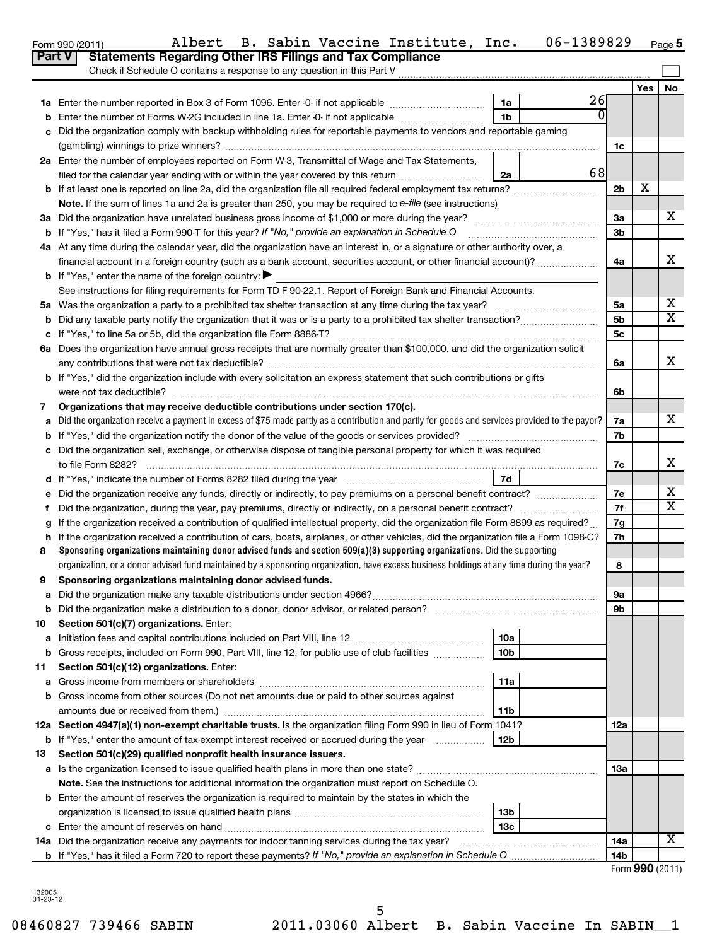|                                                                                                           | Check if Schedule O contains a response to any question in this Part V                                                                                |                 |    |                 |     |                            |  |  |  |  |
|-----------------------------------------------------------------------------------------------------------|-------------------------------------------------------------------------------------------------------------------------------------------------------|-----------------|----|-----------------|-----|----------------------------|--|--|--|--|
|                                                                                                           |                                                                                                                                                       |                 |    |                 | Yes | No                         |  |  |  |  |
|                                                                                                           |                                                                                                                                                       | 1a              | 26 |                 |     |                            |  |  |  |  |
| b                                                                                                         | 0<br>1 <sub>b</sub><br>Enter the number of Forms W-2G included in line 1a. Enter -0- if not applicable                                                |                 |    |                 |     |                            |  |  |  |  |
| c                                                                                                         | Did the organization comply with backup withholding rules for reportable payments to vendors and reportable gaming                                    |                 |    |                 |     |                            |  |  |  |  |
|                                                                                                           |                                                                                                                                                       |                 |    |                 |     |                            |  |  |  |  |
|                                                                                                           | 2a Enter the number of employees reported on Form W-3, Transmittal of Wage and Tax Statements,                                                        |                 |    |                 |     |                            |  |  |  |  |
|                                                                                                           | filed for the calendar year ending with or within the year covered by this return <i>[[[[[[[[[[[[[[]]]]</i> ]]                                        | 2a              | 68 |                 |     |                            |  |  |  |  |
|                                                                                                           |                                                                                                                                                       |                 |    |                 |     |                            |  |  |  |  |
|                                                                                                           | Note. If the sum of lines 1a and 2a is greater than 250, you may be required to e-file (see instructions)                                             |                 |    |                 |     |                            |  |  |  |  |
|                                                                                                           |                                                                                                                                                       |                 |    | За              |     | x                          |  |  |  |  |
|                                                                                                           | <b>b</b> If "Yes," has it filed a Form 990-T for this year? If "No," provide an explanation in Schedule O                                             |                 |    | 3b              |     |                            |  |  |  |  |
|                                                                                                           | 4a At any time during the calendar year, did the organization have an interest in, or a signature or other authority over, a                          |                 |    |                 |     |                            |  |  |  |  |
|                                                                                                           | financial account in a foreign country (such as a bank account, securities account, or other financial account)?                                      |                 |    | 4a              |     | X                          |  |  |  |  |
|                                                                                                           | <b>b</b> If "Yes," enter the name of the foreign country:                                                                                             |                 |    |                 |     |                            |  |  |  |  |
|                                                                                                           | See instructions for filing requirements for Form TD F 90-22.1, Report of Foreign Bank and Financial Accounts.                                        |                 |    |                 |     |                            |  |  |  |  |
|                                                                                                           |                                                                                                                                                       |                 |    | 5a              |     | х                          |  |  |  |  |
|                                                                                                           |                                                                                                                                                       |                 |    | 5b              |     | $\overline{\textbf{x}}$    |  |  |  |  |
|                                                                                                           |                                                                                                                                                       |                 |    | 5c              |     |                            |  |  |  |  |
|                                                                                                           | 6a Does the organization have annual gross receipts that are normally greater than \$100,000, and did the organization solicit                        |                 |    |                 |     |                            |  |  |  |  |
|                                                                                                           |                                                                                                                                                       |                 |    | 6a              |     | X                          |  |  |  |  |
|                                                                                                           | b If "Yes," did the organization include with every solicitation an express statement that such contributions or gifts                                |                 |    |                 |     |                            |  |  |  |  |
|                                                                                                           | were not tax deductible?                                                                                                                              |                 |    | 6b              |     |                            |  |  |  |  |
| 7                                                                                                         | Organizations that may receive deductible contributions under section 170(c).                                                                         |                 |    | 7a              |     | x                          |  |  |  |  |
|                                                                                                           | Did the organization receive a payment in excess of \$75 made partly as a contribution and partly for goods and services provided to the payor?<br>a  |                 |    |                 |     |                            |  |  |  |  |
|                                                                                                           |                                                                                                                                                       |                 |    |                 |     |                            |  |  |  |  |
|                                                                                                           | c Did the organization sell, exchange, or otherwise dispose of tangible personal property for which it was required                                   |                 |    |                 |     |                            |  |  |  |  |
|                                                                                                           | 7d<br>d If "Yes," indicate the number of Forms 8282 filed during the year <i>manumerane containerance</i>                                             |                 |    |                 |     |                            |  |  |  |  |
|                                                                                                           | e Did the organization receive any funds, directly or indirectly, to pay premiums on a personal benefit contract?                                     |                 |    |                 |     |                            |  |  |  |  |
| f                                                                                                         |                                                                                                                                                       |                 |    | 7e<br>7f        |     | х<br>$\overline{\text{x}}$ |  |  |  |  |
|                                                                                                           | g If the organization received a contribution of qualified intellectual property, did the organization file Form 8899 as required?                    |                 |    | 7g              |     |                            |  |  |  |  |
|                                                                                                           | h If the organization received a contribution of cars, boats, airplanes, or other vehicles, did the organization file a Form 1098-C?                  |                 |    | 7h              |     |                            |  |  |  |  |
| 8                                                                                                         | Sponsoring organizations maintaining donor advised funds and section $509(a)(3)$ supporting organizations. Did the supporting                         |                 |    |                 |     |                            |  |  |  |  |
|                                                                                                           | organization, or a donor advised fund maintained by a sponsoring organization, have excess business holdings at any time during the year?             |                 |    | 8               |     |                            |  |  |  |  |
| 9                                                                                                         | Sponsoring organizations maintaining donor advised funds.                                                                                             |                 |    |                 |     |                            |  |  |  |  |
|                                                                                                           |                                                                                                                                                       |                 |    | 9а              |     |                            |  |  |  |  |
| b                                                                                                         |                                                                                                                                                       |                 |    | 9b              |     |                            |  |  |  |  |
| 10                                                                                                        | Section 501(c)(7) organizations. Enter:                                                                                                               |                 |    |                 |     |                            |  |  |  |  |
| а                                                                                                         | Initiation fees and capital contributions included on Part VIII, line 12                                                                              | 10a             |    |                 |     |                            |  |  |  |  |
| b                                                                                                         | Gross receipts, included on Form 990, Part VIII, line 12, for public use of club facilities                                                           | 10 <sub>b</sub> |    |                 |     |                            |  |  |  |  |
| 11                                                                                                        | Section 501(c)(12) organizations. Enter:                                                                                                              |                 |    |                 |     |                            |  |  |  |  |
| а                                                                                                         |                                                                                                                                                       | 11a             |    |                 |     |                            |  |  |  |  |
|                                                                                                           | Gross income from other sources (Do not net amounts due or paid to other sources against                                                              |                 |    |                 |     |                            |  |  |  |  |
|                                                                                                           | amounts due or received from them.)<br>12a Section 4947(a)(1) non-exempt charitable trusts. Is the organization filing Form 990 in lieu of Form 1041? | 11b             |    |                 |     |                            |  |  |  |  |
|                                                                                                           |                                                                                                                                                       |                 |    | 12a             |     |                            |  |  |  |  |
| 13                                                                                                        | <b>b</b> If "Yes," enter the amount of tax-exempt interest received or accrued during the year<br>12b                                                 |                 |    |                 |     |                            |  |  |  |  |
|                                                                                                           | Section 501(c)(29) qualified nonprofit health insurance issuers.                                                                                      |                 |    | 13а             |     |                            |  |  |  |  |
|                                                                                                           | Note. See the instructions for additional information the organization must report on Schedule O.                                                     |                 |    |                 |     |                            |  |  |  |  |
| <b>b</b> Enter the amount of reserves the organization is required to maintain by the states in which the |                                                                                                                                                       |                 |    |                 |     |                            |  |  |  |  |
|                                                                                                           |                                                                                                                                                       | 13 <sub>b</sub> |    |                 |     |                            |  |  |  |  |
|                                                                                                           |                                                                                                                                                       | 13с             |    |                 |     |                            |  |  |  |  |
|                                                                                                           | 14a Did the organization receive any payments for indoor tanning services during the tax year?                                                        |                 |    | 14a             |     | x                          |  |  |  |  |
|                                                                                                           |                                                                                                                                                       |                 |    | 14 <sub>b</sub> |     |                            |  |  |  |  |

08460827 739466 SABIN 2011.03060 Albert B. Sabin Vaccine In SABIN\_\_1 5

**5**

| Form 990 (2011) |  |  |
|-----------------|--|--|
|                 |  |  |
|                 |  |  |

### Form 990 (2011) Albert B. Sabin Vaccine Institute, Inc. 06-1389829 page **Part V** Statements Regarding Other IRS Filings and Tax Compliance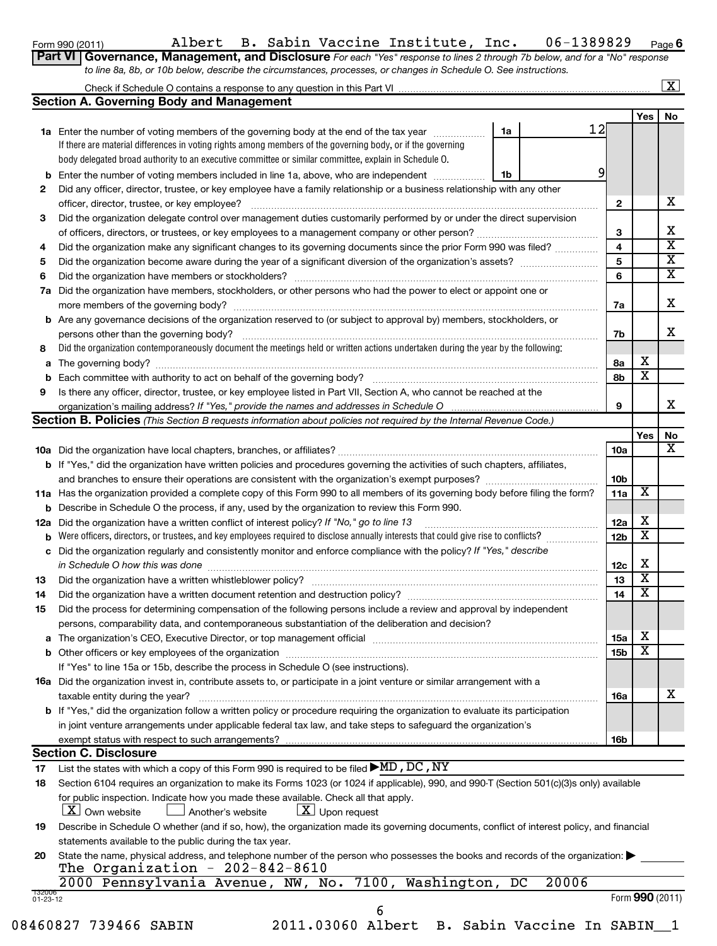**6**

| Form 990 (2011)                                                                                                                    |  |  |  |  | Albert B. Sabin Vaccine Institute, Inc. |  | 06-1389829 | Pag |  |  |
|------------------------------------------------------------------------------------------------------------------------------------|--|--|--|--|-----------------------------------------|--|------------|-----|--|--|
| <b>Part VI Governance, Management, and Disclosure</b> For each "Yes" response to lines 2 through 7b below, and for a "No" response |  |  |  |  |                                         |  |            |     |  |  |
| to line 8a, 8b, or 10b below, describe the circumstances, processes, or changes in Schedule O. See instructions.                   |  |  |  |  |                                         |  |            |     |  |  |

# Check if Schedule O contains a response to any question in this Part VI

|                    | <b>Section A. Governing Body and Management</b>                                                                                                                                            |    |             |                 |     |                 |  |  |  |  |  |
|--------------------|--------------------------------------------------------------------------------------------------------------------------------------------------------------------------------------------|----|-------------|-----------------|-----|-----------------|--|--|--|--|--|
|                    |                                                                                                                                                                                            |    |             |                 | Yes | No              |  |  |  |  |  |
|                    | <b>1a</b> Enter the number of voting members of the governing body at the end of the tax year                                                                                              | 1a | 12          |                 |     |                 |  |  |  |  |  |
|                    | If there are material differences in voting rights among members of the governing body, or if the governing                                                                                |    |             |                 |     |                 |  |  |  |  |  |
|                    | body delegated broad authority to an executive committee or similar committee, explain in Schedule O.                                                                                      |    |             |                 |     |                 |  |  |  |  |  |
| b                  | Enter the number of voting members included in line 1a, above, who are independent                                                                                                         | 1b | 9           |                 |     |                 |  |  |  |  |  |
| 2                  | Did any officer, director, trustee, or key employee have a family relationship or a business relationship with any other                                                                   |    |             |                 |     |                 |  |  |  |  |  |
|                    | officer, director, trustee, or key employee?                                                                                                                                               |    |             | 2               |     | x               |  |  |  |  |  |
| 3                  | Did the organization delegate control over management duties customarily performed by or under the direct supervision                                                                      |    |             |                 |     | x               |  |  |  |  |  |
|                    |                                                                                                                                                                                            |    |             |                 |     |                 |  |  |  |  |  |
| 4                  | Did the organization make any significant changes to its governing documents since the prior Form 990 was filed?                                                                           |    |             |                 |     |                 |  |  |  |  |  |
| 5                  |                                                                                                                                                                                            |    |             |                 |     |                 |  |  |  |  |  |
| 6                  |                                                                                                                                                                                            |    |             |                 |     |                 |  |  |  |  |  |
| 7а                 | Did the organization have members, stockholders, or other persons who had the power to elect or appoint one or                                                                             |    |             |                 |     |                 |  |  |  |  |  |
|                    |                                                                                                                                                                                            |    |             | 7a              |     | х               |  |  |  |  |  |
|                    | <b>b</b> Are any governance decisions of the organization reserved to (or subject to approval by) members, stockholders, or                                                                |    |             |                 |     |                 |  |  |  |  |  |
|                    | persons other than the governing body?                                                                                                                                                     |    |             | 7b              |     | x               |  |  |  |  |  |
| 8                  | Did the organization contemporaneously document the meetings held or written actions undertaken during the year by the following:                                                          |    |             |                 |     |                 |  |  |  |  |  |
| a                  |                                                                                                                                                                                            |    |             | 8а              | х   |                 |  |  |  |  |  |
| b                  |                                                                                                                                                                                            |    |             | 8b              | X   |                 |  |  |  |  |  |
| 9                  | Is there any officer, director, trustee, or key employee listed in Part VII, Section A, who cannot be reached at the                                                                       |    |             |                 |     |                 |  |  |  |  |  |
|                    |                                                                                                                                                                                            |    |             | 9               |     | x               |  |  |  |  |  |
|                    | <b>Section B. Policies</b> (This Section B requests information about policies not required by the Internal Revenue Code.)                                                                 |    |             |                 |     |                 |  |  |  |  |  |
|                    |                                                                                                                                                                                            |    |             |                 | Yes | No              |  |  |  |  |  |
|                    |                                                                                                                                                                                            |    |             | <b>10a</b>      |     | x               |  |  |  |  |  |
|                    | <b>b</b> If "Yes," did the organization have written policies and procedures governing the activities of such chapters, affiliates,                                                        |    |             |                 |     |                 |  |  |  |  |  |
|                    |                                                                                                                                                                                            |    |             | 10 <sub>b</sub> |     |                 |  |  |  |  |  |
|                    | 11a Has the organization provided a complete copy of this Form 990 to all members of its governing body before filing the form?                                                            |    |             | 11a             | х   |                 |  |  |  |  |  |
| b                  | Describe in Schedule O the process, if any, used by the organization to review this Form 990.                                                                                              |    |             |                 |     |                 |  |  |  |  |  |
| 12a                | Did the organization have a written conflict of interest policy? If "No," go to line 13                                                                                                    |    |             |                 |     |                 |  |  |  |  |  |
| b                  | Were officers, directors, or trustees, and key employees required to disclose annually interests that could give rise to conflicts?                                                        |    |             |                 |     |                 |  |  |  |  |  |
| с                  | Did the organization regularly and consistently monitor and enforce compliance with the policy? If "Yes," describe                                                                         |    |             |                 |     |                 |  |  |  |  |  |
|                    | in Schedule O how this was done                                                                                                                                                            |    |             | 12c             | х   |                 |  |  |  |  |  |
| 13                 |                                                                                                                                                                                            |    |             | 13              | х   |                 |  |  |  |  |  |
| 14                 |                                                                                                                                                                                            |    |             | 14              | х   |                 |  |  |  |  |  |
| 15                 | Did the process for determining compensation of the following persons include a review and approval by independent                                                                         |    |             |                 |     |                 |  |  |  |  |  |
|                    | persons, comparability data, and contemporaneous substantiation of the deliberation and decision?                                                                                          |    |             |                 |     |                 |  |  |  |  |  |
|                    | The organization's CEO, Executive Director, or top management official [111] [11] The organization's CEO, Executive Director, or top management official [11] [11] [11] The organization's |    |             | 15a             | Χ   |                 |  |  |  |  |  |
|                    |                                                                                                                                                                                            |    |             | 15 <sub>b</sub> | X   |                 |  |  |  |  |  |
|                    | If "Yes" to line 15a or 15b, describe the process in Schedule O (see instructions).                                                                                                        |    |             |                 |     |                 |  |  |  |  |  |
|                    | <b>16a</b> Did the organization invest in, contribute assets to, or participate in a joint venture or similar arrangement with a                                                           |    |             |                 |     |                 |  |  |  |  |  |
|                    | taxable entity during the year?                                                                                                                                                            |    |             | 16a             |     | х               |  |  |  |  |  |
|                    | b If "Yes," did the organization follow a written policy or procedure requiring the organization to evaluate its participation                                                             |    |             |                 |     |                 |  |  |  |  |  |
|                    | in joint venture arrangements under applicable federal tax law, and take steps to safeguard the organization's                                                                             |    |             |                 |     |                 |  |  |  |  |  |
|                    | exempt status with respect to such arrangements?                                                                                                                                           |    |             | 16b             |     |                 |  |  |  |  |  |
|                    | <b>Section C. Disclosure</b>                                                                                                                                                               |    |             |                 |     |                 |  |  |  |  |  |
| 17                 | List the states with which a copy of this Form 990 is required to be filed $\blacktriangleright$ MD, DC, NY                                                                                |    |             |                 |     |                 |  |  |  |  |  |
| 18                 | Section 6104 requires an organization to make its Forms 1023 (or 1024 if applicable), 990, and 990-T (Section 501(c)(3)s only) available                                                   |    |             |                 |     |                 |  |  |  |  |  |
|                    | for public inspection. Indicate how you made these available. Check all that apply.                                                                                                        |    |             |                 |     |                 |  |  |  |  |  |
|                    | $ \underline{X} $ Own website<br>$\lfloor \underline{X} \rfloor$ Upon request<br>Another's website                                                                                         |    |             |                 |     |                 |  |  |  |  |  |
| 19                 | Describe in Schedule O whether (and if so, how), the organization made its governing documents, conflict of interest policy, and financial                                                 |    |             |                 |     |                 |  |  |  |  |  |
|                    | statements available to the public during the tax year.                                                                                                                                    |    |             |                 |     |                 |  |  |  |  |  |
| 20                 | State the name, physical address, and telephone number of the person who possesses the books and records of the organization:                                                              |    |             |                 |     |                 |  |  |  |  |  |
|                    | The Organization - $202-842-8610$                                                                                                                                                          |    |             |                 |     |                 |  |  |  |  |  |
|                    | 2000 Pennsylvania Avenue, NW, No. 7100, Washington,                                                                                                                                        |    | 20006<br>DC |                 |     |                 |  |  |  |  |  |
| 132006<br>01-23-12 |                                                                                                                                                                                            |    |             |                 |     | Form 990 (2011) |  |  |  |  |  |
|                    | 6                                                                                                                                                                                          |    |             |                 |     |                 |  |  |  |  |  |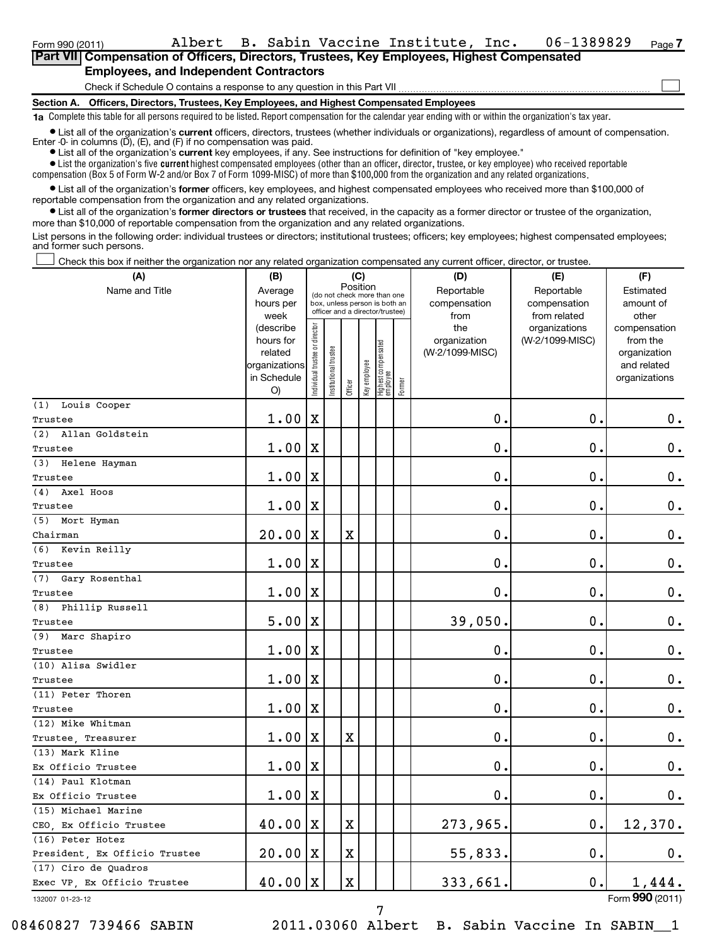### **Section A. Officers, Directors, Trustees, Key Employees, and Highest Compensated Employees** Check if Schedule O contains a response to any question in this Part VII **Part VII Compensation of Officers, Directors, Trustees, Key Employees, Highest Compensated Employees, and Independent Contractors**  $\sim$

**1a**  Complete this table for all persons required to be listed. Report compensation for the calendar year ending with or within the organization's tax year.

**•** List all of the organization's current officers, directors, trustees (whether individuals or organizations), regardless of amount of compensation. Enter -0- in columns  $(D)$ ,  $(E)$ , and  $(F)$  if no compensation was paid.

**•** List all of the organization's **current** key employees, if any. See instructions for definition of "key employee."

 $\bullet$  List the organization's five  $\tt current$  highest compensated employees (other than an officer, director, trustee, or key employee) who received reportable compensation (Box 5 of Form W-2 and/or Box 7 of Form 1099-MISC) of more than \$100,000 from the organization and any related organizations .

 $\bullet$  List all of the organization's former officers, key employees, and highest compensated employees who received more than \$100,000 of reportable compensation from the organization and any related organizations.

**•** List all of the organization's former directors or trustees that received, in the capacity as a former director or trustee of the organization, more than \$10,000 of reportable compensation from the organization and any related organizations.

List persons in the following order: individual trustees or directors; institutional trustees; officers; key employees; highest compensated employees; and former such persons.

Check this box if neither the organization nor any related organization compensated any current officer, director, or trustee.  $\left\vert \cdot\right\vert$ 

| Position<br>Name and Title<br>Average<br>Reportable<br>Reportable<br>(do not check more than one<br>hours per<br>box, unless person is both an<br>compensation<br>compensation<br>officer and a director/trustee)<br>from related<br>week<br>from<br>Individual trustee or director<br>(describe<br>the<br>organizations<br>hours for<br>organization<br>(W-2/1099-MISC)<br>  Highest compensated<br>  employee<br>Institutional trustee<br>related<br>(W-2/1099-MISC)<br>Key employee<br>organizations<br>in Schedule<br>Former<br>Officer<br>O)<br>(1) Louis Cooper<br>0.<br>1.00<br>$\mathbf X$<br>$\mathbf 0$ .<br>Trustee<br>(2) Allan Goldstein<br>$\mathbf 0$<br>$\mathbf 0$<br>1.00<br>Х<br>Trustee | Estimated<br>amount of<br>other<br>compensation<br>from the<br>organization<br>and related<br>organizations<br>$\boldsymbol{0}$ . |
|-------------------------------------------------------------------------------------------------------------------------------------------------------------------------------------------------------------------------------------------------------------------------------------------------------------------------------------------------------------------------------------------------------------------------------------------------------------------------------------------------------------------------------------------------------------------------------------------------------------------------------------------------------------------------------------------------------------|-----------------------------------------------------------------------------------------------------------------------------------|
|                                                                                                                                                                                                                                                                                                                                                                                                                                                                                                                                                                                                                                                                                                             |                                                                                                                                   |
|                                                                                                                                                                                                                                                                                                                                                                                                                                                                                                                                                                                                                                                                                                             |                                                                                                                                   |
|                                                                                                                                                                                                                                                                                                                                                                                                                                                                                                                                                                                                                                                                                                             |                                                                                                                                   |
|                                                                                                                                                                                                                                                                                                                                                                                                                                                                                                                                                                                                                                                                                                             |                                                                                                                                   |
|                                                                                                                                                                                                                                                                                                                                                                                                                                                                                                                                                                                                                                                                                                             |                                                                                                                                   |
|                                                                                                                                                                                                                                                                                                                                                                                                                                                                                                                                                                                                                                                                                                             | $\mathbf 0$ .                                                                                                                     |
| (3) Helene Hayman                                                                                                                                                                                                                                                                                                                                                                                                                                                                                                                                                                                                                                                                                           |                                                                                                                                   |
| $\mathbf 0$<br>0.<br>1.00<br>X<br>Trustee                                                                                                                                                                                                                                                                                                                                                                                                                                                                                                                                                                                                                                                                   | $\boldsymbol{0}$ .                                                                                                                |
| (4) Axel Hoos                                                                                                                                                                                                                                                                                                                                                                                                                                                                                                                                                                                                                                                                                               |                                                                                                                                   |
| $\mathbf 0$<br>$\mathbf 0$ .<br>1.00<br>х<br>Trustee                                                                                                                                                                                                                                                                                                                                                                                                                                                                                                                                                                                                                                                        | $\mathbf 0$ .                                                                                                                     |
| (5) Mort Hyman                                                                                                                                                                                                                                                                                                                                                                                                                                                                                                                                                                                                                                                                                              |                                                                                                                                   |
| $20.00 \, \text{X}$<br>$\mathbf X$<br>$\mathbf 0$ .<br>$\mathbf 0$<br>Chairman                                                                                                                                                                                                                                                                                                                                                                                                                                                                                                                                                                                                                              | $\mathbf 0$ .                                                                                                                     |
| (6) Kevin Reilly                                                                                                                                                                                                                                                                                                                                                                                                                                                                                                                                                                                                                                                                                            |                                                                                                                                   |
| $\mathbf 0$ .<br>$\mathbf 0$<br>$1.00 \,   X$<br>Trustee                                                                                                                                                                                                                                                                                                                                                                                                                                                                                                                                                                                                                                                    | $\mathbf 0$ .                                                                                                                     |
| (7) Gary Rosenthal                                                                                                                                                                                                                                                                                                                                                                                                                                                                                                                                                                                                                                                                                          |                                                                                                                                   |
| $\mathbf 0$<br>$\mathbf 0$ .<br>$1.00 \,   X$<br>Trustee                                                                                                                                                                                                                                                                                                                                                                                                                                                                                                                                                                                                                                                    | $\mathbf 0$ .                                                                                                                     |
| (8) Phillip Russell                                                                                                                                                                                                                                                                                                                                                                                                                                                                                                                                                                                                                                                                                         |                                                                                                                                   |
| 39,050.<br>$\mathbf 0$<br>5.00<br>Х<br>Trustee                                                                                                                                                                                                                                                                                                                                                                                                                                                                                                                                                                                                                                                              | $\mathbf 0$ .                                                                                                                     |
| (9) Marc Shapiro                                                                                                                                                                                                                                                                                                                                                                                                                                                                                                                                                                                                                                                                                            |                                                                                                                                   |
| 0.<br>$\mathbf 0$ .<br>1.00<br>Х<br>Trustee                                                                                                                                                                                                                                                                                                                                                                                                                                                                                                                                                                                                                                                                 | $\boldsymbol{0}$ .                                                                                                                |
| (10) Alisa Swidler                                                                                                                                                                                                                                                                                                                                                                                                                                                                                                                                                                                                                                                                                          |                                                                                                                                   |
| $\mathbf 0$<br>$\mathbf 0$<br>1.00<br>X<br>Trustee                                                                                                                                                                                                                                                                                                                                                                                                                                                                                                                                                                                                                                                          | $\mathbf 0$ .                                                                                                                     |
| (11) Peter Thoren                                                                                                                                                                                                                                                                                                                                                                                                                                                                                                                                                                                                                                                                                           |                                                                                                                                   |
| $\mathbf 0$<br>$\mathbf 0$<br>$1.00 \,   X$<br>Trustee                                                                                                                                                                                                                                                                                                                                                                                                                                                                                                                                                                                                                                                      | $\mathbf 0$ .                                                                                                                     |
| (12) Mike Whitman                                                                                                                                                                                                                                                                                                                                                                                                                                                                                                                                                                                                                                                                                           |                                                                                                                                   |
| X<br>$\mathbf 0$ .<br>$\mathbf 0$ .<br>1.00<br>X<br>Trustee Treasurer                                                                                                                                                                                                                                                                                                                                                                                                                                                                                                                                                                                                                                       | $\mathbf 0$ .                                                                                                                     |
| (13) Mark Kline                                                                                                                                                                                                                                                                                                                                                                                                                                                                                                                                                                                                                                                                                             |                                                                                                                                   |
| $\mathbf 0$ .<br>$\mathbf 0$ .<br>$1.00 \,   X$<br>Ex Officio Trustee                                                                                                                                                                                                                                                                                                                                                                                                                                                                                                                                                                                                                                       | $\mathbf 0$ .                                                                                                                     |
| (14) Paul Klotman                                                                                                                                                                                                                                                                                                                                                                                                                                                                                                                                                                                                                                                                                           |                                                                                                                                   |
| 0.<br>0.<br>1.00<br>X<br>Ex Officio Trustee                                                                                                                                                                                                                                                                                                                                                                                                                                                                                                                                                                                                                                                                 | $\mathbf 0$ .                                                                                                                     |
| (15) Michael Marine                                                                                                                                                                                                                                                                                                                                                                                                                                                                                                                                                                                                                                                                                         |                                                                                                                                   |
| 40.00<br>х<br>273,965.<br>0.<br>Х<br>CEO, Ex Officio Trustee                                                                                                                                                                                                                                                                                                                                                                                                                                                                                                                                                                                                                                                | 12,370.                                                                                                                           |
| (16) Peter Hotez                                                                                                                                                                                                                                                                                                                                                                                                                                                                                                                                                                                                                                                                                            |                                                                                                                                   |
| $\mathbf 0$ .<br>20.00<br>X<br>55,833.<br>X<br>President, Ex Officio Trustee                                                                                                                                                                                                                                                                                                                                                                                                                                                                                                                                                                                                                                | 0.                                                                                                                                |
| (17) Ciro de Quadros                                                                                                                                                                                                                                                                                                                                                                                                                                                                                                                                                                                                                                                                                        |                                                                                                                                   |
| $\mathbf X$<br>333,661<br>0.<br>$40.00 \,   X$<br>1,444.<br>Exec VP, Ex Officio Trustee                                                                                                                                                                                                                                                                                                                                                                                                                                                                                                                                                                                                                     |                                                                                                                                   |

132007 01-23-12

08460827 739466 SABIN 2011.03060 Albert B. Sabin Vaccine In SABIN 1

7

Form (2011) **990**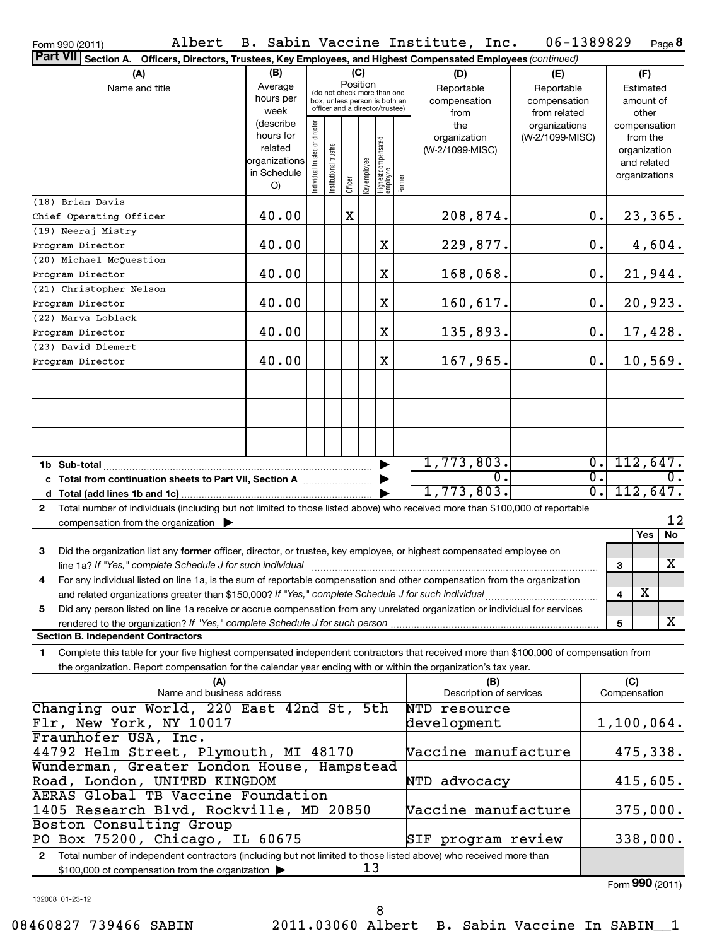| ו ו ש∟ וטשט ווווט ו<br>Part VII Section A. Officers, Directors, Trustees, Key Employees, and Highest Compensated Employees (continued)       |                                                                                                                    |                                |                       |         |              |                                               |  |                                |                 |                             |                               |
|----------------------------------------------------------------------------------------------------------------------------------------------|--------------------------------------------------------------------------------------------------------------------|--------------------------------|-----------------------|---------|--------------|-----------------------------------------------|--|--------------------------------|-----------------|-----------------------------|-------------------------------|
| (B)<br>(C)<br>(A)<br>(D)<br>(E)                                                                                                              |                                                                                                                    |                                |                       |         |              |                                               |  |                                | (F)             |                             |                               |
| Name and title                                                                                                                               | Position<br>Average<br>(do not check more than one                                                                 |                                |                       |         |              |                                               |  | Reportable                     | Reportable      |                             | Estimated                     |
|                                                                                                                                              | hours per                                                                                                          |                                |                       |         |              | box, unless person is both an                 |  | compensation                   | compensation    |                             | amount of                     |
|                                                                                                                                              | week                                                                                                               |                                |                       |         |              | officer and a director/trustee)               |  | from                           | from related    |                             | other                         |
|                                                                                                                                              | (describe<br>hours for                                                                                             |                                |                       |         |              |                                               |  | the                            | organizations   |                             | compensation                  |
|                                                                                                                                              | related                                                                                                            |                                |                       |         |              |                                               |  | organization                   | (W-2/1099-MISC) |                             | from the                      |
|                                                                                                                                              | organizations                                                                                                      |                                |                       |         |              |                                               |  | (W-2/1099-MISC)                |                 |                             | organization<br>and related   |
|                                                                                                                                              | in Schedule                                                                                                        |                                |                       |         |              |                                               |  |                                |                 |                             | organizations                 |
|                                                                                                                                              | O)                                                                                                                 | Individual trustee or director | Institutional trustee | Officer | Key employee | Highest compensated<br>  employee<br>  Former |  |                                |                 |                             |                               |
| (18) Brian Davis                                                                                                                             |                                                                                                                    |                                |                       |         |              |                                               |  |                                |                 |                             |                               |
| Chief Operating Officer                                                                                                                      | 40.00                                                                                                              |                                |                       | х       |              |                                               |  | 208,874.                       |                 | 0.                          | <u>23,365.</u>                |
| (19) Neeraj Mistry                                                                                                                           |                                                                                                                    |                                |                       |         |              |                                               |  |                                |                 |                             |                               |
| Program Director                                                                                                                             | 40.00                                                                                                              |                                |                       |         |              | X                                             |  | 229,877.                       |                 | $\mathbf 0$ .               | 4,604.                        |
| (20) Michael McQuestion<br>Program Director                                                                                                  | 40.00                                                                                                              |                                |                       |         |              | X                                             |  | 168,068.                       |                 | 0.                          | 21,944.                       |
| (21) Christopher Nelson                                                                                                                      |                                                                                                                    |                                |                       |         |              |                                               |  |                                |                 |                             |                               |
| Program Director                                                                                                                             | 40.00                                                                                                              |                                |                       |         |              | X                                             |  | 160,617.                       |                 | 0.                          | 20,923.                       |
| (22) Marva Loblack                                                                                                                           |                                                                                                                    |                                |                       |         |              |                                               |  |                                |                 |                             |                               |
| Program Director                                                                                                                             | 40.00                                                                                                              |                                |                       |         |              | X                                             |  | 135,893.                       |                 | 0.                          | 17,428.                       |
| (23) David Diemert                                                                                                                           |                                                                                                                    |                                |                       |         |              |                                               |  |                                |                 |                             |                               |
| Program Director                                                                                                                             | 40.00                                                                                                              |                                |                       |         |              | X                                             |  | 167,965.                       |                 | 0.                          | 10,569.                       |
|                                                                                                                                              |                                                                                                                    |                                |                       |         |              |                                               |  |                                |                 |                             |                               |
|                                                                                                                                              |                                                                                                                    |                                |                       |         |              |                                               |  |                                |                 |                             |                               |
|                                                                                                                                              |                                                                                                                    |                                |                       |         |              |                                               |  |                                |                 |                             |                               |
|                                                                                                                                              |                                                                                                                    |                                |                       |         |              |                                               |  |                                |                 |                             |                               |
|                                                                                                                                              |                                                                                                                    |                                |                       |         |              |                                               |  |                                |                 |                             |                               |
| 1b Sub-total                                                                                                                                 |                                                                                                                    |                                |                       |         |              |                                               |  | 1,773,803.                     |                 | $\overline{0}$ .            | 112,647.                      |
| c Total from continuation sheets to Part VII, Section A                                                                                      |                                                                                                                    |                                |                       |         |              |                                               |  | 0.                             |                 | $\overline{\mathfrak{0}}$ . | 0.                            |
|                                                                                                                                              |                                                                                                                    |                                |                       |         |              |                                               |  | 1,773,803.                     |                 | $\overline{\mathfrak{0}}$ . | 112,647.                      |
| Total number of individuals (including but not limited to those listed above) who received more than \$100,000 of reportable<br>$\mathbf{2}$ |                                                                                                                    |                                |                       |         |              |                                               |  |                                |                 |                             | 12                            |
| compensation from the organization $\blacktriangleright$                                                                                     |                                                                                                                    |                                |                       |         |              |                                               |  |                                |                 |                             | $\overline{No}$<br><b>Yes</b> |
| Did the organization list any former officer, director, or trustee, key employee, or highest compensated employee on<br>3                    |                                                                                                                    |                                |                       |         |              |                                               |  |                                |                 |                             |                               |
| line 1a? If "Yes," complete Schedule J for such individual                                                                                   |                                                                                                                    |                                |                       |         |              |                                               |  |                                |                 |                             | X<br>3                        |
| For any individual listed on line 1a, is the sum of reportable compensation and other compensation from the organization<br>4                |                                                                                                                    |                                |                       |         |              |                                               |  |                                |                 |                             |                               |
| and related organizations greater than \$150,000? If "Yes," complete Schedule J for such individual                                          |                                                                                                                    |                                |                       |         |              |                                               |  |                                |                 |                             | x<br>4                        |
| Did any person listed on line 1a receive or accrue compensation from any unrelated organization or individual for services<br>5              |                                                                                                                    |                                |                       |         |              |                                               |  |                                |                 |                             |                               |
| rendered to the organization? If "Yes," complete Schedule J for such person                                                                  |                                                                                                                    |                                |                       |         |              |                                               |  |                                |                 |                             | X<br>5                        |
| <b>Section B. Independent Contractors</b>                                                                                                    |                                                                                                                    |                                |                       |         |              |                                               |  |                                |                 |                             |                               |
| Complete this table for your five highest compensated independent contractors that received more than \$100,000 of compensation from<br>1.   |                                                                                                                    |                                |                       |         |              |                                               |  |                                |                 |                             |                               |
| the organization. Report compensation for the calendar year ending with or within the organization's tax year.                               |                                                                                                                    |                                |                       |         |              |                                               |  |                                |                 |                             |                               |
| (A)<br>Name and business address                                                                                                             |                                                                                                                    |                                |                       |         |              |                                               |  | (B)<br>Description of services |                 |                             | (C)<br>Compensation           |
| Changing our World, 220 East 42nd St, 5th                                                                                                    |                                                                                                                    |                                |                       |         |              |                                               |  | NTD resource                   |                 |                             |                               |
| Flr, New York, NY 10017                                                                                                                      |                                                                                                                    |                                |                       |         |              |                                               |  | development                    |                 |                             | 1,100,064.                    |
| Fraunhofer USA, Inc.                                                                                                                         |                                                                                                                    |                                |                       |         |              |                                               |  |                                |                 |                             |                               |
| 44792 Helm Street, Plymouth, MI 48170                                                                                                        |                                                                                                                    |                                |                       |         |              |                                               |  | Vaccine manufacture            |                 |                             | 475,338.                      |
| Wunderman, Greater London House, Hampstead                                                                                                   |                                                                                                                    |                                |                       |         |              |                                               |  |                                |                 |                             |                               |
| Road, London, UNITED KINGDOM                                                                                                                 |                                                                                                                    |                                |                       |         |              |                                               |  | advocacy<br>NTD                |                 |                             | 415,605.                      |
| AERAS Global TB Vaccine Foundation                                                                                                           |                                                                                                                    |                                |                       |         |              |                                               |  |                                |                 |                             |                               |
| 1405 Research Blvd, Rockville, MD 20850<br>Boston Consulting Group                                                                           |                                                                                                                    |                                |                       |         |              |                                               |  | Vaccine manufacture            |                 |                             | 375,000.                      |
| PO Box 75200, Chicago, IL 60675                                                                                                              |                                                                                                                    |                                |                       |         |              |                                               |  | SIF program review             |                 |                             | 338,000.                      |
|                                                                                                                                              | 2 Total number of independent contractors (including but not limited to those listed above) who received more than |                                |                       |         |              |                                               |  |                                |                 |                             |                               |

**2** Total number of independent contractors (including but not limite \$100,000 of compensation from the organization  $\blacktriangleright$  $\frac{1}{13}$ 

Form (2011) **990**

132008 01-23-12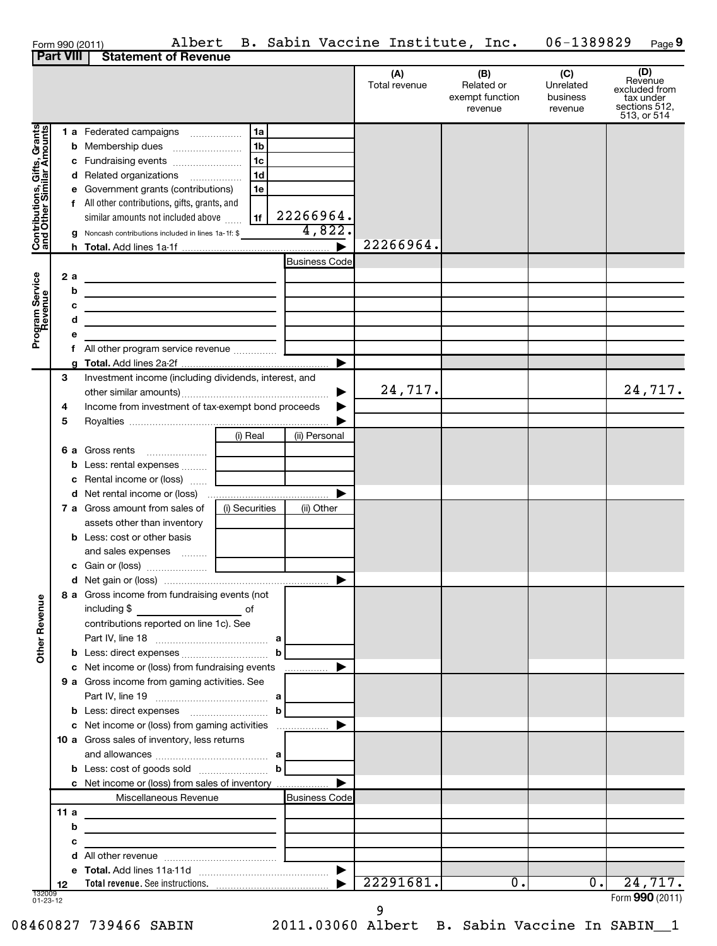| Form 990 (2011) | Albert                                  |
|-----------------|-----------------------------------------|
|                 | <b>Part VIII   Statement of Revenue</b> |

| (A)<br>Total revenue | (B)<br>Related or<br>exempt function<br>revenue | (C)<br>Unrelated<br>business<br>revenue | (D<br>Revenue<br>excluded from<br>tax under<br>sections 512,<br>513, or 514 |
|----------------------|-------------------------------------------------|-----------------------------------------|-----------------------------------------------------------------------------|
|                      |                                                 |                                         |                                                                             |

|                                                             |           |                                                                                           |                |                      |           |                  |                  | 513, or 514     |
|-------------------------------------------------------------|-----------|-------------------------------------------------------------------------------------------|----------------|----------------------|-----------|------------------|------------------|-----------------|
|                                                             |           | <b>1 a</b> Federated campaigns                                                            | 1a<br>.        |                      |           |                  |                  |                 |
|                                                             |           | <b>b</b> Membership dues                                                                  | 1 <sub>b</sub> |                      |           |                  |                  |                 |
|                                                             |           | Fundraising events                                                                        | 1c             |                      |           |                  |                  |                 |
|                                                             | с         |                                                                                           | 1 <sub>d</sub> |                      |           |                  |                  |                 |
|                                                             | d         | Related organizations                                                                     |                |                      |           |                  |                  |                 |
|                                                             | е         | Government grants (contributions)                                                         | 1e             |                      |           |                  |                  |                 |
|                                                             | f         | All other contributions, gifts, grants, and                                               |                |                      |           |                  |                  |                 |
|                                                             |           | similar amounts not included above                                                        | 1f             | 22266964.            |           |                  |                  |                 |
| Contributions, Gifts, Grants<br>  and Other Similar Amounts |           | Noncash contributions included in lines 1a-1f: \$                                         |                | 4,822.               |           |                  |                  |                 |
|                                                             |           |                                                                                           |                |                      | 22266964. |                  |                  |                 |
|                                                             |           |                                                                                           |                | <b>Business Code</b> |           |                  |                  |                 |
|                                                             | 2a        | <u> 1989 - Johann Barn, amerikansk politiker (</u>                                        |                |                      |           |                  |                  |                 |
|                                                             | b         | <u> 1989 - Johann Barn, amerikansk politiker (</u>                                        |                |                      |           |                  |                  |                 |
|                                                             | c         |                                                                                           |                |                      |           |                  |                  |                 |
| Program Service<br>Revenue                                  | d         | the control of the control of the control of the control of the control of the control of |                |                      |           |                  |                  |                 |
|                                                             |           | <u> 1989 - Johann Barn, amerikansk politiker (</u>                                        |                |                      |           |                  |                  |                 |
|                                                             |           |                                                                                           |                |                      |           |                  |                  |                 |
|                                                             |           |                                                                                           |                |                      |           |                  |                  |                 |
|                                                             |           |                                                                                           |                |                      |           |                  |                  |                 |
|                                                             | 3         | Investment income (including dividends, interest, and                                     |                |                      | 24,717.   |                  |                  |                 |
|                                                             |           |                                                                                           |                |                      |           |                  |                  | 24,717.         |
|                                                             | 4         | Income from investment of tax-exempt bond proceeds                                        |                |                      |           |                  |                  |                 |
|                                                             | 5         |                                                                                           |                |                      |           |                  |                  |                 |
|                                                             |           |                                                                                           | (i) Real       | (ii) Personal        |           |                  |                  |                 |
|                                                             |           | 6 a Gross rents                                                                           |                |                      |           |                  |                  |                 |
|                                                             | b         | Less: rental expenses                                                                     |                |                      |           |                  |                  |                 |
|                                                             | с         | Rental income or (loss)                                                                   |                |                      |           |                  |                  |                 |
|                                                             |           |                                                                                           |                |                      |           |                  |                  |                 |
|                                                             |           | <b>7 a</b> Gross amount from sales of                                                     | (i) Securities | (ii) Other           |           |                  |                  |                 |
|                                                             |           | assets other than inventory                                                               |                |                      |           |                  |                  |                 |
|                                                             |           | <b>b</b> Less: cost or other basis                                                        |                |                      |           |                  |                  |                 |
|                                                             |           | and sales expenses                                                                        |                |                      |           |                  |                  |                 |
|                                                             |           |                                                                                           |                |                      |           |                  |                  |                 |
|                                                             |           |                                                                                           |                |                      |           |                  |                  |                 |
|                                                             |           | 8 a Gross income from fundraising events (not                                             |                |                      |           |                  |                  |                 |
| Revenue                                                     |           | $\overline{\phantom{a}}$ of<br>including \$                                               |                |                      |           |                  |                  |                 |
|                                                             |           | contributions reported on line 1c). See                                                   |                |                      |           |                  |                  |                 |
|                                                             |           |                                                                                           |                |                      |           |                  |                  |                 |
| <b>ber</b>                                                  |           |                                                                                           |                | $\mathbf{b}$         |           |                  |                  |                 |
| ō                                                           |           | c Net income or (loss) from fundraising events                                            |                |                      |           |                  |                  |                 |
|                                                             |           | 9 a Gross income from gaming activities. See                                              |                |                      |           |                  |                  |                 |
|                                                             |           |                                                                                           |                |                      |           |                  |                  |                 |
|                                                             |           |                                                                                           |                | $\mathbf b$          |           |                  |                  |                 |
|                                                             |           | c Net income or (loss) from gaming activities                                             |                |                      |           |                  |                  |                 |
|                                                             |           | 10 a Gross sales of inventory, less returns                                               |                |                      |           |                  |                  |                 |
|                                                             |           |                                                                                           |                |                      |           |                  |                  |                 |
|                                                             |           |                                                                                           |                | $\mathbf b$          |           |                  |                  |                 |
|                                                             |           | c Net income or (loss) from sales of inventory                                            |                |                      |           |                  |                  |                 |
|                                                             |           | Miscellaneous Revenue                                                                     |                | <b>Business Code</b> |           |                  |                  |                 |
|                                                             |           |                                                                                           |                |                      |           |                  |                  |                 |
|                                                             | 11 a<br>b | the control of the control of the control of the control of                               |                |                      |           |                  |                  |                 |
|                                                             |           |                                                                                           |                |                      |           |                  |                  |                 |
|                                                             | с         |                                                                                           |                |                      |           |                  |                  |                 |
|                                                             | d         |                                                                                           |                |                      |           |                  |                  |                 |
|                                                             |           |                                                                                           |                |                      | 22291681. | $\overline{0}$ . | $\overline{0}$ . | 24,717.         |
| 132009<br>01-23-12                                          | 12        |                                                                                           |                |                      |           |                  |                  |                 |
|                                                             |           |                                                                                           |                |                      | 9         |                  |                  | Form 990 (2011) |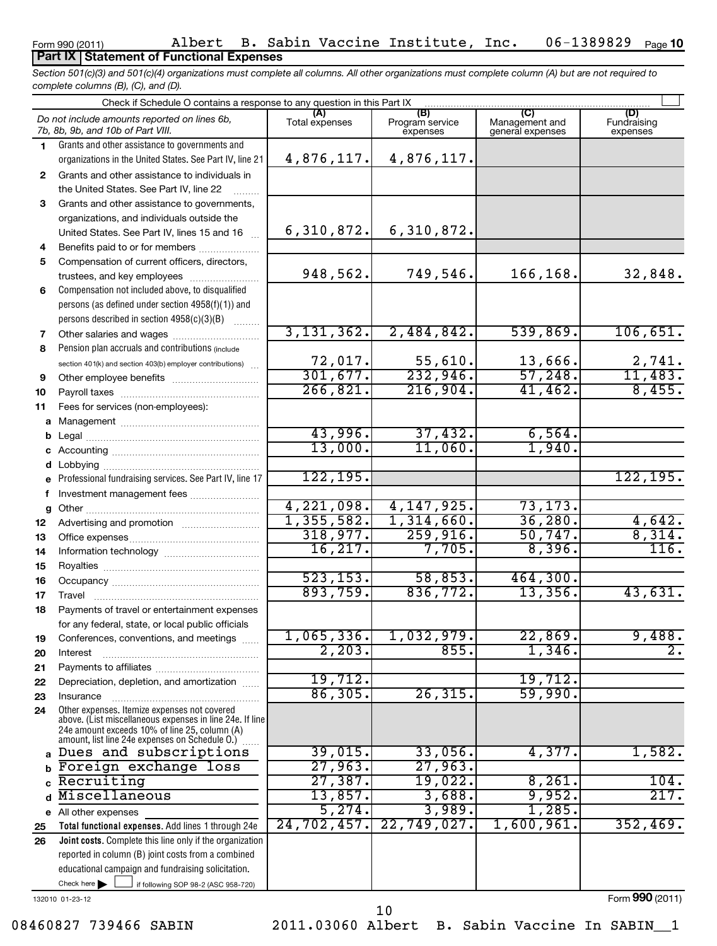### **Part IX Statement of Functional Expenses**

*Section 501(c)(3) and 501(c)(4) organizations must complete all columns. All other organizations must complete column (A) but are not required to complete columns (B), (C), and (D).*

|          | Check if Schedule O contains a response to any question in this Part IX                                        |                       |                                    |                                    |                                |  |  |  |
|----------|----------------------------------------------------------------------------------------------------------------|-----------------------|------------------------------------|------------------------------------|--------------------------------|--|--|--|
|          | Do not include amounts reported on lines 6b,<br>7b, 8b, 9b, and 10b of Part VIII.                              | (A)<br>Total expenses | (B)<br>Program service<br>expenses | Management and<br>general expenses | (D)<br>Fundraising<br>expenses |  |  |  |
| 1.       | Grants and other assistance to governments and                                                                 |                       |                                    |                                    |                                |  |  |  |
|          | organizations in the United States. See Part IV, line 21                                                       | 4,876,117.            | 4,876,117.                         |                                    |                                |  |  |  |
| 2        | Grants and other assistance to individuals in                                                                  |                       |                                    |                                    |                                |  |  |  |
|          | the United States. See Part IV, line 22                                                                        |                       |                                    |                                    |                                |  |  |  |
| 3        | Grants and other assistance to governments,                                                                    |                       |                                    |                                    |                                |  |  |  |
|          | organizations, and individuals outside the                                                                     |                       |                                    |                                    |                                |  |  |  |
|          | United States. See Part IV, lines 15 and 16                                                                    | 6,310,872.            | 6,310,872.                         |                                    |                                |  |  |  |
| 4        | Benefits paid to or for members                                                                                |                       |                                    |                                    |                                |  |  |  |
| 5        | Compensation of current officers, directors,                                                                   |                       |                                    |                                    |                                |  |  |  |
|          | trustees, and key employees                                                                                    | 948,562.              | 749,546.                           | 166,168.                           | 32,848.                        |  |  |  |
| 6        | Compensation not included above, to disqualified                                                               |                       |                                    |                                    |                                |  |  |  |
|          | persons (as defined under section 4958(f)(1)) and                                                              |                       |                                    |                                    |                                |  |  |  |
|          | persons described in section 4958(c)(3)(B)                                                                     | 3, 131, 362.          |                                    | 539,869.                           |                                |  |  |  |
| 7        |                                                                                                                |                       | 2,484,842.                         |                                    | 106,651.                       |  |  |  |
| 8        | Pension plan accruals and contributions (include                                                               | 72,017.               | 55,610.                            | 13,666.                            |                                |  |  |  |
|          | section 401(k) and section 403(b) employer contributions)                                                      | 301,677.              | 232,946.                           | 57,248.                            | <u>2,741.</u><br>11,483.       |  |  |  |
| 9<br>10  |                                                                                                                | 266, 821.             | 216,904.                           | 41,462.                            | 8,455.                         |  |  |  |
| 11       | Fees for services (non-employees):                                                                             |                       |                                    |                                    |                                |  |  |  |
| a        |                                                                                                                |                       |                                    |                                    |                                |  |  |  |
| b        |                                                                                                                | 43,996.               | 37,432.                            | 6,564.                             |                                |  |  |  |
| c        |                                                                                                                | 13,000.               | 11,060.                            | 1,940.                             |                                |  |  |  |
| d        | Lobbying                                                                                                       |                       |                                    |                                    |                                |  |  |  |
|          | Professional fundraising services. See Part IV, line 17                                                        | 122, 195.             |                                    |                                    | 122, 195.                      |  |  |  |
| f        | Investment management fees                                                                                     |                       |                                    |                                    |                                |  |  |  |
| g        |                                                                                                                | 4,221,098.            | 4, 147, 925.                       | 73, 173.                           |                                |  |  |  |
| 12       | Advertising and promotion                                                                                      | 1,355,582.            | 1,314,660.                         | 36,280.                            | 4,642.                         |  |  |  |
| 13       |                                                                                                                | 318,977.              | 259,916.                           | 50,747.                            | 8,314.                         |  |  |  |
| 14       |                                                                                                                | 16, 217.              | 7,705.                             | 8,396.                             | 116.                           |  |  |  |
| 15       |                                                                                                                |                       |                                    |                                    |                                |  |  |  |
| 16       |                                                                                                                | 523, 153.<br>893,759. | 58,853.                            | 464,300.                           |                                |  |  |  |
| 17       | Travel                                                                                                         |                       | 836,772.                           | 13,356.                            | 43,631.                        |  |  |  |
| 18       | Payments of travel or entertainment expenses                                                                   |                       |                                    |                                    |                                |  |  |  |
|          | for any federal, state, or local public officials                                                              | 1,065,336.            | 1,032,979.                         | 22,869.                            | 9,488.                         |  |  |  |
| 19       | Conferences, conventions, and meetings                                                                         | 2,203.                | 855.                               | 1,346.                             | $\overline{2}$ .               |  |  |  |
| 20<br>21 | Interest                                                                                                       |                       |                                    |                                    |                                |  |  |  |
| 22       | Depreciation, depletion, and amortization                                                                      | 19,712.               |                                    | 19,712.                            |                                |  |  |  |
| 23       | Insurance                                                                                                      | 86, 305.              | 26, 315.                           | 59,990.                            |                                |  |  |  |
| 24       | Other expenses. Itemize expenses not covered                                                                   |                       |                                    |                                    |                                |  |  |  |
|          | above. (List miscellaneous expenses in line 24e. If line<br>24e amount exceeds 10% of line 25, column (A)      |                       |                                    |                                    |                                |  |  |  |
|          | amount, list line 24e expenses on Schedule O.)                                                                 |                       |                                    |                                    |                                |  |  |  |
|          | a Dues and subscriptions                                                                                       | 39,015.               | 33,056.                            | 4,377.                             | 1,582.                         |  |  |  |
| b        | Foreign exchange loss                                                                                          | 27,963.               | 27,963.                            |                                    |                                |  |  |  |
|          | Recruiting                                                                                                     | 27,387.               | 19,022.                            | 8,261.                             | 104.                           |  |  |  |
| d        | Miscellaneous                                                                                                  | 13,857.               | 3,688.                             | 9,952.                             | 217.                           |  |  |  |
|          | e All other expenses                                                                                           | 5,274.                | 3,989.                             | 1,285.<br>1,600,961.               |                                |  |  |  |
| 25       | Total functional expenses. Add lines 1 through 24e                                                             | 24, 702, 457.         | 22,749,027.                        |                                    | 352,469.                       |  |  |  |
| 26       | Joint costs. Complete this line only if the organization<br>reported in column (B) joint costs from a combined |                       |                                    |                                    |                                |  |  |  |
|          | educational campaign and fundraising solicitation.                                                             |                       |                                    |                                    |                                |  |  |  |
|          | Check here $\blacktriangleright$<br>if following SOP 98-2 (ASC 958-720)                                        |                       |                                    |                                    |                                |  |  |  |
|          | 132010 01-23-12                                                                                                |                       |                                    |                                    | Form 990 (2011)                |  |  |  |

10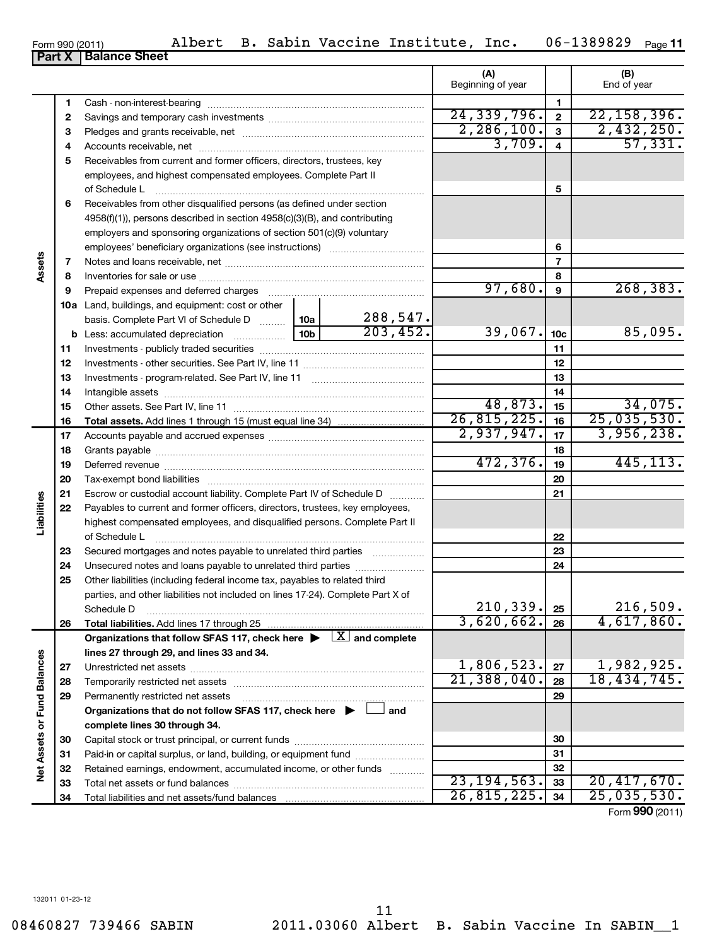| 7  |                                                                                          |               | 7           |                 |                 |
|----|------------------------------------------------------------------------------------------|---------------|-------------|-----------------|-----------------|
| 8  |                                                                                          |               | 8           |                 |                 |
| 9  | Prepaid expenses and deferred charges                                                    | 97,680.       | 9           | 268, 383.       |                 |
|    | <b>10a</b> Land, buildings, and equipment: cost or other                                 |               |             |                 |                 |
|    | basis. Complete Part VI of Schedule D    10a                                             | 288,547.      |             |                 |                 |
|    |                                                                                          | 203, 452.     | 39,067.     | 10 <sub>c</sub> | 85,095.         |
| 11 |                                                                                          |               |             | 11              |                 |
| 12 |                                                                                          |               |             | 12              |                 |
| 13 |                                                                                          |               |             | 13              |                 |
| 14 |                                                                                          |               |             | 14              |                 |
| 15 |                                                                                          |               | 48,873.     | 15              | 34,075.         |
| 16 |                                                                                          |               | 26,815,225. | 16              | 25,035,530.     |
| 17 |                                                                                          |               | 2,937,947.  | 17              | 3,956,238.      |
| 18 |                                                                                          |               |             | 18              |                 |
| 19 |                                                                                          |               | 472,376.    | 19              | 445, 113.       |
| 20 |                                                                                          |               |             | 20              |                 |
| 21 | Escrow or custodial account liability. Complete Part IV of Schedule D                    |               |             | 21              |                 |
| 22 | Payables to current and former officers, directors, trustees, key employees,             |               |             |                 |                 |
|    | highest compensated employees, and disqualified persons. Complete Part II                |               |             |                 |                 |
|    | of Schedule L                                                                            |               |             | 22              |                 |
| 23 | Secured mortgages and notes payable to unrelated third parties                           |               |             | 23              |                 |
| 24 | Unsecured notes and loans payable to unrelated third parties                             |               |             | 24              |                 |
| 25 | Other liabilities (including federal income tax, payables to related third               |               |             |                 |                 |
|    | parties, and other liabilities not included on lines 17-24). Complete Part X of          |               |             |                 |                 |
|    | Schedule D                                                                               |               | 210,339.    | 25              | 216,509.        |
| 26 |                                                                                          |               | 3,620,662.  | 26              | 4,617,860.      |
|    | Organizations that follow SFAS 117, check here $\blacktriangleright \Box X$ and complete |               |             |                 |                 |
|    | lines 27 through 29, and lines 33 and 34.                                                |               |             |                 |                 |
| 27 |                                                                                          |               | 1,806,523.  | 27              | 1,982,925.      |
| 28 |                                                                                          |               | 21,388,040. | 28              | 18, 434, 745.   |
| 29 | Permanently restricted net assets                                                        |               |             | 29              |                 |
|    | Organizations that do not follow SFAS 117, check here $\blacktriangleright$ $\Box$ and   |               |             |                 |                 |
|    | complete lines 30 through 34.                                                            |               |             |                 |                 |
| 30 |                                                                                          |               |             | 30              |                 |
| 31 | Paid-in or capital surplus, or land, building, or equipment fund                         |               |             | 31              |                 |
| 32 | Retained earnings, endowment, accumulated income, or other funds                         |               | 32          |                 |                 |
| 33 |                                                                                          | 23, 194, 563. | 33          | 20,417,670.     |                 |
| 34 |                                                                                          |               | 26,815,225. | 34              | 25,035,530.     |
|    |                                                                                          |               |             |                 | Form 990 (2011) |

Form 990 (2011) Albert B. Sabin Vaccine Institute, Inc. 06-1389829 Page 06-1389829 <sub>Page</sub> 11

**(A) (B)**

Beginning of year  $\parallel$  End of year

 $24,339,796.$  2  $22,158,396.$  $\begin{array}{|c|c|c|c|c|c|}\n\hline\n2,286,100. & 3 & 2,432,250. \\
\hline\n3,709. & 4 & 57,331. \\
\hline\n\end{array}$ 

57,331.

**5**

**6**

**Part X** | Balance Sheet

Cash - non-interest-bearing ~~~~~~~~~~~~~~~~~~~~~~~~~ Savings and temporary cash investments ~~~~~~~~~~~~~~~~~~ Pledges and grants receivable, net ~~~~~~~~~~~~~~~~~~~~~ Accounts receivable, net ~~~~~~~~~~~~~~~~~~~~~~~~~~

of Schedule L ~~~~~~~~~~~~~~~~~~~~~~~~~~~~~~~ Receivables from other disqualified persons (as defined under section 4958(f)(1)), persons described in section 4958(c)(3)(B), and contributing employers and sponsoring organizations of section 501(c)(9) voluntary employees' beneficiary organizations (see instructions)  $\ldots$ ...

Receivables from current and former officers, directors, trustees, key employees, and highest compensated employees. Complete Part II

|--|

**6**

**Assets**

**Liabilities**

**Net Assets or Fund Balances**

Net Assets or Fund Balances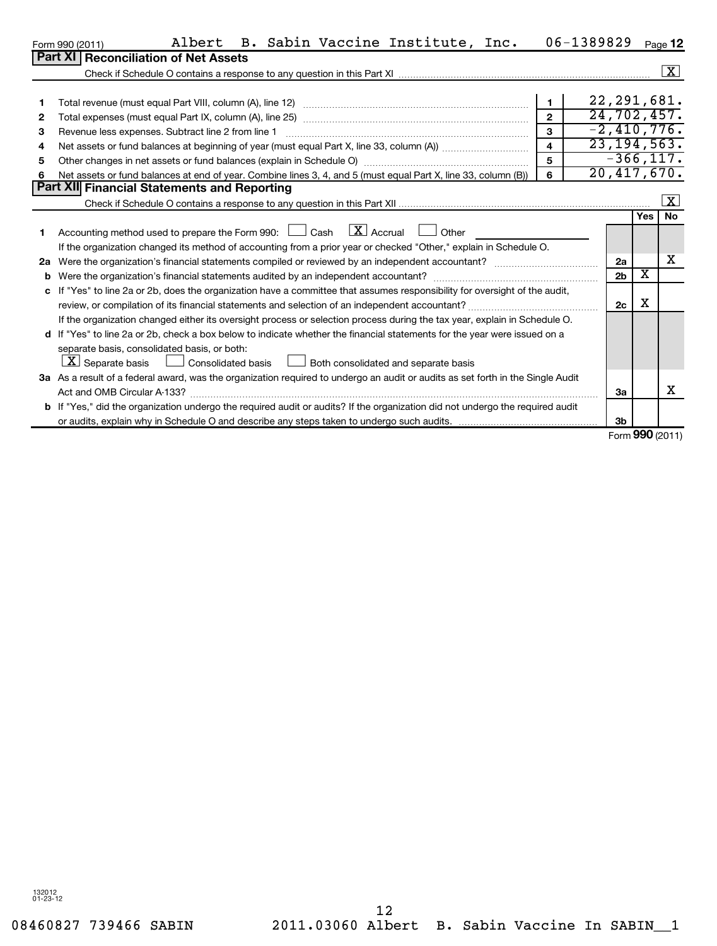|              | Albert<br>B. Sabin Vaccine Institute, Inc.<br>Form 990 (2011)                                                                                                             |                  | 06-1389829     |                                | Page 12                   |
|--------------|---------------------------------------------------------------------------------------------------------------------------------------------------------------------------|------------------|----------------|--------------------------------|---------------------------|
|              | <b>Part XI   Reconciliation of Net Assets</b>                                                                                                                             |                  |                |                                |                           |
|              |                                                                                                                                                                           |                  |                |                                | $\boxed{\textbf{X}}$      |
|              |                                                                                                                                                                           |                  |                |                                |                           |
| 1            |                                                                                                                                                                           | $\mathbf{1}$     | 22, 291, 681.  |                                |                           |
| $\mathbf{2}$ |                                                                                                                                                                           |                  | 24,702,457.    |                                |                           |
| 3            | Revenue less expenses. Subtract line 2 from line 1                                                                                                                        | $\mathbf{3}$     | $-2,410,776.$  |                                |                           |
| 4            |                                                                                                                                                                           | $\blacktriangle$ | 23, 194, 563.  |                                |                           |
| 5            |                                                                                                                                                                           | 5                | $-366, 117.$   |                                |                           |
| 6            | Net assets or fund balances at end of year. Combine lines 3, 4, and 5 (must equal Part X, line 33, column (B))                                                            | 6                | 20,417,670.    |                                |                           |
|              | <b>Part XII</b> Financial Statements and Reporting                                                                                                                        |                  |                |                                |                           |
|              |                                                                                                                                                                           |                  |                |                                | $\lfloor x \rfloor$<br>No |
|              |                                                                                                                                                                           |                  |                | <b>Yes</b>                     |                           |
|              | Accounting method used to prepare the Form 990: $\Box$ Cash $\Box X$ Accrual $\Box$<br>Other                                                                              |                  |                |                                |                           |
|              | If the organization changed its method of accounting from a prior year or checked "Other," explain in Schedule O.                                                         |                  |                |                                | х                         |
| 2a           |                                                                                                                                                                           |                  | 2a             | $\overline{\text{x}}$          |                           |
| b            |                                                                                                                                                                           |                  | 2 <sub>b</sub> |                                |                           |
| c            | If "Yes" to line 2a or 2b, does the organization have a committee that assumes responsibility for oversight of the audit,                                                 |                  |                | х                              |                           |
|              |                                                                                                                                                                           |                  | 2c             |                                |                           |
|              | If the organization changed either its oversight process or selection process during the tax year, explain in Schedule O.                                                 |                  |                |                                |                           |
|              | d If "Yes" to line 2a or 2b, check a box below to indicate whether the financial statements for the year were issued on a<br>separate basis, consolidated basis, or both: |                  |                |                                |                           |
|              | $\mathbf{X}$ Separate basis<br>Consolidated basis Lubble Both consolidated and separate basis                                                                             |                  |                |                                |                           |
|              | 3a As a result of a federal award, was the organization required to undergo an audit or audits as set forth in the Single Audit                                           |                  |                |                                |                           |
|              |                                                                                                                                                                           |                  | За             |                                | x                         |
|              | b If "Yes," did the organization undergo the required audit or audits? If the organization did not undergo the required audit                                             |                  |                |                                |                           |
|              |                                                                                                                                                                           |                  | 3 <sub>b</sub> |                                |                           |
|              |                                                                                                                                                                           |                  |                | $T_{\text{max}}$ 000 $(0.013)$ |                           |

Form (2011) **990**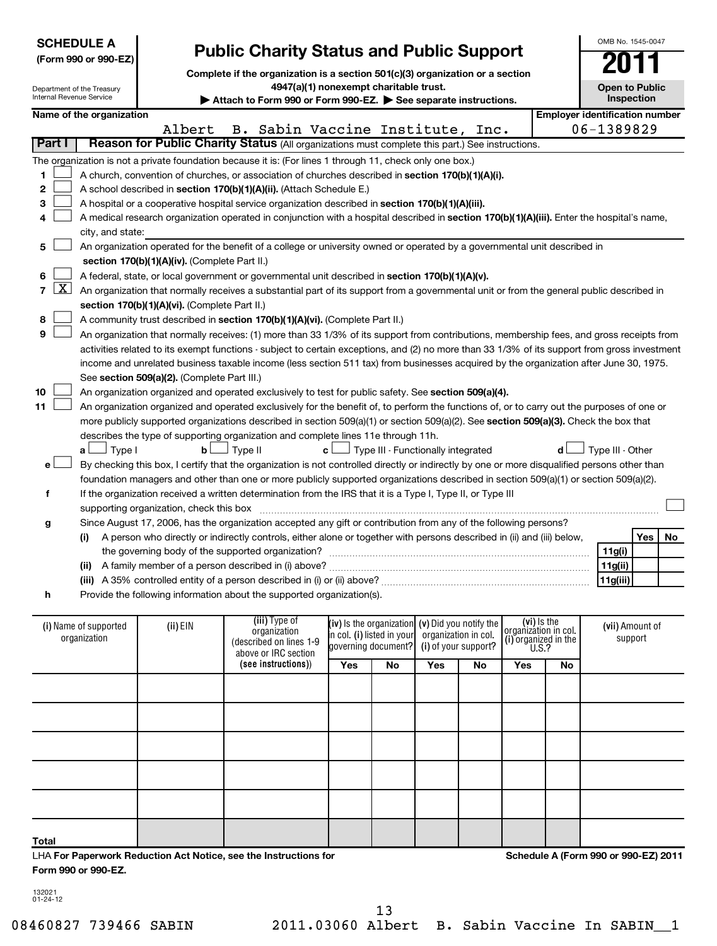| <b>SCHEDULE A</b>                                                                                    | (Form 990 or 990-EZ)     |                                                                                                                                                                                                                                 | <b>Public Charity Status and Public Support</b>                                                                                               |                      |                                                   |     |                      |                      |           | OMB No. 1545-0047                     |  |
|------------------------------------------------------------------------------------------------------|--------------------------|---------------------------------------------------------------------------------------------------------------------------------------------------------------------------------------------------------------------------------|-----------------------------------------------------------------------------------------------------------------------------------------------|----------------------|---------------------------------------------------|-----|----------------------|----------------------|-----------|---------------------------------------|--|
| Department of the Treasury<br>Internal Revenue Service                                               |                          | Complete if the organization is a section 501(c)(3) organization or a section<br>4947(a)(1) nonexempt charitable trust.<br><b>Open to Public</b><br>Inspection<br>Attach to Form 990 or Form 990-EZ. See separate instructions. |                                                                                                                                               |                      |                                                   |     |                      |                      |           |                                       |  |
|                                                                                                      | Name of the organization |                                                                                                                                                                                                                                 |                                                                                                                                               |                      |                                                   |     |                      |                      |           | <b>Employer identification number</b> |  |
|                                                                                                      |                          | Albert                                                                                                                                                                                                                          | B. Sabin Vaccine Institute, Inc.                                                                                                              |                      |                                                   |     |                      |                      |           | 06-1389829                            |  |
| Part I                                                                                               |                          |                                                                                                                                                                                                                                 | Reason for Public Charity Status (All organizations must complete this part.) See instructions.                                               |                      |                                                   |     |                      |                      |           |                                       |  |
|                                                                                                      |                          |                                                                                                                                                                                                                                 | The organization is not a private foundation because it is: (For lines 1 through 11, check only one box.)                                     |                      |                                                   |     |                      |                      |           |                                       |  |
| 1                                                                                                    |                          |                                                                                                                                                                                                                                 | A church, convention of churches, or association of churches described in section 170(b)(1)(A)(i).                                            |                      |                                                   |     |                      |                      |           |                                       |  |
| 2                                                                                                    |                          |                                                                                                                                                                                                                                 | A school described in section 170(b)(1)(A)(ii). (Attach Schedule E.)                                                                          |                      |                                                   |     |                      |                      |           |                                       |  |
| 3                                                                                                    |                          |                                                                                                                                                                                                                                 | A hospital or a cooperative hospital service organization described in section 170(b)(1)(A)(iii).                                             |                      |                                                   |     |                      |                      |           |                                       |  |
| 4                                                                                                    |                          |                                                                                                                                                                                                                                 | A medical research organization operated in conjunction with a hospital described in section 170(b)(1)(A)(iii). Enter the hospital's name,    |                      |                                                   |     |                      |                      |           |                                       |  |
|                                                                                                      | city, and state:         |                                                                                                                                                                                                                                 |                                                                                                                                               |                      |                                                   |     |                      |                      |           |                                       |  |
| 5                                                                                                    |                          |                                                                                                                                                                                                                                 | An organization operated for the benefit of a college or university owned or operated by a governmental unit described in                     |                      |                                                   |     |                      |                      |           |                                       |  |
|                                                                                                      |                          | section 170(b)(1)(A)(iv). (Complete Part II.)                                                                                                                                                                                   |                                                                                                                                               |                      |                                                   |     |                      |                      |           |                                       |  |
| 6                                                                                                    |                          |                                                                                                                                                                                                                                 | A federal, state, or local government or governmental unit described in section 170(b)(1)(A)(v).                                              |                      |                                                   |     |                      |                      |           |                                       |  |
| $\mathbf{X}$<br>7                                                                                    |                          |                                                                                                                                                                                                                                 | An organization that normally receives a substantial part of its support from a governmental unit or from the general public described in     |                      |                                                   |     |                      |                      |           |                                       |  |
|                                                                                                      |                          | section 170(b)(1)(A)(vi). (Complete Part II.)                                                                                                                                                                                   |                                                                                                                                               |                      |                                                   |     |                      |                      |           |                                       |  |
| 8                                                                                                    |                          |                                                                                                                                                                                                                                 | A community trust described in section 170(b)(1)(A)(vi). (Complete Part II.)                                                                  |                      |                                                   |     |                      |                      |           |                                       |  |
| 9                                                                                                    |                          |                                                                                                                                                                                                                                 | An organization that normally receives: (1) more than 33 1/3% of its support from contributions, membership fees, and gross receipts from     |                      |                                                   |     |                      |                      |           |                                       |  |
|                                                                                                      |                          |                                                                                                                                                                                                                                 | activities related to its exempt functions - subject to certain exceptions, and (2) no more than 33 1/3% of its support from gross investment |                      |                                                   |     |                      |                      |           |                                       |  |
|                                                                                                      |                          |                                                                                                                                                                                                                                 | income and unrelated business taxable income (less section 511 tax) from businesses acquired by the organization after June 30, 1975.         |                      |                                                   |     |                      |                      |           |                                       |  |
|                                                                                                      |                          | See section 509(a)(2). (Complete Part III.)                                                                                                                                                                                     |                                                                                                                                               |                      |                                                   |     |                      |                      |           |                                       |  |
| 10                                                                                                   |                          |                                                                                                                                                                                                                                 | An organization organized and operated exclusively to test for public safety. See section 509(a)(4).                                          |                      |                                                   |     |                      |                      |           |                                       |  |
| 11                                                                                                   |                          |                                                                                                                                                                                                                                 | An organization organized and operated exclusively for the benefit of, to perform the functions of, or to carry out the purposes of one or    |                      |                                                   |     |                      |                      |           |                                       |  |
|                                                                                                      |                          |                                                                                                                                                                                                                                 | more publicly supported organizations described in section 509(a)(1) or section 509(a)(2). See section 509(a)(3). Check the box that          |                      |                                                   |     |                      |                      |           |                                       |  |
|                                                                                                      |                          |                                                                                                                                                                                                                                 | describes the type of supporting organization and complete lines 11e through 11h.                                                             |                      |                                                   |     |                      |                      |           |                                       |  |
|                                                                                                      | J Type I<br>aι           | b                                                                                                                                                                                                                               | Type II<br>c l                                                                                                                                |                      | Type III - Functionally integrated                |     |                      |                      | d l       | Type III - Other                      |  |
| е                                                                                                    |                          |                                                                                                                                                                                                                                 | By checking this box, I certify that the organization is not controlled directly or indirectly by one or more disqualified persons other than |                      |                                                   |     |                      |                      |           |                                       |  |
|                                                                                                      |                          |                                                                                                                                                                                                                                 | foundation managers and other than one or more publicly supported organizations described in section 509(a)(1) or section 509(a)(2).          |                      |                                                   |     |                      |                      |           |                                       |  |
| f                                                                                                    |                          |                                                                                                                                                                                                                                 | If the organization received a written determination from the IRS that it is a Type I, Type II, or Type III                                   |                      |                                                   |     |                      |                      |           |                                       |  |
|                                                                                                      |                          | supporting organization, check this box                                                                                                                                                                                         |                                                                                                                                               |                      |                                                   |     |                      |                      |           |                                       |  |
| g                                                                                                    |                          |                                                                                                                                                                                                                                 | Since August 17, 2006, has the organization accepted any gift or contribution from any of the following persons?                              |                      |                                                   |     |                      |                      |           |                                       |  |
|                                                                                                      | (i)                      |                                                                                                                                                                                                                                 | A person who directly or indirectly controls, either alone or together with persons described in (ii) and (iii) below,                        |                      |                                                   |     |                      |                      |           | Yes<br>No                             |  |
|                                                                                                      |                          |                                                                                                                                                                                                                                 |                                                                                                                                               |                      |                                                   |     |                      |                      |           | 11g(i)                                |  |
|                                                                                                      |                          |                                                                                                                                                                                                                                 | (ii) A family member of a person described in (i) above?                                                                                      |                      |                                                   |     |                      |                      |           | 11g(ii)                               |  |
|                                                                                                      |                          |                                                                                                                                                                                                                                 | (iii) A 35% controlled entity of a person described in (i) or (ii) above?                                                                     |                      |                                                   |     |                      |                      |           | 11g(iii)                              |  |
| h                                                                                                    |                          |                                                                                                                                                                                                                                 | Provide the following information about the supported organization(s).                                                                        |                      |                                                   |     |                      |                      |           |                                       |  |
|                                                                                                      |                          |                                                                                                                                                                                                                                 | (iii) Type of                                                                                                                                 |                      |                                                   |     |                      | (vi) Is the          |           |                                       |  |
|                                                                                                      | (i) Name of supported    | (ii) EIN                                                                                                                                                                                                                        | organization                                                                                                                                  |                      | $(iv)$ is the organization (v) Did you notify the |     | organization in col. | organizátion in col. |           | (vii) Amount of                       |  |
| in col. (i) listed in your $\vert$<br>organization<br>(described on lines 1-9<br>governing document? |                          |                                                                                                                                                                                                                                 |                                                                                                                                               | (i) of your support? | (i) organized in the $U.S.$ ?                     |     | support              |                      |           |                                       |  |
|                                                                                                      |                          |                                                                                                                                                                                                                                 | above or IRC section<br>(see instructions))                                                                                                   | Yes                  | No                                                | Yes | No                   | Yes                  | <b>No</b> |                                       |  |
|                                                                                                      |                          |                                                                                                                                                                                                                                 |                                                                                                                                               |                      |                                                   |     |                      |                      |           |                                       |  |
|                                                                                                      |                          |                                                                                                                                                                                                                                 |                                                                                                                                               |                      |                                                   |     |                      |                      |           |                                       |  |
|                                                                                                      |                          |                                                                                                                                                                                                                                 |                                                                                                                                               |                      |                                                   |     |                      |                      |           |                                       |  |
|                                                                                                      |                          |                                                                                                                                                                                                                                 |                                                                                                                                               |                      |                                                   |     |                      |                      |           |                                       |  |
|                                                                                                      |                          |                                                                                                                                                                                                                                 |                                                                                                                                               |                      |                                                   |     |                      |                      |           |                                       |  |
|                                                                                                      |                          |                                                                                                                                                                                                                                 |                                                                                                                                               |                      |                                                   |     |                      |                      |           |                                       |  |
|                                                                                                      |                          |                                                                                                                                                                                                                                 |                                                                                                                                               |                      |                                                   |     |                      |                      |           |                                       |  |
|                                                                                                      |                          |                                                                                                                                                                                                                                 |                                                                                                                                               |                      |                                                   |     |                      |                      |           |                                       |  |
|                                                                                                      |                          |                                                                                                                                                                                                                                 |                                                                                                                                               |                      |                                                   |     |                      |                      |           |                                       |  |
|                                                                                                      |                          |                                                                                                                                                                                                                                 |                                                                                                                                               |                      |                                                   |     |                      |                      |           |                                       |  |

LHA **For Paperwork Reduction Act Notice, see the Instructions for Form 990 or 990-EZ.**

**Schedule A (Form 990 or 990-EZ) 2011**

132021 01-24-12

**Total**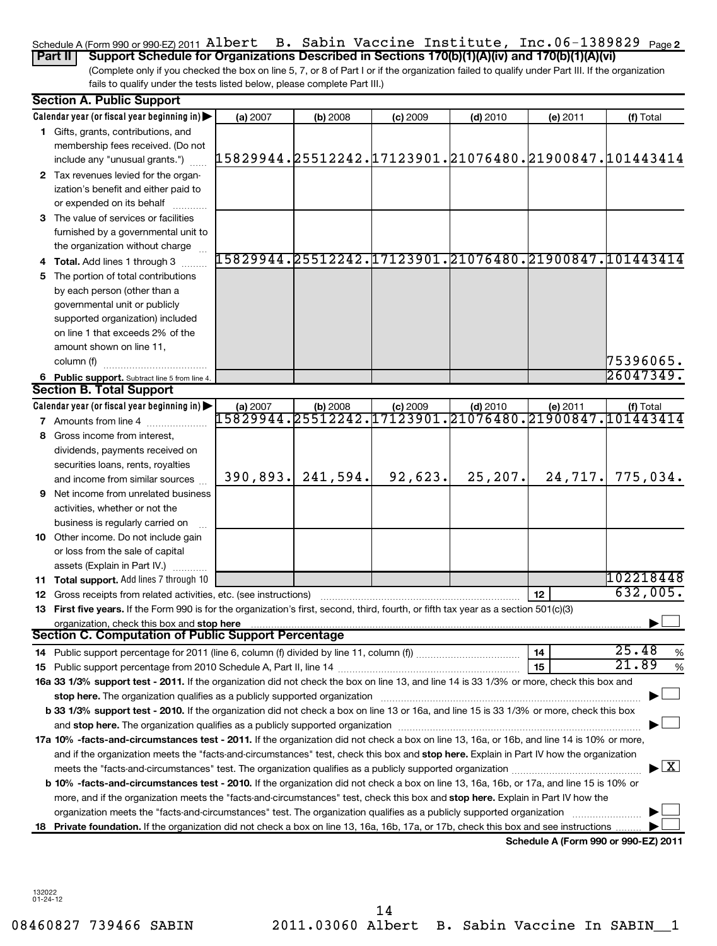### Schedule A (Form 990 or 990-EZ) 2011 <code>Albert B.</code> Sabin Vaccine Institute, Inc.06-1389829 <code>page2</code> **Part II** Support Schedule for Organizations Described in Sections 170(b)(1)(A)(iv) and 170(b)(1)(A)(vi)

(Complete only if you checked the box on line 5, 7, or 8 of Part I or if the organization failed to qualify under Part III. If the organization fails to qualify under the tests listed below, please complete Part III.)

|   | <b>Section A. Public Support</b>                                                                                                                                                                                                                                                                                                                                          |           |            |            |            |                                      |                                                        |  |
|---|---------------------------------------------------------------------------------------------------------------------------------------------------------------------------------------------------------------------------------------------------------------------------------------------------------------------------------------------------------------------------|-----------|------------|------------|------------|--------------------------------------|--------------------------------------------------------|--|
|   | Calendar year (or fiscal year beginning in)                                                                                                                                                                                                                                                                                                                               | (a) 2007  | (b) 2008   | (c) 2009   | $(d)$ 2010 | (e) 2011                             | (f) Total                                              |  |
|   | 1 Gifts, grants, contributions, and                                                                                                                                                                                                                                                                                                                                       |           |            |            |            |                                      |                                                        |  |
|   | membership fees received. (Do not                                                                                                                                                                                                                                                                                                                                         |           |            |            |            |                                      |                                                        |  |
|   | include any "unusual grants.")                                                                                                                                                                                                                                                                                                                                            |           |            |            |            |                                      | 15829944.25512242.17123901.21076480.21900847.101443414 |  |
|   | 2 Tax revenues levied for the organ-                                                                                                                                                                                                                                                                                                                                      |           |            |            |            |                                      |                                                        |  |
|   | ization's benefit and either paid to                                                                                                                                                                                                                                                                                                                                      |           |            |            |            |                                      |                                                        |  |
|   | or expended on its behalf                                                                                                                                                                                                                                                                                                                                                 |           |            |            |            |                                      |                                                        |  |
|   | 3 The value of services or facilities                                                                                                                                                                                                                                                                                                                                     |           |            |            |            |                                      |                                                        |  |
|   | furnished by a governmental unit to                                                                                                                                                                                                                                                                                                                                       |           |            |            |            |                                      |                                                        |  |
|   | the organization without charge                                                                                                                                                                                                                                                                                                                                           |           |            |            |            |                                      |                                                        |  |
|   | 4 Total. Add lines 1 through 3                                                                                                                                                                                                                                                                                                                                            |           |            |            |            |                                      | 15829944.25512242.17123901.21076480.21900847.101443414 |  |
|   | 5 The portion of total contributions                                                                                                                                                                                                                                                                                                                                      |           |            |            |            |                                      |                                                        |  |
|   | by each person (other than a                                                                                                                                                                                                                                                                                                                                              |           |            |            |            |                                      |                                                        |  |
|   | governmental unit or publicly                                                                                                                                                                                                                                                                                                                                             |           |            |            |            |                                      |                                                        |  |
|   | supported organization) included                                                                                                                                                                                                                                                                                                                                          |           |            |            |            |                                      |                                                        |  |
|   | on line 1 that exceeds 2% of the                                                                                                                                                                                                                                                                                                                                          |           |            |            |            |                                      |                                                        |  |
|   | amount shown on line 11,                                                                                                                                                                                                                                                                                                                                                  |           |            |            |            |                                      |                                                        |  |
|   | column (f)                                                                                                                                                                                                                                                                                                                                                                |           |            |            |            |                                      | 75396065.                                              |  |
|   | 6 Public support. Subtract line 5 from line 4.                                                                                                                                                                                                                                                                                                                            |           |            |            |            |                                      | 26047349.                                              |  |
|   | <b>Section B. Total Support</b>                                                                                                                                                                                                                                                                                                                                           |           |            |            |            |                                      |                                                        |  |
|   | Calendar year (or fiscal year beginning in)                                                                                                                                                                                                                                                                                                                               | (a) 2007  | $(b)$ 2008 | $(c)$ 2009 | $(d)$ 2010 | (e) 2011                             | (f) Total                                              |  |
|   | <b>7</b> Amounts from line 4                                                                                                                                                                                                                                                                                                                                              | 15829944. | 25512242.  | 17123901.  |            | 21076480.21900847.101443414          |                                                        |  |
| 8 | Gross income from interest.                                                                                                                                                                                                                                                                                                                                               |           |            |            |            |                                      |                                                        |  |
|   | dividends, payments received on                                                                                                                                                                                                                                                                                                                                           |           |            |            |            |                                      |                                                        |  |
|   | securities loans, rents, royalties                                                                                                                                                                                                                                                                                                                                        |           |            |            |            |                                      |                                                        |  |
|   | and income from similar sources                                                                                                                                                                                                                                                                                                                                           | 390,893.  | 241,594.   | 92,623.    | 25,207.    | 24,717.                              | 775,034.                                               |  |
|   | <b>9</b> Net income from unrelated business                                                                                                                                                                                                                                                                                                                               |           |            |            |            |                                      |                                                        |  |
|   | activities, whether or not the                                                                                                                                                                                                                                                                                                                                            |           |            |            |            |                                      |                                                        |  |
|   | business is regularly carried on                                                                                                                                                                                                                                                                                                                                          |           |            |            |            |                                      |                                                        |  |
|   | <b>10</b> Other income. Do not include gain                                                                                                                                                                                                                                                                                                                               |           |            |            |            |                                      |                                                        |  |
|   | or loss from the sale of capital                                                                                                                                                                                                                                                                                                                                          |           |            |            |            |                                      |                                                        |  |
|   | assets (Explain in Part IV.)                                                                                                                                                                                                                                                                                                                                              |           |            |            |            |                                      |                                                        |  |
|   | 11 Total support. Add lines 7 through 10                                                                                                                                                                                                                                                                                                                                  |           |            |            |            |                                      | 102218448                                              |  |
|   | <b>12</b> Gross receipts from related activities, etc. (see instructions)                                                                                                                                                                                                                                                                                                 |           |            |            |            | 12                                   | 632,005.                                               |  |
|   | 13 First five years. If the Form 990 is for the organization's first, second, third, fourth, or fifth tax year as a section 501(c)(3)                                                                                                                                                                                                                                     |           |            |            |            |                                      |                                                        |  |
|   | organization, check this box and stop here                                                                                                                                                                                                                                                                                                                                |           |            |            |            |                                      |                                                        |  |
|   | <b>Section C. Computation of Public Support Percentage</b>                                                                                                                                                                                                                                                                                                                |           |            |            |            |                                      |                                                        |  |
|   |                                                                                                                                                                                                                                                                                                                                                                           |           |            |            |            | 14                                   | 25.48<br>%<br>21.89                                    |  |
|   |                                                                                                                                                                                                                                                                                                                                                                           |           |            |            |            | 15                                   | $\%$                                                   |  |
|   | 16a 33 1/3% support test - 2011. If the organization did not check the box on line 13, and line 14 is 33 1/3% or more, check this box and                                                                                                                                                                                                                                 |           |            |            |            |                                      |                                                        |  |
|   | stop here. The organization qualifies as a publicly supported organization manufaction manufacture or the organization manufacture or the state of the state of the state of the state of the state of the state of the state<br>b 33 1/3% support test - 2010. If the organization did not check a box on line 13 or 16a, and line 15 is 33 1/3% or more, check this box |           |            |            |            |                                      |                                                        |  |
|   |                                                                                                                                                                                                                                                                                                                                                                           |           |            |            |            |                                      |                                                        |  |
|   |                                                                                                                                                                                                                                                                                                                                                                           |           |            |            |            |                                      |                                                        |  |
|   | 17a 10% -facts-and-circumstances test - 2011. If the organization did not check a box on line 13, 16a, or 16b, and line 14 is 10% or more,<br>and if the organization meets the "facts-and-circumstances" test, check this box and stop here. Explain in Part IV how the organization                                                                                     |           |            |            |            |                                      |                                                        |  |
|   |                                                                                                                                                                                                                                                                                                                                                                           |           |            |            |            |                                      | $\blacktriangleright$ $\boxed{\text{X}}$               |  |
|   |                                                                                                                                                                                                                                                                                                                                                                           |           |            |            |            |                                      |                                                        |  |
|   | <b>b 10% -facts-and-circumstances test - 2010.</b> If the organization did not check a box on line 13, 16a, 16b, or 17a, and line 15 is 10% or                                                                                                                                                                                                                            |           |            |            |            |                                      |                                                        |  |
|   | more, and if the organization meets the "facts-and-circumstances" test, check this box and stop here. Explain in Part IV how the                                                                                                                                                                                                                                          |           |            |            |            |                                      |                                                        |  |
|   | organization meets the "facts-and-circumstances" test. The organization qualifies as a publicly supported organization                                                                                                                                                                                                                                                    |           |            |            |            |                                      |                                                        |  |
|   | 18 Private foundation. If the organization did not check a box on line 13, 16a, 16b, 17a, or 17b, check this box and see instructions                                                                                                                                                                                                                                     |           |            |            |            |                                      |                                                        |  |
|   |                                                                                                                                                                                                                                                                                                                                                                           |           |            |            |            | Schedule A (Form 990 or 990-EZ) 2011 |                                                        |  |

132022 01-24-12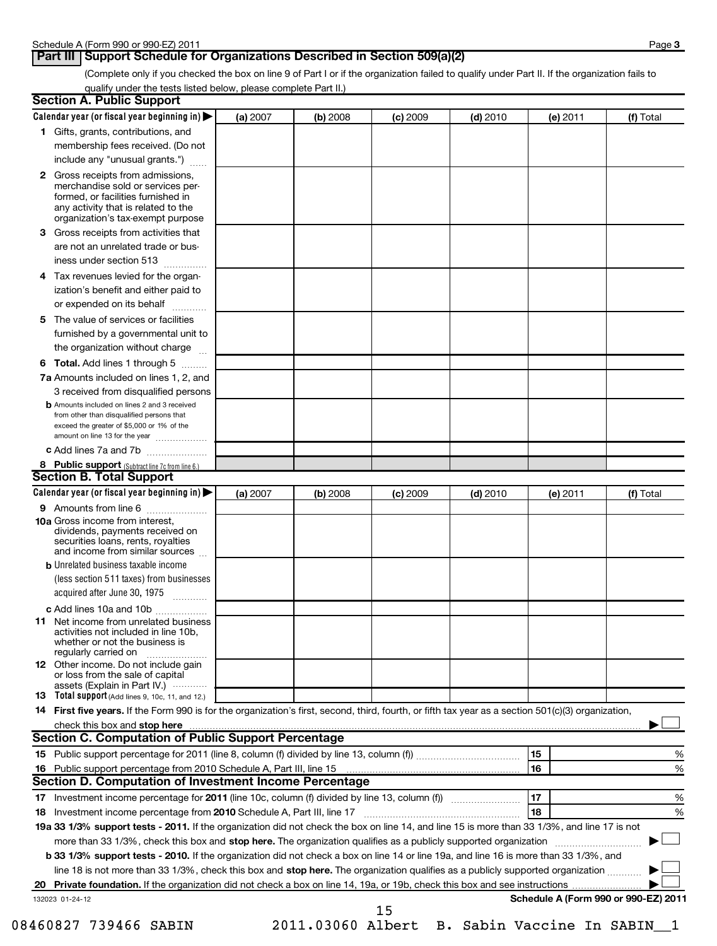## **Part III** Support Schedule for Organizations Described in Section 509(a)(2)

(Complete only if you checked the box on line 9 of Part I or if the organization failed to qualify under Part II. If the organization fails to qualify under the tests listed below, please complete Part II.)

|   | <b>Section A. Public Support</b>                                                                                                                                                                                               |          |          |            |            |                                      |           |
|---|--------------------------------------------------------------------------------------------------------------------------------------------------------------------------------------------------------------------------------|----------|----------|------------|------------|--------------------------------------|-----------|
|   | Calendar year (or fiscal year beginning in)                                                                                                                                                                                    | (a) 2007 | (b) 2008 | $(c)$ 2009 | $(d)$ 2010 | (e) 2011                             | (f) Total |
|   | 1 Gifts, grants, contributions, and                                                                                                                                                                                            |          |          |            |            |                                      |           |
|   | membership fees received. (Do not                                                                                                                                                                                              |          |          |            |            |                                      |           |
|   | include any "unusual grants.")                                                                                                                                                                                                 |          |          |            |            |                                      |           |
|   | <b>2</b> Gross receipts from admissions,<br>merchandise sold or services per-<br>formed, or facilities furnished in<br>any activity that is related to the<br>organization's tax-exempt purpose                                |          |          |            |            |                                      |           |
|   | 3 Gross receipts from activities that                                                                                                                                                                                          |          |          |            |            |                                      |           |
|   | are not an unrelated trade or bus-                                                                                                                                                                                             |          |          |            |            |                                      |           |
|   | iness under section 513                                                                                                                                                                                                        |          |          |            |            |                                      |           |
| 4 | Tax revenues levied for the organ-                                                                                                                                                                                             |          |          |            |            |                                      |           |
|   | ization's benefit and either paid to<br>or expended on its behalf                                                                                                                                                              |          |          |            |            |                                      |           |
|   | 5 The value of services or facilities                                                                                                                                                                                          |          |          |            |            |                                      |           |
|   | furnished by a governmental unit to                                                                                                                                                                                            |          |          |            |            |                                      |           |
|   | the organization without charge                                                                                                                                                                                                |          |          |            |            |                                      |           |
|   | <b>6 Total.</b> Add lines 1 through 5                                                                                                                                                                                          |          |          |            |            |                                      |           |
|   | 7a Amounts included on lines 1, 2, and                                                                                                                                                                                         |          |          |            |            |                                      |           |
|   | 3 received from disqualified persons                                                                                                                                                                                           |          |          |            |            |                                      |           |
|   | <b>b</b> Amounts included on lines 2 and 3 received<br>from other than disqualified persons that<br>exceed the greater of \$5,000 or 1% of the<br>amount on line 13 for the year                                               |          |          |            |            |                                      |           |
|   | c Add lines 7a and 7b                                                                                                                                                                                                          |          |          |            |            |                                      |           |
|   | 8 Public support (Subtract line 7c from line 6.)                                                                                                                                                                               |          |          |            |            |                                      |           |
|   | <b>Section B. Total Support</b>                                                                                                                                                                                                |          |          |            |            |                                      |           |
|   | Calendar year (or fiscal year beginning in)                                                                                                                                                                                    | (a) 2007 | (b) 2008 | $(c)$ 2009 | $(d)$ 2010 | (e) 2011                             | (f) Total |
|   | 9 Amounts from line 6                                                                                                                                                                                                          |          |          |            |            |                                      |           |
|   | <b>10a</b> Gross income from interest,<br>dividends, payments received on<br>securities loans, rents, royalties<br>and income from similar sources                                                                             |          |          |            |            |                                      |           |
|   | <b>b</b> Unrelated business taxable income                                                                                                                                                                                     |          |          |            |            |                                      |           |
|   | (less section 511 taxes) from businesses                                                                                                                                                                                       |          |          |            |            |                                      |           |
|   | acquired after June 30, 1975<br>$\overline{\phantom{a}}$                                                                                                                                                                       |          |          |            |            |                                      |           |
|   | c Add lines 10a and 10b                                                                                                                                                                                                        |          |          |            |            |                                      |           |
|   | <b>11</b> Net income from unrelated business<br>activities not included in line 10b,<br>whether or not the business is<br>regularly carried on                                                                                 |          |          |            |            |                                      |           |
|   | 12 Other income. Do not include gain<br>or loss from the sale of capital<br>assets (Explain in Part IV.)                                                                                                                       |          |          |            |            |                                      |           |
|   | 13 Total support (Add lines 9, 10c, 11, and 12.)                                                                                                                                                                               |          |          |            |            |                                      |           |
|   | 14 First five years. If the Form 990 is for the organization's first, second, third, fourth, or fifth tax year as a section 501(c)(3) organization,                                                                            |          |          |            |            |                                      |           |
|   | check this box and stop here with the content of the content of the state of the content of the state of the state of the content of the content of the content of the content of the content of the content of the content of |          |          |            |            |                                      |           |
|   | Section C. Computation of Public Support Percentage                                                                                                                                                                            |          |          |            |            |                                      |           |
|   |                                                                                                                                                                                                                                |          |          |            |            | 15                                   | %         |
|   | Section D. Computation of Investment Income Percentage                                                                                                                                                                         |          |          |            |            | 16                                   | %         |
|   |                                                                                                                                                                                                                                |          |          |            |            | 17                                   | %         |
|   | 18 Investment income percentage from 2010 Schedule A, Part III, line 17                                                                                                                                                        |          |          |            |            | 18                                   | %         |
|   | 19a 33 1/3% support tests - 2011. If the organization did not check the box on line 14, and line 15 is more than 33 1/3%, and line 17 is not                                                                                   |          |          |            |            |                                      |           |
|   | more than 33 1/3%, check this box and stop here. The organization qualifies as a publicly supported organization                                                                                                               |          |          |            |            |                                      |           |
|   | b 33 1/3% support tests - 2010. If the organization did not check a box on line 14 or line 19a, and line 16 is more than 33 1/3%, and                                                                                          |          |          |            |            |                                      |           |
|   | line 18 is not more than 33 1/3%, check this box and stop here. The organization qualifies as a publicly supported organization                                                                                                |          |          |            |            |                                      |           |
|   |                                                                                                                                                                                                                                |          |          |            |            |                                      |           |
|   | 132023 01-24-12                                                                                                                                                                                                                |          |          | 15         |            | Schedule A (Form 990 or 990-EZ) 2011 |           |

08460827 739466 SABIN 2011.03060 Albert B. Sabin Vaccine In SABIN\_\_1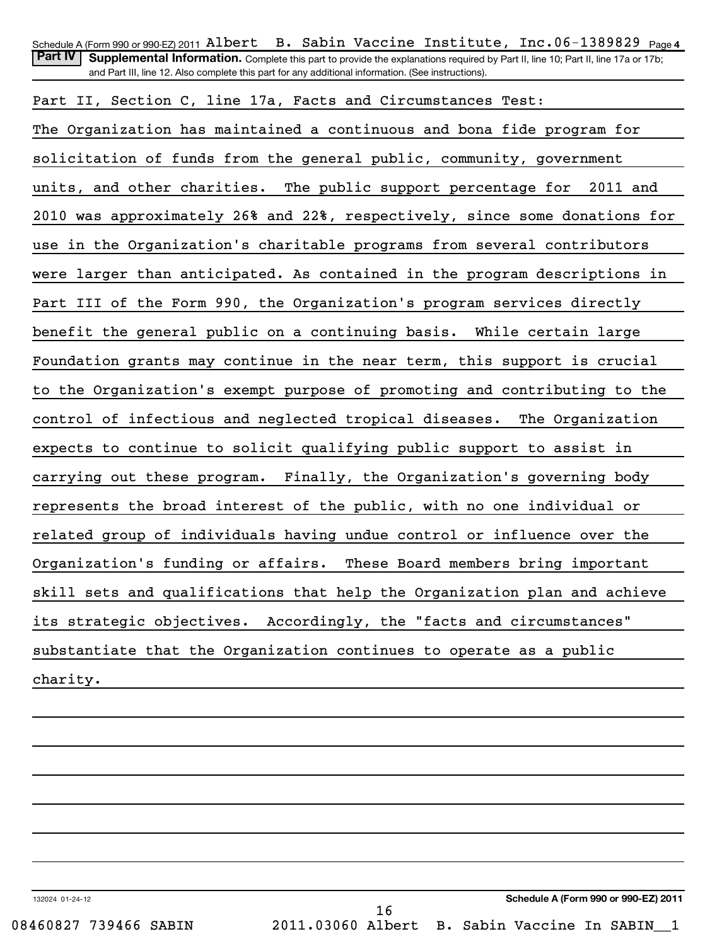| Schedule A (Form 990 or 990-EZ) 2011 Albert B. Sabin Vaccine Institute, Inc.06-1389829 $_{\text{Page 4}}$                                          |
|----------------------------------------------------------------------------------------------------------------------------------------------------|
| <b>Part IV</b><br>Supplemental Information. Complete this part to provide the explanations required by Part II, line 10; Part II, line 17a or 17b; |
| and Part III, line 12. Also complete this part for any additional information. (See instructions).                                                 |
| Part II, Section C, line 17a, Facts and Circumstances Test:                                                                                        |
| The Organization has maintained a continuous and bona fide program for                                                                             |
| solicitation of funds from the general public, community, government                                                                               |
| units, and other charities. The public support percentage for 2011 and                                                                             |
| 2010 was approximately 26% and 22%, respectively, since some donations for                                                                         |
| use in the Organization's charitable programs from several contributors                                                                            |
| were larger than anticipated. As contained in the program descriptions in                                                                          |
| Part III of the Form 990, the Organization's program services directly                                                                             |
| benefit the general public on a continuing basis. While certain large                                                                              |
| Foundation grants may continue in the near term, this support is crucial                                                                           |
| to the Organization's exempt purpose of promoting and contributing to the                                                                          |
| control of infectious and neglected tropical diseases.<br>The Organization                                                                         |
| expects to continue to solicit qualifying public support to assist in                                                                              |
| carrying out these program. Finally, the Organization's governing body                                                                             |
| represents the broad interest of the public, with no one individual or                                                                             |
| related group of individuals having undue control or influence over the                                                                            |
| Organization's funding or affairs.<br>These Board members bring important                                                                          |
| skill sets and qualifications that help the Organization plan and achieve                                                                          |
| its strategic objectives. Accordingly, the "facts and circumstances"                                                                               |
| substantiate that the Organization continues to operate as a public                                                                                |
| charity.                                                                                                                                           |
|                                                                                                                                                    |

132024 01-24-12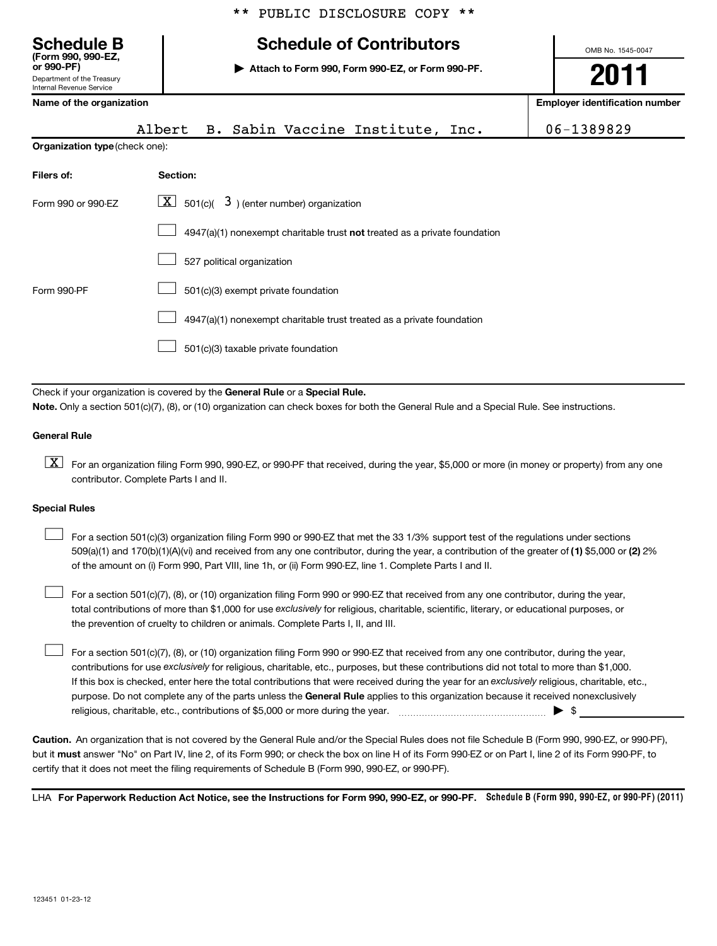# **Schedule B Schedule of Contributors**

**or 990-PF) | Attach to Form 990, Form 990-EZ, or Form 990-PF.**

OMB No. 1545-0047 **2011**

# Department of the Treasury

**(Form 990, 990-EZ,**

| Internal Revenue Service              |                                                                             |  |                                       |
|---------------------------------------|-----------------------------------------------------------------------------|--|---------------------------------------|
| Name of the organization              |                                                                             |  | <b>Employer identification number</b> |
|                                       | Albert B. Sabin Vaccine Institute, Inc.                                     |  | 06-1389829                            |
| <b>Organization type (check one):</b> |                                                                             |  |                                       |
| Filers of:                            | Section:                                                                    |  |                                       |
| Form 990 or 990-EZ                    | $\lfloor \underline{X} \rfloor$ 501(c)( 3) (enter number) organization      |  |                                       |
|                                       | $4947(a)(1)$ nonexempt charitable trust not treated as a private foundation |  |                                       |
|                                       | 527 political organization                                                  |  |                                       |
| Form 990-PF                           |                                                                             |  |                                       |
|                                       | 4947(a)(1) nonexempt charitable trust treated as a private foundation       |  |                                       |
|                                       | 501(c)(3) taxable private foundation                                        |  |                                       |

Check if your organization is covered by the General Rule or a Special Rule. **Note.**  Only a section 501(c)(7), (8), or (10) organization can check boxes for both the General Rule and a Special Rule. See instructions.

### **General Rule**

 $\boxed{\textbf{X}}$  For an organization filing Form 990, 990-EZ, or 990-PF that received, during the year, \$5,000 or more (in money or property) from any one contributor. Complete Parts I and II.

### **Special Rules**

509(a)(1) and 170(b)(1)(A)(vi) and received from any one contributor, during the year, a contribution of the greater of (1**)** \$5,000 or (**2**) 2% For a section 501(c)(3) organization filing Form 990 or 990-EZ that met the 33 1/3% support test of the regulations under sections of the amount on (i) Form 990, Part VIII, line 1h, or (ii) Form 990-EZ, line 1. Complete Parts I and II.  $\left\vert \cdot\right\vert$ 

total contributions of more than \$1,000 for use exclusively for religious, charitable, scientific, literary, or educational purposes, or  $\perp$  For a section 501(c)(7), (8), or (10) organization filing Form 990 or 990-EZ that received from any one contributor, during the year, the prevention of cruelty to children or animals. Complete Parts I, II, and III.  $\left\vert \cdot\right\vert$ 

purpose. Do not complete any of the parts unless the General Rule applies to this organization because it received nonexclusively contributions for use exclusively for religious, charitable, etc., purposes, but these contributions did not total to more than \$1,000. If this box is checked, enter here the total contributions that were received during the year for an exclusively religious, charitable, etc., For a section 501(c)(7), (8), or (10) organization filing Form 990 or 990-EZ that received from any one contributor, during the year, religious, charitable, etc., contributions of \$5,000 or more during the year.  $\ldots$   $\ldots$   $\ldots$   $\ldots$   $\ldots$   $\ldots$   $\ldots$   $\ldots$   $\ldots$ 

**Caution.** An organization that is not covered by the General Rule and/or the Special Rules does not file Schedule B (Form 990, 990-EZ, or 990-PF), but it **must** answer "No" on Part IV, line 2, of its Form 990; or check the box on line H of its Form 990-EZ or on Part I, line 2 of its Form 990-PF, to certify that it does not meet the filing requirements of Schedule B (Form 990, 990-EZ, or 990-PF).

LHA For Paperwork Reduction Act Notice, see the Instructions for Form 990, 990-EZ, or 990-PF. Schedule B (Form 990, 990-EZ, or 990-PF) (2011)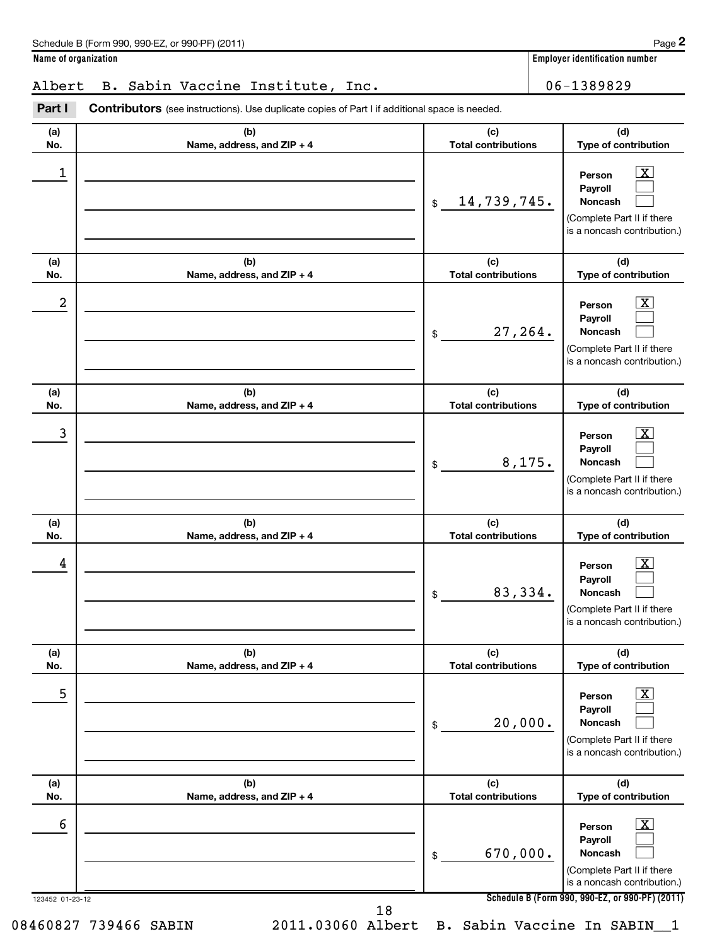# Albert B. Sabin Vaccine Institute, Inc. 106-1389829

| (a) | (b)                        | (c)                        | (d)                                                                                                                     |
|-----|----------------------------|----------------------------|-------------------------------------------------------------------------------------------------------------------------|
| No. | Name, address, and ZIP + 4 | <b>Total contributions</b> | Type of contribution                                                                                                    |
| 1   |                            | 14,739,745.<br>\$          | $\lfloor x \rfloor$<br>Person<br>Payroll<br><b>Noncash</b><br>(Complete Part II if there<br>is a noncash contribution.) |
| (a) | (b)                        | (c)                        | (d)                                                                                                                     |
| No. | Name, address, and ZIP + 4 | <b>Total contributions</b> | Type of contribution                                                                                                    |
| 2   |                            | 27,264.<br>\$              | $\lfloor x \rfloor$<br>Person<br>Payroll<br><b>Noncash</b><br>(Complete Part II if there<br>is a noncash contribution.) |
| (a) | (b)                        | (c)                        | (d)                                                                                                                     |
| No. | Name, address, and ZIP + 4 | <b>Total contributions</b> | Type of contribution                                                                                                    |
| 3   |                            | 8,175.<br>\$               | $\lfloor x \rfloor$<br>Person<br>Payroll<br><b>Noncash</b><br>(Complete Part II if there<br>is a noncash contribution.) |
| (a) | (b)                        | (c)                        | (d)                                                                                                                     |
| No. | Name, address, and ZIP + 4 | <b>Total contributions</b> | Type of contribution                                                                                                    |
| 4   |                            | 83,334.<br>\$              | $\boxed{\text{X}}$<br>Person<br>Payroll<br><b>Noncash</b><br>(Complete Part II if there<br>is a noncash contribution.)  |
| (a) | (b)                        | (c)                        | (d)                                                                                                                     |
| No. | Name, address, and ZIP + 4 | <b>Total contributions</b> | Type of contribution                                                                                                    |
| 5   |                            | 20,000.<br>\$              | $\lfloor x \rfloor$<br>Person<br>Payroll<br>Noncash<br>(Complete Part II if there<br>is a noncash contribution.)        |
| (a) | (b)                        | (c)                        | (d)                                                                                                                     |
| No. | Name, address, and ZIP + 4 | <b>Total contributions</b> | Type of contribution                                                                                                    |
| 6   |                            | 670,000.<br>\$             | $\lfloor x \rfloor$<br>Person<br>Payroll<br>Noncash<br>(Complete Part II if there<br>is a noncash contribution.)        |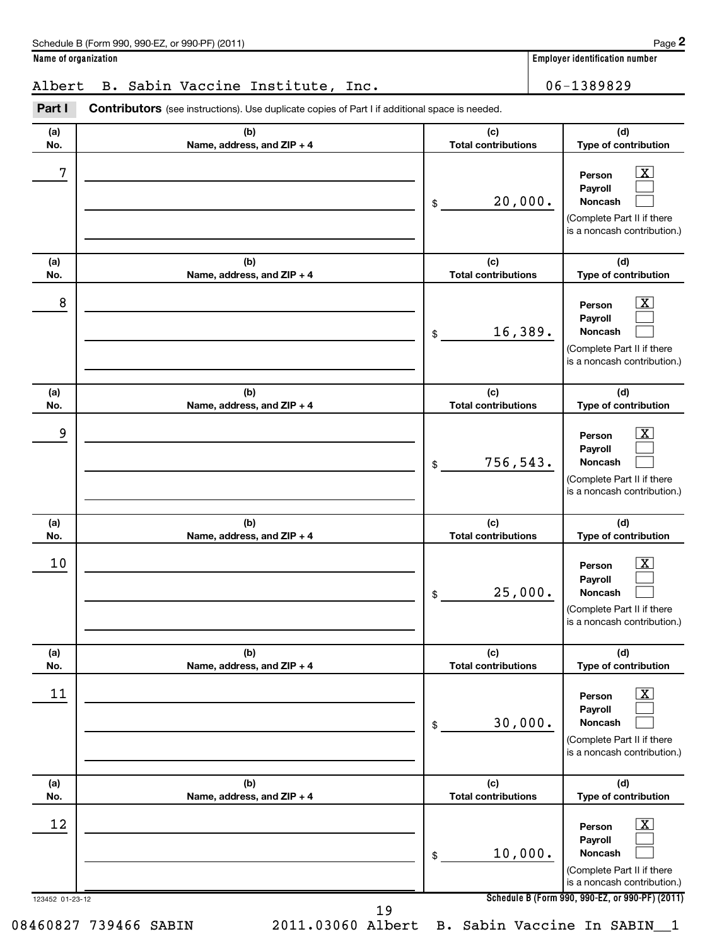### Albert B. Sabin Vaccine Institute, Inc. 106-1389829

| (b)<br>Name, address, and ZIP + 4 | (c)<br><b>Total contributions</b> | (d)<br>Type of contribution                                                                                                 |
|-----------------------------------|-----------------------------------|-----------------------------------------------------------------------------------------------------------------------------|
|                                   | 20,000.<br>\$                     | $\overline{\mathbf{X}}$<br>Person<br>Payroll<br>Noncash<br>(Complete Part II if there<br>is a noncash contribution.)        |
| (b)<br>Name, address, and ZIP + 4 | (c)<br><b>Total contributions</b> | (d)<br>Type of contribution                                                                                                 |
|                                   | 16,389.<br>\$                     | $\overline{\mathbf{X}}$<br>Person<br>Payroll<br>Noncash<br>(Complete Part II if there<br>is a noncash contribution.)        |
| (b)<br>Name, address, and ZIP + 4 | (c)<br><b>Total contributions</b> | (d)<br>Type of contribution                                                                                                 |
|                                   | 756,543.<br>\$                    | $\overline{\mathbf{X}}$<br>Person<br>Payroll<br>Noncash<br>(Complete Part II if there<br>is a noncash contribution.)        |
| (b)<br>Name, address, and ZIP + 4 | (c)<br><b>Total contributions</b> | (d)<br>Type of contribution                                                                                                 |
|                                   | 25,000.<br>\$                     | $\overline{\mathbf{X}}$<br>Person<br>Payroll<br><b>Noncash</b><br>(Complete Part II if there<br>is a noncash contribution.) |
| (b)                               | (c)                               | (d)<br>Type of contribution                                                                                                 |
|                                   | 30,000.<br>\$                     | $\boxed{\textbf{X}}$<br>Person<br>Payroll<br>Noncash<br>(Complete Part II if there<br>is a noncash contribution.)           |
| (b)<br>Name, address, and ZIP + 4 | (c)<br><b>Total contributions</b> | (d)<br>Type of contribution                                                                                                 |
|                                   | 10,000.<br>\$                     | $\mathbf{X}$<br>Person<br>Payroll<br>Noncash<br>(Complete Part II if there                                                  |
|                                   | Name, address, and ZIP + 4        | <b>Total contributions</b>                                                                                                  |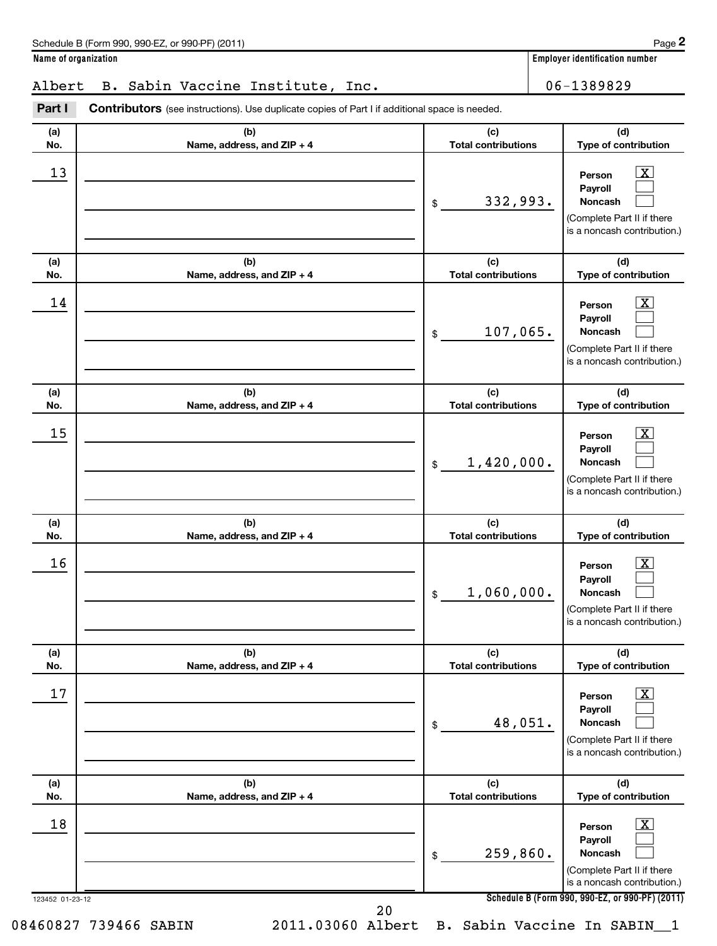### Albert B. Sabin Vaccine Institute, Inc. 106-1389829

**(b) (c)** Part I Contributors (see instructions). Use duplicate copies of Part I if additional space is needed.

| (a) | (b)                        | (c)                        | (d)                                                                                                                         |
|-----|----------------------------|----------------------------|-----------------------------------------------------------------------------------------------------------------------------|
| No. | Name, address, and ZIP + 4 | <b>Total contributions</b> | Type of contribution                                                                                                        |
| 13  |                            | 332,993.<br>\$             | $\boxed{\text{X}}$<br>Person<br>Payroll<br><b>Noncash</b><br>(Complete Part II if there<br>is a noncash contribution.)      |
| (a) | (b)                        | (c)                        | (d)                                                                                                                         |
| No. | Name, address, and ZIP + 4 | <b>Total contributions</b> | Type of contribution                                                                                                        |
| 14  |                            | 107,065.<br>\$             | $\boxed{\text{X}}$<br>Person<br>Payroll<br><b>Noncash</b><br>(Complete Part II if there<br>is a noncash contribution.)      |
| (a) | (b)                        | (c)                        | (d)                                                                                                                         |
| No. | Name, address, and ZIP + 4 | <b>Total contributions</b> | Type of contribution                                                                                                        |
| 15  |                            | 1,420,000.<br>\$           | $\boxed{\text{X}}$<br>Person<br>Payroll<br><b>Noncash</b><br>(Complete Part II if there<br>is a noncash contribution.)      |
| (a) | (b)                        | (c)                        | (d)                                                                                                                         |
| No. | Name, address, and ZIP + 4 | <b>Total contributions</b> | Type of contribution                                                                                                        |
| 16  |                            | 1,060,000.<br>\$           | $\overline{\mathbf{X}}$<br>Person<br>Payroll<br><b>Noncash</b><br>(Complete Part II if there<br>is a noncash contribution.) |
| (a) | (b)                        | (c)                        | (d)                                                                                                                         |
| No. | Name, address, and ZIP + 4 | <b>Total contributions</b> | Type of contribution                                                                                                        |
| 17  |                            | 48,051.<br>\$              | $\overline{\text{X}}$<br>Person<br>Payroll<br><b>Noncash</b><br>(Complete Part II if there<br>is a noncash contribution.)   |
| (a) | (b)                        | (c)                        | (d)                                                                                                                         |
| No. | Name, address, and ZIP + 4 | <b>Total contributions</b> | Type of contribution                                                                                                        |
| 18  |                            | 259,860.<br>\$             | $\overline{\mathbf{X}}$<br>Person<br>Payroll<br><b>Noncash</b>                                                              |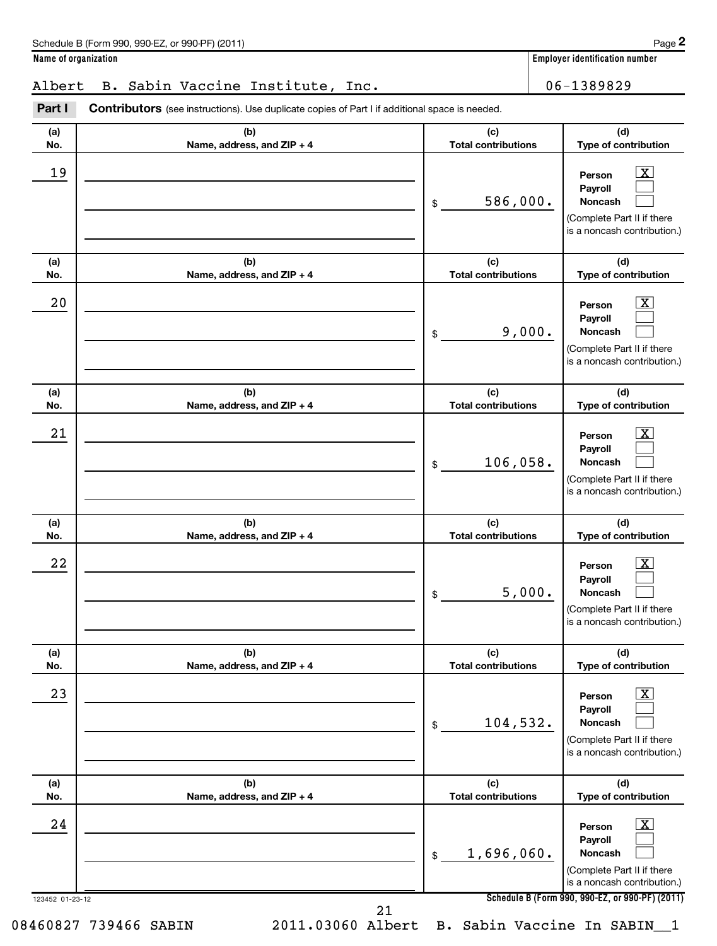**(d)**

 $\overline{X}$  $\Box$  $\Box$ 

 $\boxed{\text{X}}$  $\Box$  $\Box$ 

 $\vert$  X  $\vert$  $\Box$  $\Box$ 

 $\overline{X}$  $\Box$  $\Box$ 

 $\lfloor x \rfloor$  $\Box$  $\Box$ 

 $\vert$  X  $\vert$  $\Box$  $\Box$ 

**(d)**

**(d)**

**(d)**

**(d)**

**(d) Type of contribution**

(Complete Part II if there is a noncash contribution.)

**Name of organization Employer identification number (a) No. (b) Name, address, and ZIP + 4 (c) Total contributions Type of contribution Person Payroll Noncash (a) No. (b) Name, address, and ZIP + 4 (c) Total contributions Type of contribution Person Payroll Noncash (a) No. (b) Name, address, and ZIP + 4 (c) Total contributions Type of contribution Person Payroll Noncash (a) No. (b) Name, address, and ZIP + 4 (c) Total contributions Type of contribution Person Payroll Noncash (a) No. (b) Name, address, and ZIP + 4 (c) Total contributions Type of contribution Person Payroll Noncash** Part I Contributors (see instructions). Use duplicate copies of Part I if additional space is needed. \$ (Complete Part II if there is a noncash contribution.) \$ (Complete Part II if there is a noncash contribution.) \$ (Complete Part II if there is a noncash contribution.) \$ (Complete Part II if there is a noncash contribution.) \$ (Complete Part II if there is a noncash contribution.) Albert B. Sabin Vaccine Institute, Inc. | 06-1389829  $19$  Person  $\overline{\text{X}}$ 586,000.  $20$  Person  $\overline{\text{X}}$ 9,000.  $21$  Person  $\overline{\text{X}}$ 106,058.  $22$  Person  $\overline{\text{X}}$ 5,000.  $23$  Person  $\overline{\text{X}}$ 104,532.

> **(b) Name, address, and ZIP + 4**

> > **Schedule B (Form 990, 990-EZ, or 990-PF) (2011)**

**Person Payroll Noncash**

**(c) Total contributions**

1,696,060.

123452 01-23-12

**(a) No.**

21

 $24$  Person  $\overline{\text{X}}$ 

 $\mathsf{\$}$ 

08460827 739466 SABIN 2011.03060 Albert B. Sabin Vaccine In SABIN 1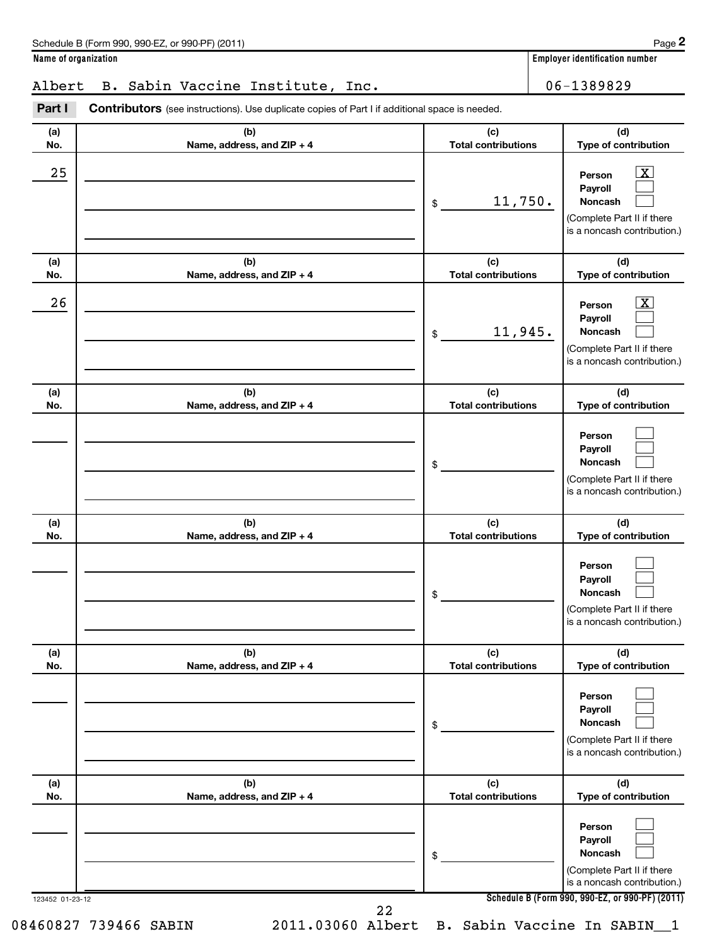## Albert B. Sabin Vaccine Institute, Inc. 106-1389829

| (a) | (b)                        | (c)                        | (d)                                                                                                                  |
|-----|----------------------------|----------------------------|----------------------------------------------------------------------------------------------------------------------|
| No. | Name, address, and ZIP + 4 | <b>Total contributions</b> | Type of contribution                                                                                                 |
| 25  |                            | 11,750.<br>\$              | $\boxed{\textbf{X}}$<br>Person<br>Payroll<br>Noncash<br>(Complete Part II if there<br>is a noncash contribution.)    |
| (a) | (b)                        | (c)                        | (d)                                                                                                                  |
| No. | Name, address, and ZIP + 4 | <b>Total contributions</b> | Type of contribution                                                                                                 |
| 26  |                            | 11,945.<br>\$              | $\overline{\mathbf{X}}$<br>Person<br>Payroll<br>Noncash<br>(Complete Part II if there<br>is a noncash contribution.) |
| (a) | (b)                        | (c)                        | (d)                                                                                                                  |
| No. | Name, address, and ZIP + 4 | <b>Total contributions</b> | Type of contribution                                                                                                 |
|     |                            | \$                         | Person<br>Payroll<br>Noncash<br>(Complete Part II if there<br>is a noncash contribution.)                            |
| (a) | (b)                        | (c)                        | (d)                                                                                                                  |
| No. | Name, address, and ZIP + 4 | <b>Total contributions</b> | Type of contribution                                                                                                 |
|     |                            | \$                         | Person<br>Payroll<br>Noncash<br>(Complete Part II if there<br>is a noncash contribution.)                            |
| (a) | (b)                        | (c)                        | (d)                                                                                                                  |
| No. | Name, address, and ZIP + 4 | <b>Total contributions</b> | Type of contribution                                                                                                 |
|     |                            | \$                         | Person<br>Payroll<br>Noncash<br>(Complete Part II if there<br>is a noncash contribution.)                            |
| (a) | (b)                        | (c)                        | (d)                                                                                                                  |
| No. | Name, address, and ZIP + 4 | <b>Total contributions</b> | Type of contribution                                                                                                 |
|     |                            | \$                         | Person<br>Payroll<br>Noncash<br>(Complete Part II if there<br>is a noncash contribution.)                            |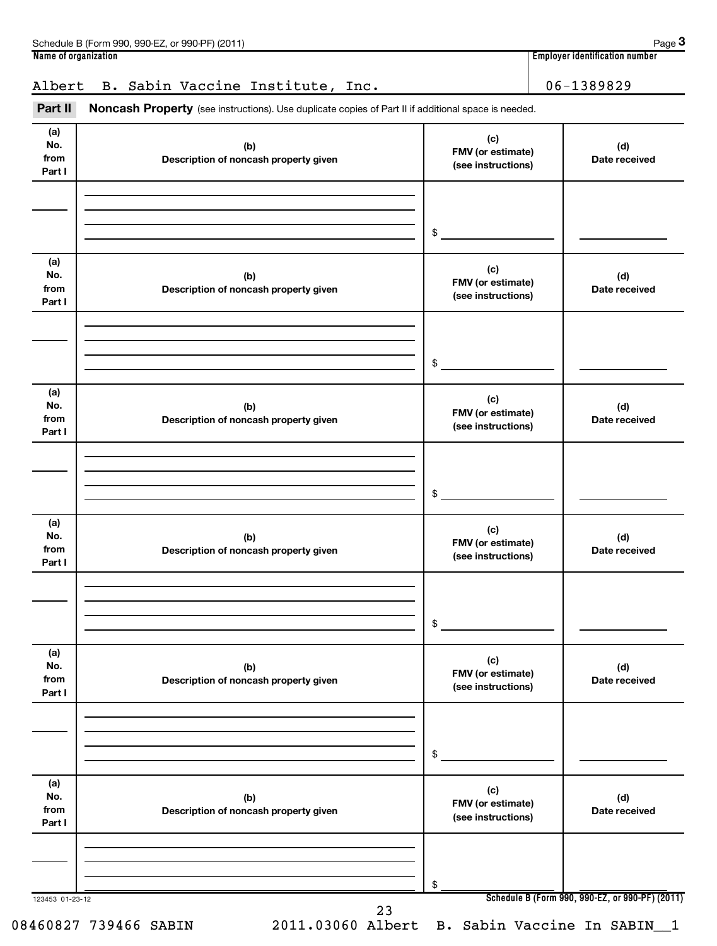| Schedule B (Form 990, 990-EZ, or 990-PF) (2011)                                                                                                              |                                                       | Page 3                                |
|--------------------------------------------------------------------------------------------------------------------------------------------------------------|-------------------------------------------------------|---------------------------------------|
| Name of organization                                                                                                                                         |                                                       | <b>Employer identification number</b> |
| B. Sabin Vaccine Institute, Inc.<br>Albert<br>Part II<br>Noncash Property (see instructions). Use duplicate copies of Part II if additional space is needed. |                                                       | 06-1389829                            |
| (a)<br>No.<br>(b)<br>from<br>Description of noncash property given<br>Part I                                                                                 | (c)<br><b>FMV</b> (or estimate)<br>(see instructions) | (d)<br>Date received                  |
|                                                                                                                                                              |                                                       |                                       |

|                              |                                              | \$                                             |                                                 |
|------------------------------|----------------------------------------------|------------------------------------------------|-------------------------------------------------|
| (a)<br>No.<br>from<br>Part I | (b)<br>Description of noncash property given | (c)<br>FMV (or estimate)<br>(see instructions) | (d)<br>Date received                            |
|                              |                                              | \$                                             |                                                 |
| (a)<br>No.<br>from<br>Part I | (b)<br>Description of noncash property given | (c)<br>FMV (or estimate)<br>(see instructions) | (d)<br>Date received                            |
|                              |                                              | \$                                             |                                                 |
| (a)<br>No.<br>from<br>Part I | (b)<br>Description of noncash property given | (c)<br>FMV (or estimate)<br>(see instructions) | (d)<br>Date received                            |
|                              |                                              | \$                                             |                                                 |
| (a)<br>No.<br>from<br>Part I | (b)<br>Description of noncash property given | (c)<br>FMV (or estimate)<br>(see instructions) | (d)<br>Date received                            |
|                              |                                              | \$                                             |                                                 |
| (a)<br>No.<br>from<br>Part I | (b)<br>Description of noncash property given | (c)<br>FMV (or estimate)<br>(see instructions) | (d)<br>Date received                            |
| 123453 01-23-12              |                                              | \$                                             | Schedule B (Form 990, 990-EZ, or 990-PF) (2011) |

23

08460827 739466 SABIN 2011.03060 Albert B. Sabin Vaccine In SABIN\_\_1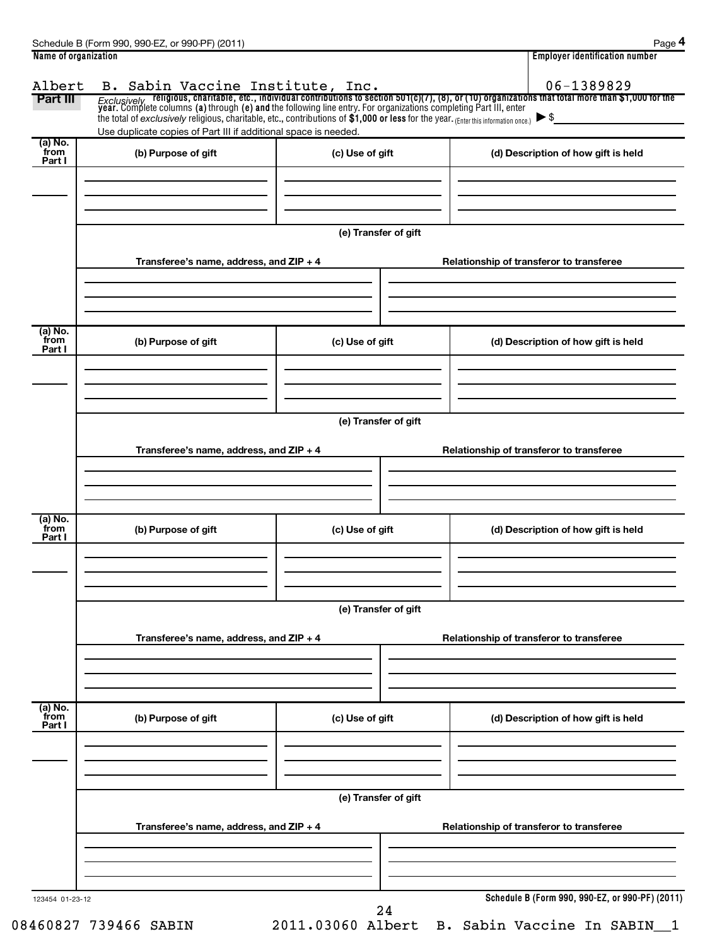| Part III                  | the total of exclusively religious, charitable, etc., contributions of $$1,000$ or less for the year. (Enter this information once.) $\triangleright$ \$<br>Use duplicate copies of Part III if additional space is needed. |                      | B. Sabin Vaccine Institute, Inc. $06-1389829$<br>Exclusively religious, charitable, etc., individual contributions to section 501(c)(7), (8), or (10) organizations that total more than \$1,000 for the year. Complete columns ( |
|---------------------------|-----------------------------------------------------------------------------------------------------------------------------------------------------------------------------------------------------------------------------|----------------------|-----------------------------------------------------------------------------------------------------------------------------------------------------------------------------------------------------------------------------------|
| (a) No.<br>from<br>Part I | (b) Purpose of gift                                                                                                                                                                                                         | (c) Use of gift      | (d) Description of how gift is held                                                                                                                                                                                               |
|                           | Transferee's name, address, and ZIP + 4                                                                                                                                                                                     | (e) Transfer of gift | Relationship of transferor to transferee                                                                                                                                                                                          |
| (a) No.<br>from<br>Part I | (b) Purpose of gift                                                                                                                                                                                                         | (c) Use of gift      | (d) Description of how gift is held                                                                                                                                                                                               |
|                           | Transferee's name, address, and ZIP + 4                                                                                                                                                                                     | (e) Transfer of gift | Relationship of transferor to transferee                                                                                                                                                                                          |
| (a) No.<br>from<br>Part I | (b) Purpose of gift                                                                                                                                                                                                         | (c) Use of gift      | (d) Description of how gift is held                                                                                                                                                                                               |
|                           | Transferee's name, address, and ZIP + 4                                                                                                                                                                                     | (e) Transfer of gift | Relationship of transferor to transferee                                                                                                                                                                                          |
|                           |                                                                                                                                                                                                                             |                      |                                                                                                                                                                                                                                   |
| (a) No.<br>from<br>Part I | (b) Purpose of gift                                                                                                                                                                                                         | (c) Use of gift      | (d) Description of how gift is held                                                                                                                                                                                               |
|                           |                                                                                                                                                                                                                             | (e) Transfer of gift |                                                                                                                                                                                                                                   |
|                           | Transferee's name, address, and ZIP + 4                                                                                                                                                                                     |                      | Relationship of transferor to transferee                                                                                                                                                                                          |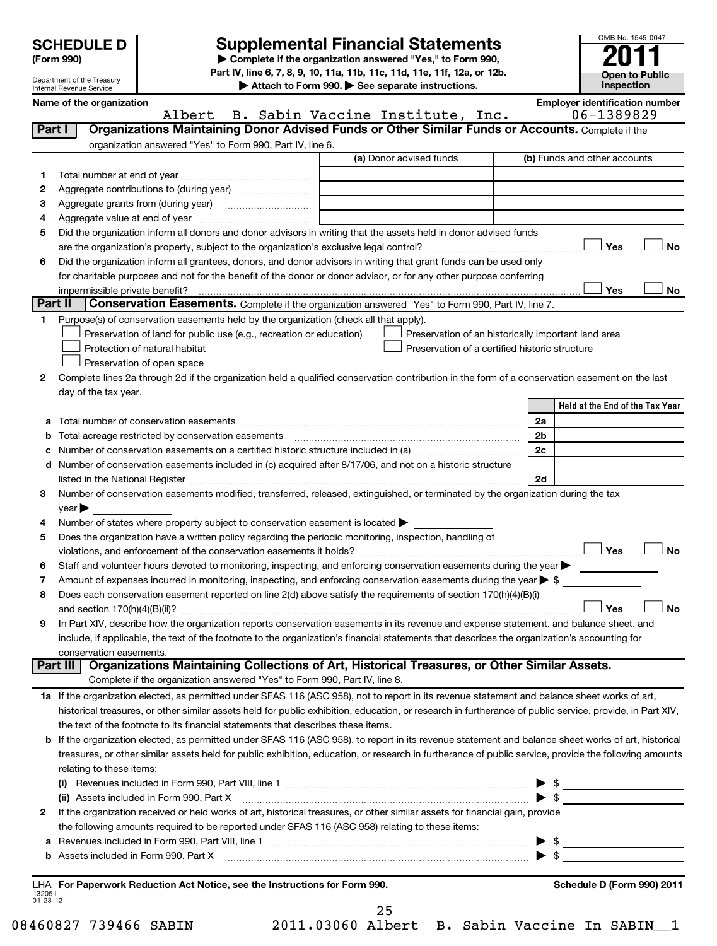Department of the Treasury Internal Revenue Service

# **Supplemental Financial Statements**<br> **2** Complete if the organization answered "Yes," to Form 990,

OMB No. 1545-0047

**Open to Public Inspection**

**(Form 990) | Complete if the organization answered "Yes," to Form 990, Part IV, line 6, 7, 8, 9, 10, 11a, 11b, 11c, 11d, 11e, 11f, 12a, or 12b.**

**| Attach to Form 990. | See separate instructions.**

|                    | Name of the organization<br>B. Sabin Vaccine Institute, Inc.<br>Albert                                                                                   | <b>Employer identification number</b><br>06-1389829 |
|--------------------|----------------------------------------------------------------------------------------------------------------------------------------------------------|-----------------------------------------------------|
| Part I             | Organizations Maintaining Donor Advised Funds or Other Similar Funds or Accounts. Complete if the                                                        |                                                     |
|                    |                                                                                                                                                          |                                                     |
|                    | organization answered "Yes" to Form 990, Part IV, line 6.<br>(a) Donor advised funds                                                                     | (b) Funds and other accounts                        |
|                    |                                                                                                                                                          |                                                     |
| 1                  |                                                                                                                                                          |                                                     |
| 2                  |                                                                                                                                                          |                                                     |
| 3                  |                                                                                                                                                          |                                                     |
| 4                  |                                                                                                                                                          |                                                     |
| 5                  | Did the organization inform all donors and donor advisors in writing that the assets held in donor advised funds                                         |                                                     |
|                    |                                                                                                                                                          | Yes<br>No                                           |
| 6                  | Did the organization inform all grantees, donors, and donor advisors in writing that grant funds can be used only                                        |                                                     |
|                    | for charitable purposes and not for the benefit of the donor or donor advisor, or for any other purpose conferring                                       |                                                     |
|                    | impermissible private benefit?                                                                                                                           | Yes<br>No                                           |
| <b>Part II</b>     | Conservation Easements. Complete if the organization answered "Yes" to Form 990, Part IV, line 7.                                                        |                                                     |
| 1.                 | Purpose(s) of conservation easements held by the organization (check all that apply).                                                                    |                                                     |
|                    | Preservation of land for public use (e.g., recreation or education)<br>Preservation of an historically important land area                               |                                                     |
|                    | Protection of natural habitat<br>Preservation of a certified historic structure                                                                          |                                                     |
|                    | Preservation of open space                                                                                                                               |                                                     |
| 2                  | Complete lines 2a through 2d if the organization held a qualified conservation contribution in the form of a conservation easement on the last           |                                                     |
|                    | day of the tax year.                                                                                                                                     | Held at the End of the Tax Year                     |
|                    |                                                                                                                                                          |                                                     |
| а                  |                                                                                                                                                          | 2a                                                  |
| b                  | Total acreage restricted by conservation easements                                                                                                       | 2 <sub>b</sub><br>2c                                |
| c                  | Number of conservation easements on a certified historic structure included in (a) manufacture included in (a)                                           |                                                     |
| d                  | Number of conservation easements included in (c) acquired after 8/17/06, and not on a historic structure                                                 | 2d                                                  |
| 3                  | Number of conservation easements modified, transferred, released, extinguished, or terminated by the organization during the tax                         |                                                     |
|                    | $year \blacktriangleright$                                                                                                                               |                                                     |
| 4                  | Number of states where property subject to conservation easement is located >                                                                            |                                                     |
| 5                  | Does the organization have a written policy regarding the periodic monitoring, inspection, handling of                                                   |                                                     |
|                    | violations, and enforcement of the conservation easements it holds?                                                                                      | Yes<br><b>No</b>                                    |
| 6                  | Staff and volunteer hours devoted to monitoring, inspecting, and enforcing conservation easements during the year                                        |                                                     |
| 7                  | Amount of expenses incurred in monitoring, inspecting, and enforcing conservation easements during the year $\triangleright$ \$                          |                                                     |
| 8                  | Does each conservation easement reported on line 2(d) above satisfy the requirements of section 170(h)(4)(B)(i)                                          |                                                     |
|                    |                                                                                                                                                          | Yes<br><b>No</b>                                    |
| 9                  | In Part XIV, describe how the organization reports conservation easements in its revenue and expense statement, and balance sheet, and                   |                                                     |
|                    | include, if applicable, the text of the footnote to the organization's financial statements that describes the organization's accounting for             |                                                     |
|                    | conservation easements.                                                                                                                                  |                                                     |
|                    | Organizations Maintaining Collections of Art, Historical Treasures, or Other Similar Assets.<br><b>Part III</b>                                          |                                                     |
|                    | Complete if the organization answered "Yes" to Form 990, Part IV, line 8.                                                                                |                                                     |
|                    | 1a If the organization elected, as permitted under SFAS 116 (ASC 958), not to report in its revenue statement and balance sheet works of art,            |                                                     |
|                    | historical treasures, or other similar assets held for public exhibition, education, or research in furtherance of public service, provide, in Part XIV, |                                                     |
|                    | the text of the footnote to its financial statements that describes these items.                                                                         |                                                     |
|                    | b If the organization elected, as permitted under SFAS 116 (ASC 958), to report in its revenue statement and balance sheet works of art, historical      |                                                     |
|                    | treasures, or other similar assets held for public exhibition, education, or research in furtherance of public service, provide the following amounts    |                                                     |
|                    | relating to these items:                                                                                                                                 |                                                     |
|                    |                                                                                                                                                          | $\triangleright$ \$                                 |
|                    | (ii) Assets included in Form 990, Part X                                                                                                                 | $\blacktriangleright$ \$                            |
| 2                  | If the organization received or held works of art, historical treasures, or other similar assets for financial gain, provide                             |                                                     |
|                    | the following amounts required to be reported under SFAS 116 (ASC 958) relating to these items:                                                          |                                                     |
| а                  |                                                                                                                                                          |                                                     |
| b                  | Assets included in Form 990, Part X [CONDITED INTERNATION IN A SERVICE 2010]                                                                             | $\blacktriangleright$ \$                            |
|                    |                                                                                                                                                          |                                                     |
| 132051<br>01-23-12 | LHA For Paperwork Reduction Act Notice, see the Instructions for Form 990.                                                                               | Schedule D (Form 990) 2011                          |
|                    | 25                                                                                                                                                       |                                                     |
|                    |                                                                                                                                                          |                                                     |

08460827 739466 SABIN 2011.03060 Albert B. Sabin Vaccine In SABIN\_\_1

| 03060 |  | A. |  |
|-------|--|----|--|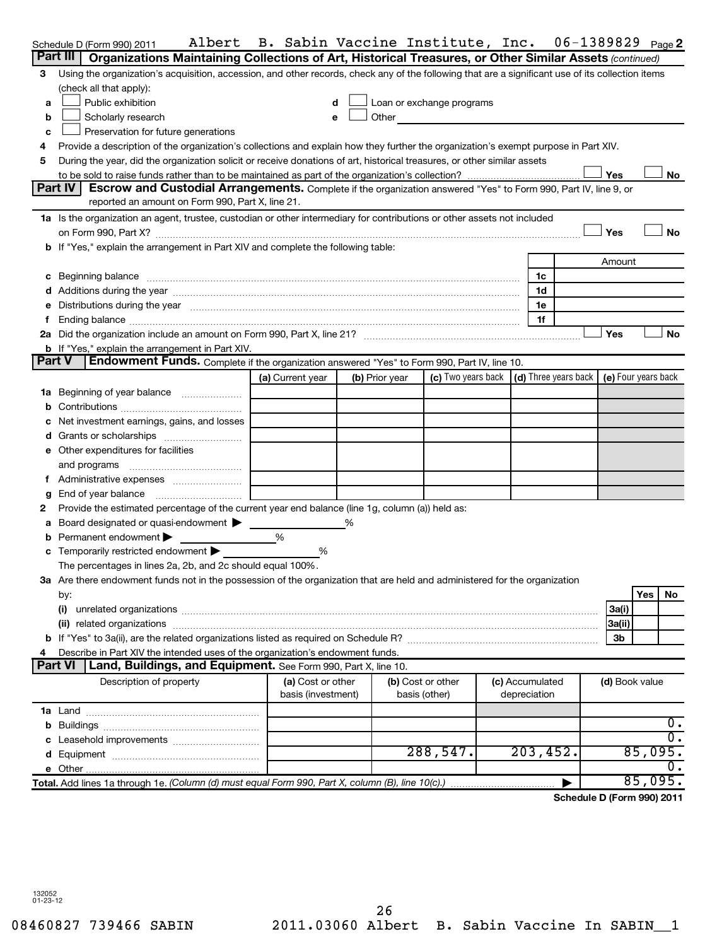|                | Albert<br>Schedule D (Form 990) 2011                                                                                                                                                                                           | B. Sabin Vaccine Institute, Inc. |                |                                                                                                                                                                                                                               |                 |                | 06-1389829 $_{Page}$ 2     |
|----------------|--------------------------------------------------------------------------------------------------------------------------------------------------------------------------------------------------------------------------------|----------------------------------|----------------|-------------------------------------------------------------------------------------------------------------------------------------------------------------------------------------------------------------------------------|-----------------|----------------|----------------------------|
| Part III       | Organizations Maintaining Collections of Art, Historical Treasures, or Other Similar Assets (continued)                                                                                                                        |                                  |                |                                                                                                                                                                                                                               |                 |                |                            |
| 3              | Using the organization's acquisition, accession, and other records, check any of the following that are a significant use of its collection items                                                                              |                                  |                |                                                                                                                                                                                                                               |                 |                |                            |
|                | (check all that apply):                                                                                                                                                                                                        |                                  |                |                                                                                                                                                                                                                               |                 |                |                            |
| a              | Public exhibition                                                                                                                                                                                                              | d                                |                | Loan or exchange programs                                                                                                                                                                                                     |                 |                |                            |
| b              | Scholarly research                                                                                                                                                                                                             | e                                |                | Other and the contract of the contract of the contract of the contract of the contract of the contract of the contract of the contract of the contract of the contract of the contract of the contract of the contract of the |                 |                |                            |
| c              | Preservation for future generations                                                                                                                                                                                            |                                  |                |                                                                                                                                                                                                                               |                 |                |                            |
| 4              | Provide a description of the organization's collections and explain how they further the organization's exempt purpose in Part XIV.                                                                                            |                                  |                |                                                                                                                                                                                                                               |                 |                |                            |
| 5              | During the year, did the organization solicit or receive donations of art, historical treasures, or other similar assets                                                                                                       |                                  |                |                                                                                                                                                                                                                               |                 |                |                            |
|                |                                                                                                                                                                                                                                |                                  |                |                                                                                                                                                                                                                               |                 | Yes            | No                         |
|                | Part IV<br>Escrow and Custodial Arrangements. Complete if the organization answered "Yes" to Form 990, Part IV, line 9, or                                                                                                     |                                  |                |                                                                                                                                                                                                                               |                 |                |                            |
|                | reported an amount on Form 990, Part X, line 21.                                                                                                                                                                               |                                  |                |                                                                                                                                                                                                                               |                 |                |                            |
|                | 1a Is the organization an agent, trustee, custodian or other intermediary for contributions or other assets not included                                                                                                       |                                  |                |                                                                                                                                                                                                                               |                 |                |                            |
|                | on Form 990, Part X? [11] matter contracts and contracts and contracts are contracted as a form 990, Part X?                                                                                                                   |                                  |                |                                                                                                                                                                                                                               |                 | Yes            | No                         |
|                | <b>b</b> If "Yes," explain the arrangement in Part XIV and complete the following table:                                                                                                                                       |                                  |                |                                                                                                                                                                                                                               |                 |                |                            |
|                |                                                                                                                                                                                                                                |                                  |                |                                                                                                                                                                                                                               |                 | Amount         |                            |
|                | c Beginning balance measurements and the contract of the contract of the contract of the contract of the contract of the contract of the contract of the contract of the contract of the contract of the contract of the contr |                                  |                |                                                                                                                                                                                                                               | 1c              |                |                            |
|                |                                                                                                                                                                                                                                |                                  |                |                                                                                                                                                                                                                               | 1d              |                |                            |
|                | Distributions during the year manufactured and an account of the year manufactured and the year manufactured and the year manufactured and the year manufactured and the year manufactured and the year manufactured and the y |                                  |                |                                                                                                                                                                                                                               | 1e              |                |                            |
|                |                                                                                                                                                                                                                                |                                  |                |                                                                                                                                                                                                                               | 1f              |                |                            |
|                |                                                                                                                                                                                                                                |                                  |                |                                                                                                                                                                                                                               |                 | Yes            | No                         |
| <b>Part V</b>  | <b>b</b> If "Yes," explain the arrangement in Part XIV.<br>Endowment Funds. Complete if the organization answered "Yes" to Form 990, Part IV, line 10.                                                                         |                                  |                |                                                                                                                                                                                                                               |                 |                |                            |
|                |                                                                                                                                                                                                                                |                                  |                | (c) Two years back (d) Three years back                                                                                                                                                                                       |                 |                |                            |
|                |                                                                                                                                                                                                                                | (a) Current year                 | (b) Prior year |                                                                                                                                                                                                                               |                 |                | (e) Four years back        |
|                | 1a Beginning of year balance                                                                                                                                                                                                   |                                  |                |                                                                                                                                                                                                                               |                 |                |                            |
|                |                                                                                                                                                                                                                                |                                  |                |                                                                                                                                                                                                                               |                 |                |                            |
|                | Net investment earnings, gains, and losses                                                                                                                                                                                     |                                  |                |                                                                                                                                                                                                                               |                 |                |                            |
|                |                                                                                                                                                                                                                                |                                  |                |                                                                                                                                                                                                                               |                 |                |                            |
|                | e Other expenditures for facilities                                                                                                                                                                                            |                                  |                |                                                                                                                                                                                                                               |                 |                |                            |
|                | and programs                                                                                                                                                                                                                   |                                  |                |                                                                                                                                                                                                                               |                 |                |                            |
|                |                                                                                                                                                                                                                                |                                  |                |                                                                                                                                                                                                                               |                 |                |                            |
| g              | End of year balance<br>Provide the estimated percentage of the current year end balance (line 1g, column (a)) held as:                                                                                                         |                                  |                |                                                                                                                                                                                                                               |                 |                |                            |
| 2              | Board designated or quasi-endowment >                                                                                                                                                                                          |                                  |                |                                                                                                                                                                                                                               |                 |                |                            |
| а              | Permanent endowment                                                                                                                                                                                                            | $\frac{0}{0}$                    |                |                                                                                                                                                                                                                               |                 |                |                            |
|                | c Temporarily restricted endowment                                                                                                                                                                                             | %                                |                |                                                                                                                                                                                                                               |                 |                |                            |
|                | The percentages in lines 2a, 2b, and 2c should equal 100%.                                                                                                                                                                     |                                  |                |                                                                                                                                                                                                                               |                 |                |                            |
|                | 3a Are there endowment funds not in the possession of the organization that are held and administered for the organization                                                                                                     |                                  |                |                                                                                                                                                                                                                               |                 |                |                            |
|                | by:                                                                                                                                                                                                                            |                                  |                |                                                                                                                                                                                                                               |                 |                | Yes<br>No                  |
|                | (i)                                                                                                                                                                                                                            |                                  |                |                                                                                                                                                                                                                               |                 | 3a(i)          |                            |
|                |                                                                                                                                                                                                                                |                                  |                |                                                                                                                                                                                                                               |                 | 3a(ii)         |                            |
|                |                                                                                                                                                                                                                                |                                  |                |                                                                                                                                                                                                                               |                 | Зb             |                            |
|                | Describe in Part XIV the intended uses of the organization's endowment funds.                                                                                                                                                  |                                  |                |                                                                                                                                                                                                                               |                 |                |                            |
| <b>Part VI</b> | Land, Buildings, and Equipment. See Form 990, Part X, line 10.                                                                                                                                                                 |                                  |                |                                                                                                                                                                                                                               |                 |                |                            |
|                | Description of property                                                                                                                                                                                                        | (a) Cost or other                |                | (b) Cost or other                                                                                                                                                                                                             | (c) Accumulated | (d) Book value |                            |
|                |                                                                                                                                                                                                                                | basis (investment)               |                | basis (other)                                                                                                                                                                                                                 | depreciation    |                |                            |
|                |                                                                                                                                                                                                                                |                                  |                |                                                                                                                                                                                                                               |                 |                |                            |
|                |                                                                                                                                                                                                                                |                                  |                |                                                                                                                                                                                                                               |                 |                | 0.                         |
|                |                                                                                                                                                                                                                                |                                  |                |                                                                                                                                                                                                                               |                 |                | σ.                         |
|                |                                                                                                                                                                                                                                |                                  |                | 288,547.                                                                                                                                                                                                                      | 203, 452.       |                | 85,095.                    |
|                |                                                                                                                                                                                                                                |                                  |                |                                                                                                                                                                                                                               |                 |                | υ.                         |
|                | Total. Add lines 1a through 1e. (Column (d) must equal Form 990, Part X, column (B), line 10(c).)                                                                                                                              |                                  |                |                                                                                                                                                                                                                               |                 |                | 85,095.                    |
|                |                                                                                                                                                                                                                                |                                  |                |                                                                                                                                                                                                                               |                 |                | Schodule D (Form 990) 2011 |

**Schedule D (Form 990) 2011**

132052 01-23-12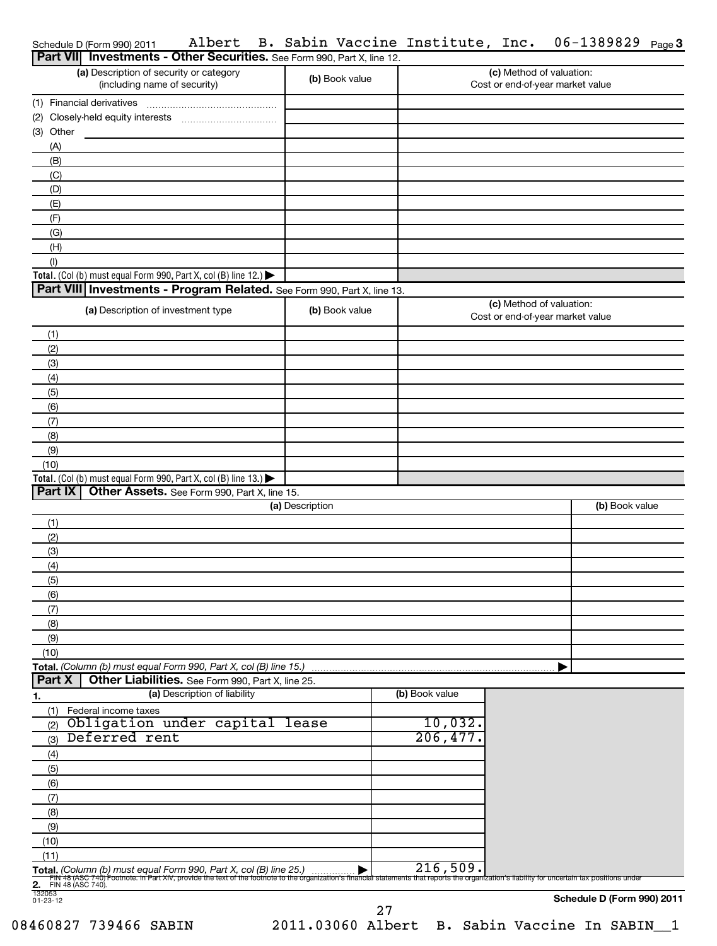| Schedule D (Form 990) 2011 Albert B. Sabin Vaccine Institute, Inc. $06-1389829$ $_{\text{Page}}3$ |  |  |  |  |  |  |  |  |  |
|---------------------------------------------------------------------------------------------------|--|--|--|--|--|--|--|--|--|
|---------------------------------------------------------------------------------------------------|--|--|--|--|--|--|--|--|--|

|                    | <b>Part VII</b> Investments - Other Securities. See Form 990, Part X, line 12.                                                                                                                                                                                        |                 |                |                                                              |                            |
|--------------------|-----------------------------------------------------------------------------------------------------------------------------------------------------------------------------------------------------------------------------------------------------------------------|-----------------|----------------|--------------------------------------------------------------|----------------------------|
|                    | (a) Description of security or category<br>(including name of security)                                                                                                                                                                                               | (b) Book value  |                | (c) Method of valuation:<br>Cost or end-of-year market value |                            |
|                    | (1) Financial derivatives                                                                                                                                                                                                                                             |                 |                |                                                              |                            |
|                    |                                                                                                                                                                                                                                                                       |                 |                |                                                              |                            |
|                    | (3) Other                                                                                                                                                                                                                                                             |                 |                |                                                              |                            |
|                    | (A)                                                                                                                                                                                                                                                                   |                 |                |                                                              |                            |
|                    | (B)                                                                                                                                                                                                                                                                   |                 |                |                                                              |                            |
|                    | (C)                                                                                                                                                                                                                                                                   |                 |                |                                                              |                            |
|                    | (D)                                                                                                                                                                                                                                                                   |                 |                |                                                              |                            |
|                    | (E)                                                                                                                                                                                                                                                                   |                 |                |                                                              |                            |
|                    | (F)                                                                                                                                                                                                                                                                   |                 |                |                                                              |                            |
|                    | (G)                                                                                                                                                                                                                                                                   |                 |                |                                                              |                            |
|                    | (H)                                                                                                                                                                                                                                                                   |                 |                |                                                              |                            |
| (1)                | Total. (Col (b) must equal Form 990, Part X, col (B) line 12.) $\blacktriangleright$                                                                                                                                                                                  |                 |                |                                                              |                            |
|                    | Part VIII Investments - Program Related. See Form 990, Part X, line 13.                                                                                                                                                                                               |                 |                |                                                              |                            |
|                    |                                                                                                                                                                                                                                                                       |                 |                | (c) Method of valuation:                                     |                            |
|                    | (a) Description of investment type                                                                                                                                                                                                                                    | (b) Book value  |                | Cost or end-of-year market value                             |                            |
| (1)                |                                                                                                                                                                                                                                                                       |                 |                |                                                              |                            |
| (2)<br>(3)         |                                                                                                                                                                                                                                                                       |                 |                |                                                              |                            |
| (4)                |                                                                                                                                                                                                                                                                       |                 |                |                                                              |                            |
| (5)                |                                                                                                                                                                                                                                                                       |                 |                |                                                              |                            |
| (6)                |                                                                                                                                                                                                                                                                       |                 |                |                                                              |                            |
| (7)                |                                                                                                                                                                                                                                                                       |                 |                |                                                              |                            |
| (8)                |                                                                                                                                                                                                                                                                       |                 |                |                                                              |                            |
| (9)                |                                                                                                                                                                                                                                                                       |                 |                |                                                              |                            |
| (10)               |                                                                                                                                                                                                                                                                       |                 |                |                                                              |                            |
|                    | Total. (Col (b) must equal Form 990, Part X, col (B) line 13.) $\blacktriangleright$                                                                                                                                                                                  |                 |                |                                                              |                            |
|                    | PartIX<br>Other Assets. See Form 990, Part X, line 15.                                                                                                                                                                                                                |                 |                |                                                              |                            |
|                    |                                                                                                                                                                                                                                                                       | (a) Description |                |                                                              | (b) Book value             |
| (1)                |                                                                                                                                                                                                                                                                       |                 |                |                                                              |                            |
| (2)                |                                                                                                                                                                                                                                                                       |                 |                |                                                              |                            |
| (3)                |                                                                                                                                                                                                                                                                       |                 |                |                                                              |                            |
| (4)                |                                                                                                                                                                                                                                                                       |                 |                |                                                              |                            |
| (5)                |                                                                                                                                                                                                                                                                       |                 |                |                                                              |                            |
| (6)                |                                                                                                                                                                                                                                                                       |                 |                |                                                              |                            |
| (7)                |                                                                                                                                                                                                                                                                       |                 |                |                                                              |                            |
| (8)                |                                                                                                                                                                                                                                                                       |                 |                |                                                              |                            |
| (9)                |                                                                                                                                                                                                                                                                       |                 |                |                                                              |                            |
| (10)               | Total. (Column (b) must equal Form 990, Part X, col (B) line 15.)                                                                                                                                                                                                     |                 |                |                                                              |                            |
| <b>Part X</b>      | Other Liabilities. See Form 990, Part X, line 25.                                                                                                                                                                                                                     |                 |                |                                                              |                            |
| <u>1.</u>          | (a) Description of liability                                                                                                                                                                                                                                          |                 | (b) Book value |                                                              |                            |
|                    | (1)<br>Federal income taxes                                                                                                                                                                                                                                           |                 |                |                                                              |                            |
| (2)                | Obligation under capital lease                                                                                                                                                                                                                                        |                 | 10,032.        |                                                              |                            |
| (3)                | Deferred rent                                                                                                                                                                                                                                                         |                 | 206,477.       |                                                              |                            |
| (4)                |                                                                                                                                                                                                                                                                       |                 |                |                                                              |                            |
| (5)                |                                                                                                                                                                                                                                                                       |                 |                |                                                              |                            |
| (6)                |                                                                                                                                                                                                                                                                       |                 |                |                                                              |                            |
| (7)                |                                                                                                                                                                                                                                                                       |                 |                |                                                              |                            |
| (8)                |                                                                                                                                                                                                                                                                       |                 |                |                                                              |                            |
| (9)                |                                                                                                                                                                                                                                                                       |                 |                |                                                              |                            |
| (10)               |                                                                                                                                                                                                                                                                       |                 |                |                                                              |                            |
| (11)               |                                                                                                                                                                                                                                                                       |                 |                |                                                              |                            |
|                    | Total. (Column (b) must equal Form 990, Part X, col (B) line 25.)<br>Fily 48 (ASC 740) Footnote. In Part XIV, provide the text of the footnote to the organization's financial statements that reports the organization's liability for uncertain tax positions under |                 | 216,509.       |                                                              |                            |
| $\overline{2}$ .   | FIN 48 (ASC 740).                                                                                                                                                                                                                                                     |                 |                |                                                              |                            |
| 132053<br>01-23-12 |                                                                                                                                                                                                                                                                       |                 |                |                                                              | Schedule D (Form 990) 2011 |
|                    |                                                                                                                                                                                                                                                                       |                 | 27             |                                                              |                            |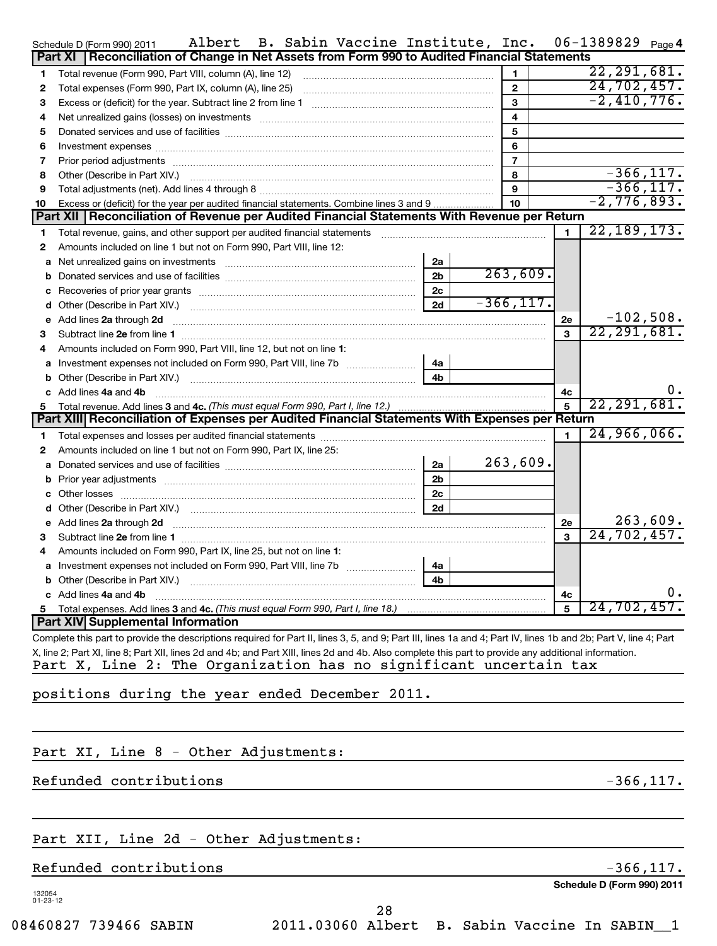|    | Albert B. Sabin Vaccine Institute, Inc.<br>Schedule D (Form 990) 2011                                                                                                                                                                |                |                         |    | $06 - 1389829$ Page 4       |          |
|----|--------------------------------------------------------------------------------------------------------------------------------------------------------------------------------------------------------------------------------------|----------------|-------------------------|----|-----------------------------|----------|
|    | Reconciliation of Change in Net Assets from Form 990 to Audited Financial Statements<br>Part XI                                                                                                                                      |                |                         |    |                             |          |
| 1  | Total revenue (Form 990, Part VIII, column (A), line 12)                                                                                                                                                                             |                | $\mathbf{1}$            |    | 22, 291, 681.               |          |
| 2  | Total expenses (Form 990, Part IX, column (A), line 25)                                                                                                                                                                              |                | $\overline{2}$          |    | $\overline{24}$ , 702, 457. |          |
| 3  |                                                                                                                                                                                                                                      |                | 3                       |    | $-2,410,776.$               |          |
| 4  |                                                                                                                                                                                                                                      |                | $\overline{\mathbf{4}}$ |    |                             |          |
| 5  |                                                                                                                                                                                                                                      |                | 5                       |    |                             |          |
| 6  | Investment expenses with an annual contract of the state of the state of the state of the state of the state of the state of the state of the state of the state of the state of the state of the state of the state of the st       |                | 6                       |    |                             |          |
| 7  |                                                                                                                                                                                                                                      |                | $\overline{7}$          |    |                             |          |
| 8  | Other (Describe in Part XIV.) <b>Product and Service Contract Contract Contract Contract Contract Contract Contract Contract Contract Contract Contract Contract Contract Contract Contract Contract Contract Contract Contract </b> |                | 8                       |    | $-366, 117.$                |          |
| 9  |                                                                                                                                                                                                                                      |                | 9                       |    | $-366, 117.$                |          |
| 10 | Excess or (deficit) for the year per audited financial statements. Combine lines 3 and 9                                                                                                                                             |                | 10                      |    | $-2,776,893.$               |          |
|    | Part XII   Reconciliation of Revenue per Audited Financial Statements With Revenue per Return                                                                                                                                        |                |                         |    |                             |          |
| 1  | Total revenue, gains, and other support per audited financial statements                                                                                                                                                             |                |                         | 1  | 22, 189, 173.               |          |
| 2  | Amounts included on line 1 but not on Form 990, Part VIII, line 12:                                                                                                                                                                  |                |                         |    |                             |          |
| a  | Net unrealized gains on investments [11] Martin Martin Martin Martin Martin Martin Martin Martin Martin Martin                                                                                                                       | 2a             |                         |    |                             |          |
| b  |                                                                                                                                                                                                                                      | 2 <sub>b</sub> | 263,609.                |    |                             |          |
| c  |                                                                                                                                                                                                                                      | 2c             |                         |    |                             |          |
| d  |                                                                                                                                                                                                                                      | 2d             | $-366, 117.$            |    |                             |          |
|    | e Add lines 2a through 2d                                                                                                                                                                                                            |                |                         | 2e | $-102,508.$                 |          |
| 3  |                                                                                                                                                                                                                                      |                |                         | 3  | 22, 291, 681.               |          |
| 4  | Amounts included on Form 990, Part VIII, line 12, but not on line 1:                                                                                                                                                                 |                |                         |    |                             |          |
| a  |                                                                                                                                                                                                                                      | 4a             |                         |    |                             |          |
| b  |                                                                                                                                                                                                                                      | 4 <sub>h</sub> |                         |    |                             |          |
|    | c Add lines 4a and 4b                                                                                                                                                                                                                |                |                         | 4c |                             | υ.       |
| 5  | Total revenue. Add lines 3 and 4c. (This must equal Form 990, Part I, line 12.) <i>manumano Communion</i>                                                                                                                            |                |                         | 5  | 22, 291, 681.               |          |
|    | Part XIII Reconciliation of Expenses per Audited Financial Statements With Expenses per Return                                                                                                                                       |                |                         |    |                             |          |
| 1  |                                                                                                                                                                                                                                      |                |                         |    | 24,966,066.                 |          |
| 2  | Amounts included on line 1 but not on Form 990, Part IX, line 25:                                                                                                                                                                    |                |                         |    |                             |          |
| a  |                                                                                                                                                                                                                                      | 2a             | 263,609.                |    |                             |          |
| b  |                                                                                                                                                                                                                                      | 2 <sub>b</sub> |                         |    |                             |          |
| c  |                                                                                                                                                                                                                                      | 2 <sub>c</sub> |                         |    |                             |          |
| d  |                                                                                                                                                                                                                                      | 2d             |                         |    |                             |          |
| е  | Add lines 2a through 2d <b>contained a contained a contained a contained a contained a contained a contained a contained a contact a contact a contact a contact a contact a contact a contact a contact a contact a contact a c</b> |                |                         | 2е |                             | 263,609. |
| 3  |                                                                                                                                                                                                                                      |                |                         | 3  | 24, 702, 457.               |          |
| 4  | Amounts included on Form 990, Part IX, line 25, but not on line 1:                                                                                                                                                                   |                |                         |    |                             |          |
|    |                                                                                                                                                                                                                                      | 4a             |                         |    |                             |          |
|    |                                                                                                                                                                                                                                      | 4 <sub>b</sub> |                         |    |                             |          |
|    | c Add lines 4a and 4b                                                                                                                                                                                                                |                |                         | 4c |                             | Ο.       |
| 5  |                                                                                                                                                                                                                                      |                |                         | 5  | 24,702,457.                 |          |
|    | <b>Part XIV Supplemental Information</b>                                                                                                                                                                                             |                |                         |    |                             |          |
|    | Complete this part to provide the descriptions required for Part II, lines 3, 5, and 9; Part III, lines 1a and 4; Part IV, lines 1b and 2b; Part V, line 4; Part                                                                     |                |                         |    |                             |          |
|    | X, line 2; Part XI, line 8; Part XII, lines 2d and 4b; and Part XIII, lines 2d and 4b. Also complete this part to provide any additional information.                                                                                |                |                         |    |                             |          |

Part X, Line 2: The Organization has no significant uncertain tax

### positions during the year ended December 2011.

# Part XI, Line 8 - Other Adjustments:

## Refunded contributions  $-366,117$ .

# Part XII, Line 2d - Other Adjustments:

## Refunded contributions  $-366,117$ .

132054 01-23-12

**Schedule D (Form 990) 2011**

08460827 739466 SABIN 2011.03060 Albert B. Sabin Vaccine In SABIN\_\_1 28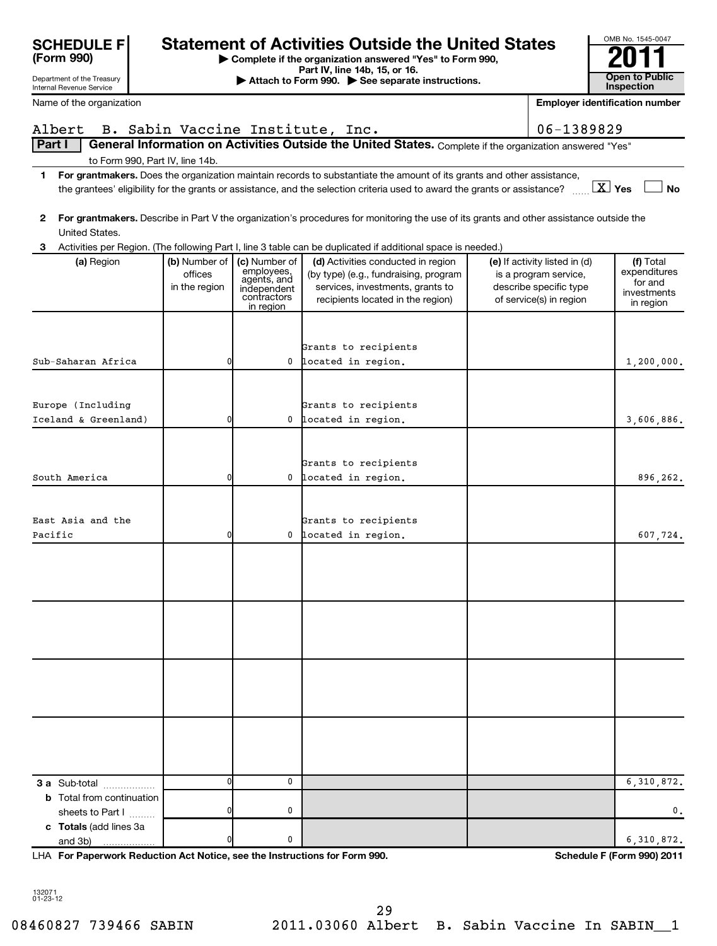| Open to Public<br>Attach to Form 990. See separate instructions.<br>Inspection<br><b>Employer identification number</b><br>B. Sabin Vaccine Institute, Inc.<br>06-1389829<br>General Information on Activities Outside the United States. Complete if the organization answered "Yes"<br>to Form 990, Part IV, line 14b.<br>For grantmakers. Does the organization maintain records to substantiate the amount of its grants and other assistance,<br>1<br>$\boxed{\text{X}}$ Yes<br><b>No</b><br>the grantees' eligibility for the grants or assistance, and the selection criteria used to award the grants or assistance?<br>For grantmakers. Describe in Part V the organization's procedures for monitoring the use of its grants and other assistance outside the<br>2<br>United States.<br>Activities per Region. (The following Part I, line 3 table can be duplicated if additional space is needed.)<br>3<br>(a) Region<br>(b) Number of  <br>(c) Number of<br>(d) Activities conducted in region<br>(e) If activity listed in (d)<br>(f) Total<br>employees,<br>agents, and<br>expenditures<br>offices<br>(by type) (e.g., fundraising, program<br>is a program service,<br>for and<br>describe specific type<br>in the region<br>services, investments, grants to<br>independent<br>investments<br>contractors<br>of service(s) in region<br>recipients located in the region)<br>in region<br>in region<br>Grants to recipients<br>0<br>0 located in region.<br>1,200,000.<br>Europe (Including<br>Grants to recipients<br>Iceland & Greenland)<br>0<br>0 located in region.<br>3,606,886.<br>Grants to recipients<br>0<br>0 located in region.<br>896,262.<br>Grants to recipients<br>0 located in region.<br>0<br>607,724.<br>0<br>0<br>6,310,872.<br>3 a Sub-total<br><b>b</b> Total from continuation | <b>SCHEDULE F</b><br>(Form 990)                        |  | <b>Statement of Activities Outside the United States</b><br>Complete if the organization answered "Yes" to Form 990,<br>Part IV, line 14b, 15, or 16. |  | OMB No. 1545-0047 |
|------------------------------------------------------------------------------------------------------------------------------------------------------------------------------------------------------------------------------------------------------------------------------------------------------------------------------------------------------------------------------------------------------------------------------------------------------------------------------------------------------------------------------------------------------------------------------------------------------------------------------------------------------------------------------------------------------------------------------------------------------------------------------------------------------------------------------------------------------------------------------------------------------------------------------------------------------------------------------------------------------------------------------------------------------------------------------------------------------------------------------------------------------------------------------------------------------------------------------------------------------------------------------------------------------------------------------------------------------------------------------------------------------------------------------------------------------------------------------------------------------------------------------------------------------------------------------------------------------------------------------------------------------------------------------------------------------------------------------------------------------------------------------------------------------------------------|--------------------------------------------------------|--|-------------------------------------------------------------------------------------------------------------------------------------------------------|--|-------------------|
|                                                                                                                                                                                                                                                                                                                                                                                                                                                                                                                                                                                                                                                                                                                                                                                                                                                                                                                                                                                                                                                                                                                                                                                                                                                                                                                                                                                                                                                                                                                                                                                                                                                                                                                                                                                                                        | Department of the Treasury<br>Internal Revenue Service |  |                                                                                                                                                       |  |                   |
|                                                                                                                                                                                                                                                                                                                                                                                                                                                                                                                                                                                                                                                                                                                                                                                                                                                                                                                                                                                                                                                                                                                                                                                                                                                                                                                                                                                                                                                                                                                                                                                                                                                                                                                                                                                                                        | Name of the organization                               |  |                                                                                                                                                       |  |                   |
|                                                                                                                                                                                                                                                                                                                                                                                                                                                                                                                                                                                                                                                                                                                                                                                                                                                                                                                                                                                                                                                                                                                                                                                                                                                                                                                                                                                                                                                                                                                                                                                                                                                                                                                                                                                                                        | Albert                                                 |  |                                                                                                                                                       |  |                   |
|                                                                                                                                                                                                                                                                                                                                                                                                                                                                                                                                                                                                                                                                                                                                                                                                                                                                                                                                                                                                                                                                                                                                                                                                                                                                                                                                                                                                                                                                                                                                                                                                                                                                                                                                                                                                                        | <b>Part I</b>                                          |  |                                                                                                                                                       |  |                   |
|                                                                                                                                                                                                                                                                                                                                                                                                                                                                                                                                                                                                                                                                                                                                                                                                                                                                                                                                                                                                                                                                                                                                                                                                                                                                                                                                                                                                                                                                                                                                                                                                                                                                                                                                                                                                                        |                                                        |  |                                                                                                                                                       |  |                   |
|                                                                                                                                                                                                                                                                                                                                                                                                                                                                                                                                                                                                                                                                                                                                                                                                                                                                                                                                                                                                                                                                                                                                                                                                                                                                                                                                                                                                                                                                                                                                                                                                                                                                                                                                                                                                                        |                                                        |  |                                                                                                                                                       |  |                   |
|                                                                                                                                                                                                                                                                                                                                                                                                                                                                                                                                                                                                                                                                                                                                                                                                                                                                                                                                                                                                                                                                                                                                                                                                                                                                                                                                                                                                                                                                                                                                                                                                                                                                                                                                                                                                                        |                                                        |  |                                                                                                                                                       |  |                   |
|                                                                                                                                                                                                                                                                                                                                                                                                                                                                                                                                                                                                                                                                                                                                                                                                                                                                                                                                                                                                                                                                                                                                                                                                                                                                                                                                                                                                                                                                                                                                                                                                                                                                                                                                                                                                                        |                                                        |  |                                                                                                                                                       |  |                   |
|                                                                                                                                                                                                                                                                                                                                                                                                                                                                                                                                                                                                                                                                                                                                                                                                                                                                                                                                                                                                                                                                                                                                                                                                                                                                                                                                                                                                                                                                                                                                                                                                                                                                                                                                                                                                                        |                                                        |  |                                                                                                                                                       |  |                   |
|                                                                                                                                                                                                                                                                                                                                                                                                                                                                                                                                                                                                                                                                                                                                                                                                                                                                                                                                                                                                                                                                                                                                                                                                                                                                                                                                                                                                                                                                                                                                                                                                                                                                                                                                                                                                                        |                                                        |  |                                                                                                                                                       |  |                   |
|                                                                                                                                                                                                                                                                                                                                                                                                                                                                                                                                                                                                                                                                                                                                                                                                                                                                                                                                                                                                                                                                                                                                                                                                                                                                                                                                                                                                                                                                                                                                                                                                                                                                                                                                                                                                                        |                                                        |  |                                                                                                                                                       |  |                   |
|                                                                                                                                                                                                                                                                                                                                                                                                                                                                                                                                                                                                                                                                                                                                                                                                                                                                                                                                                                                                                                                                                                                                                                                                                                                                                                                                                                                                                                                                                                                                                                                                                                                                                                                                                                                                                        |                                                        |  |                                                                                                                                                       |  |                   |
|                                                                                                                                                                                                                                                                                                                                                                                                                                                                                                                                                                                                                                                                                                                                                                                                                                                                                                                                                                                                                                                                                                                                                                                                                                                                                                                                                                                                                                                                                                                                                                                                                                                                                                                                                                                                                        |                                                        |  |                                                                                                                                                       |  |                   |
|                                                                                                                                                                                                                                                                                                                                                                                                                                                                                                                                                                                                                                                                                                                                                                                                                                                                                                                                                                                                                                                                                                                                                                                                                                                                                                                                                                                                                                                                                                                                                                                                                                                                                                                                                                                                                        | Sub-Saharan Africa                                     |  |                                                                                                                                                       |  |                   |
|                                                                                                                                                                                                                                                                                                                                                                                                                                                                                                                                                                                                                                                                                                                                                                                                                                                                                                                                                                                                                                                                                                                                                                                                                                                                                                                                                                                                                                                                                                                                                                                                                                                                                                                                                                                                                        |                                                        |  |                                                                                                                                                       |  |                   |
|                                                                                                                                                                                                                                                                                                                                                                                                                                                                                                                                                                                                                                                                                                                                                                                                                                                                                                                                                                                                                                                                                                                                                                                                                                                                                                                                                                                                                                                                                                                                                                                                                                                                                                                                                                                                                        |                                                        |  |                                                                                                                                                       |  |                   |
|                                                                                                                                                                                                                                                                                                                                                                                                                                                                                                                                                                                                                                                                                                                                                                                                                                                                                                                                                                                                                                                                                                                                                                                                                                                                                                                                                                                                                                                                                                                                                                                                                                                                                                                                                                                                                        |                                                        |  |                                                                                                                                                       |  |                   |
|                                                                                                                                                                                                                                                                                                                                                                                                                                                                                                                                                                                                                                                                                                                                                                                                                                                                                                                                                                                                                                                                                                                                                                                                                                                                                                                                                                                                                                                                                                                                                                                                                                                                                                                                                                                                                        |                                                        |  |                                                                                                                                                       |  |                   |
|                                                                                                                                                                                                                                                                                                                                                                                                                                                                                                                                                                                                                                                                                                                                                                                                                                                                                                                                                                                                                                                                                                                                                                                                                                                                                                                                                                                                                                                                                                                                                                                                                                                                                                                                                                                                                        |                                                        |  |                                                                                                                                                       |  |                   |
|                                                                                                                                                                                                                                                                                                                                                                                                                                                                                                                                                                                                                                                                                                                                                                                                                                                                                                                                                                                                                                                                                                                                                                                                                                                                                                                                                                                                                                                                                                                                                                                                                                                                                                                                                                                                                        | South America                                          |  |                                                                                                                                                       |  |                   |
|                                                                                                                                                                                                                                                                                                                                                                                                                                                                                                                                                                                                                                                                                                                                                                                                                                                                                                                                                                                                                                                                                                                                                                                                                                                                                                                                                                                                                                                                                                                                                                                                                                                                                                                                                                                                                        |                                                        |  |                                                                                                                                                       |  |                   |
|                                                                                                                                                                                                                                                                                                                                                                                                                                                                                                                                                                                                                                                                                                                                                                                                                                                                                                                                                                                                                                                                                                                                                                                                                                                                                                                                                                                                                                                                                                                                                                                                                                                                                                                                                                                                                        | East Asia and the                                      |  |                                                                                                                                                       |  |                   |
|                                                                                                                                                                                                                                                                                                                                                                                                                                                                                                                                                                                                                                                                                                                                                                                                                                                                                                                                                                                                                                                                                                                                                                                                                                                                                                                                                                                                                                                                                                                                                                                                                                                                                                                                                                                                                        | Pacific                                                |  |                                                                                                                                                       |  |                   |
|                                                                                                                                                                                                                                                                                                                                                                                                                                                                                                                                                                                                                                                                                                                                                                                                                                                                                                                                                                                                                                                                                                                                                                                                                                                                                                                                                                                                                                                                                                                                                                                                                                                                                                                                                                                                                        |                                                        |  |                                                                                                                                                       |  |                   |
|                                                                                                                                                                                                                                                                                                                                                                                                                                                                                                                                                                                                                                                                                                                                                                                                                                                                                                                                                                                                                                                                                                                                                                                                                                                                                                                                                                                                                                                                                                                                                                                                                                                                                                                                                                                                                        |                                                        |  |                                                                                                                                                       |  |                   |
|                                                                                                                                                                                                                                                                                                                                                                                                                                                                                                                                                                                                                                                                                                                                                                                                                                                                                                                                                                                                                                                                                                                                                                                                                                                                                                                                                                                                                                                                                                                                                                                                                                                                                                                                                                                                                        |                                                        |  |                                                                                                                                                       |  |                   |
|                                                                                                                                                                                                                                                                                                                                                                                                                                                                                                                                                                                                                                                                                                                                                                                                                                                                                                                                                                                                                                                                                                                                                                                                                                                                                                                                                                                                                                                                                                                                                                                                                                                                                                                                                                                                                        |                                                        |  |                                                                                                                                                       |  |                   |
|                                                                                                                                                                                                                                                                                                                                                                                                                                                                                                                                                                                                                                                                                                                                                                                                                                                                                                                                                                                                                                                                                                                                                                                                                                                                                                                                                                                                                                                                                                                                                                                                                                                                                                                                                                                                                        |                                                        |  |                                                                                                                                                       |  |                   |
|                                                                                                                                                                                                                                                                                                                                                                                                                                                                                                                                                                                                                                                                                                                                                                                                                                                                                                                                                                                                                                                                                                                                                                                                                                                                                                                                                                                                                                                                                                                                                                                                                                                                                                                                                                                                                        |                                                        |  |                                                                                                                                                       |  |                   |
|                                                                                                                                                                                                                                                                                                                                                                                                                                                                                                                                                                                                                                                                                                                                                                                                                                                                                                                                                                                                                                                                                                                                                                                                                                                                                                                                                                                                                                                                                                                                                                                                                                                                                                                                                                                                                        |                                                        |  |                                                                                                                                                       |  |                   |
|                                                                                                                                                                                                                                                                                                                                                                                                                                                                                                                                                                                                                                                                                                                                                                                                                                                                                                                                                                                                                                                                                                                                                                                                                                                                                                                                                                                                                                                                                                                                                                                                                                                                                                                                                                                                                        |                                                        |  |                                                                                                                                                       |  |                   |
|                                                                                                                                                                                                                                                                                                                                                                                                                                                                                                                                                                                                                                                                                                                                                                                                                                                                                                                                                                                                                                                                                                                                                                                                                                                                                                                                                                                                                                                                                                                                                                                                                                                                                                                                                                                                                        |                                                        |  |                                                                                                                                                       |  |                   |
|                                                                                                                                                                                                                                                                                                                                                                                                                                                                                                                                                                                                                                                                                                                                                                                                                                                                                                                                                                                                                                                                                                                                                                                                                                                                                                                                                                                                                                                                                                                                                                                                                                                                                                                                                                                                                        |                                                        |  |                                                                                                                                                       |  |                   |
|                                                                                                                                                                                                                                                                                                                                                                                                                                                                                                                                                                                                                                                                                                                                                                                                                                                                                                                                                                                                                                                                                                                                                                                                                                                                                                                                                                                                                                                                                                                                                                                                                                                                                                                                                                                                                        |                                                        |  |                                                                                                                                                       |  |                   |
|                                                                                                                                                                                                                                                                                                                                                                                                                                                                                                                                                                                                                                                                                                                                                                                                                                                                                                                                                                                                                                                                                                                                                                                                                                                                                                                                                                                                                                                                                                                                                                                                                                                                                                                                                                                                                        |                                                        |  |                                                                                                                                                       |  |                   |

**For Paperwork Reduction Act Notice, see the Instructions for Form 990. Schedule F (Form 990) 2011** LHA

OMB No. 1545-0047

132071 01-23-12

**c Totals**  (add lines 3a

and 3b)

sheets to Part  $1$   $\ldots$ ...

0 0 6,310,872.

0 0 0.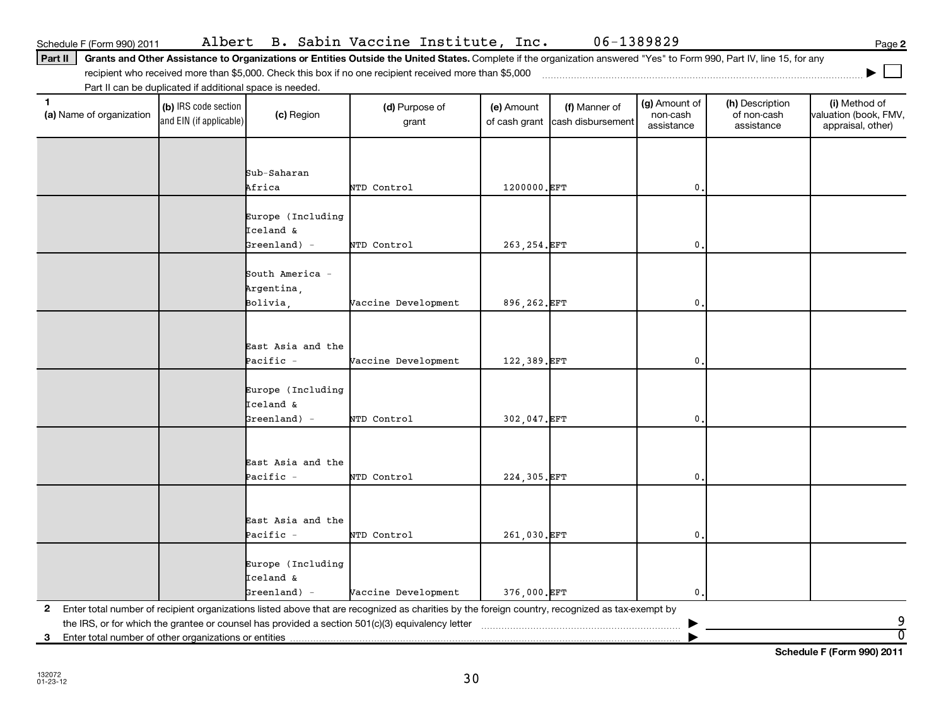**2** Enter total number of recipient organizations listed above that are recognized as charities by the foreign country, recognized as tax-exempt by Europe (Including Iceland & Greenland) - Vaccine Development 376,000.EFT 0.

**3** Enter total number of other organizations or entities |

**Schedule F (Form 990) 2011**

Part II | Grants and Other Assistance to Organizations or Entities Outside the United States. Complete if the organization answered "Yes" to Form 990, Part IV, line 15, for any

Schedule F (Form 990) 2011 Albert B. Sabin Vaccine Institute, Inc. 06-1389829 Page

**2**

**|**

**(a)** Name of organization (b) IRS code section (c) Region (c) Region (d) Purpose of (e) Amount (f) Manner of (g) Amount of (h) Description (i) (a) Name of organization (f) IRS code section (c) Region (d) Purpose of (d) Am (b) IRS code section and EIN (if applicable) (a) Name of organization (c) Region (d) Purpose of grant (e) Amount of cash grant (f) Manner of cash disbursement (g) Amount of non-cash assistance (h) Description of non-cash assistance (i) Method of valuation (book, FMV, appraisal, other) the IRS, or for which the grantee or counsel has provided a section 501(c)(3) equivalency letter ~~~~~~~~~~~~~~~~~~~~~~~ | Sub-Saharan Africa NTD Control 1200000.EFT 0. Europe (Including Iceland & Greenland) - NTD Control 263,254.EFT 0. South America - Argentina, Bolivia, Vaccine Development 896,262.EFT 0. East Asia and the Pacific - Vaccine Development | 122,389.EFT | 0. Europe (Including Iceland & Greenland) - NTD Control 302,047.EFT 0. East Asia and the Pacific - NTD Control | 224,305.EFT | 0. East Asia and the Pacific - NTD Control | 261,030.EFT | 0. 9  $\overline{0}$ 

30

recipient who received more than \$5,000. Check this box if no one recipient received more than \$5,000 ~~~~~~~~~~~~~~~~~~~~~~~~~~~~~~~~~~~~~ Part II can be duplicated if additional space is needed.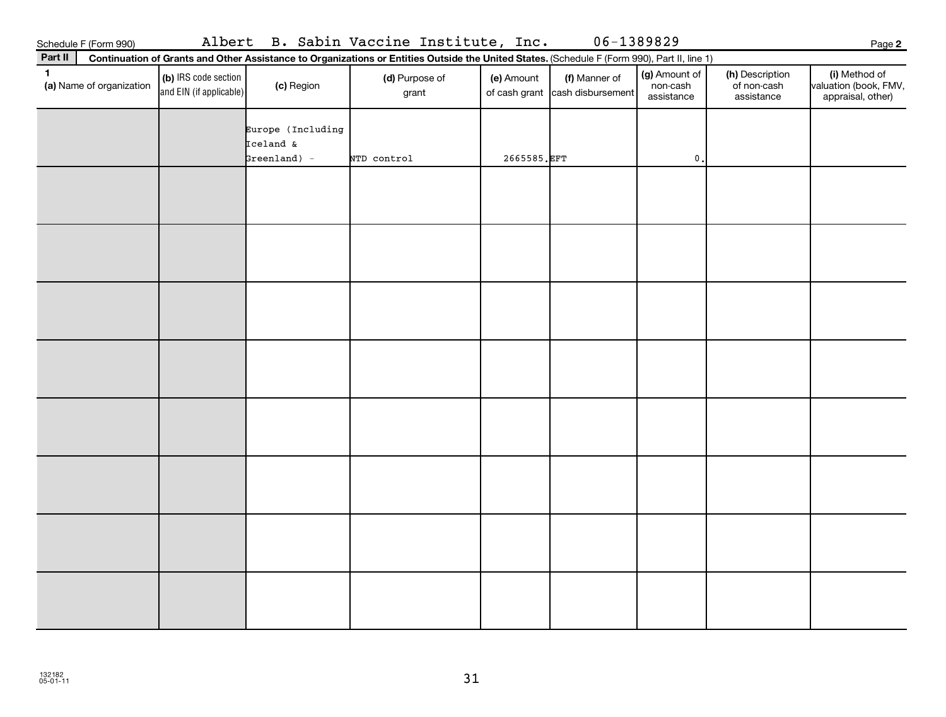| Schedule F (Form 990)<br>Part II | Albert                                            |                                                  | B. Sabin Vaccine Institute, Inc.<br>Continuation of Grants and Other Assistance to Organizations or Entities Outside the United States. (Schedule F (Form 990), Part II, line 1) |             |                                                  | 06-1389829                              |                                              | Page                                                      |
|----------------------------------|---------------------------------------------------|--------------------------------------------------|----------------------------------------------------------------------------------------------------------------------------------------------------------------------------------|-------------|--------------------------------------------------|-----------------------------------------|----------------------------------------------|-----------------------------------------------------------|
| (a) Name of organization         | (b) IRS code section  <br>and EIN (if applicable) | (c) Region                                       | (d) Purpose of<br>grant                                                                                                                                                          | (e) Amount  | (f) Manner of<br>of cash grant cash disbursement | (g) Amount of<br>non-cash<br>assistance | (h) Description<br>of non-cash<br>assistance | (i) Method of<br>valuation (book, FM<br>appraisal, other) |
|                                  |                                                   | Europe (Including<br>Iceland &<br>$Greenland) -$ | NTD control                                                                                                                                                                      | 2665585.EFT |                                                  | 0.                                      |                                              |                                                           |
|                                  |                                                   |                                                  |                                                                                                                                                                                  |             |                                                  |                                         |                                              |                                                           |
|                                  |                                                   |                                                  |                                                                                                                                                                                  |             |                                                  |                                         |                                              |                                                           |
|                                  |                                                   |                                                  |                                                                                                                                                                                  |             |                                                  |                                         |                                              |                                                           |
|                                  |                                                   |                                                  |                                                                                                                                                                                  |             |                                                  |                                         |                                              |                                                           |

31

**2**

Method of valuation (book, FMV, appraisal, other)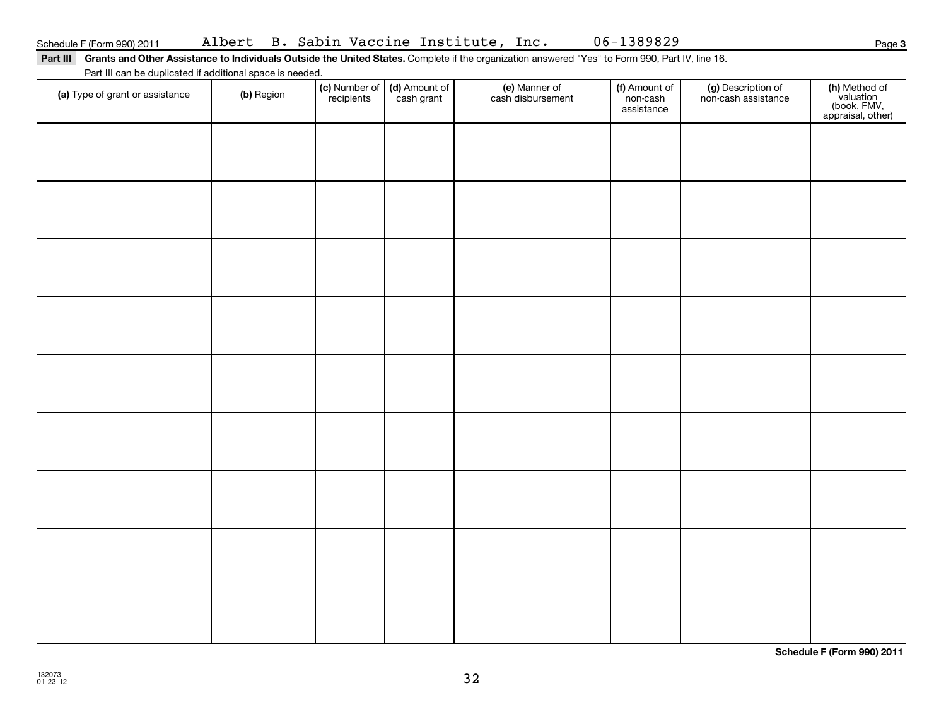Part III Grants and Other Assistance to Individuals Outside the United States. Complete if the organization answered "Yes" to Form 990, Part IV, line 16.

Part III can be duplicated if additional space is needed.

| (a) Type of grant or assistance | (b) Region | (c) Number of (d) Amount of recipients cash grant | (e) Manner of<br>cash disbursement | (f) Amount of<br>non-cash<br>assistance | (g) Description of<br>non-cash assistance | (h) Method of<br>valuation<br>(book, FMV,<br>appraisal, other) |
|---------------------------------|------------|---------------------------------------------------|------------------------------------|-----------------------------------------|-------------------------------------------|----------------------------------------------------------------|
|                                 |            |                                                   |                                    |                                         |                                           |                                                                |
|                                 |            |                                                   |                                    |                                         |                                           |                                                                |
|                                 |            |                                                   |                                    |                                         |                                           |                                                                |
|                                 |            |                                                   |                                    |                                         |                                           |                                                                |
|                                 |            |                                                   |                                    |                                         |                                           |                                                                |
|                                 |            |                                                   |                                    |                                         |                                           |                                                                |
|                                 |            |                                                   |                                    |                                         |                                           |                                                                |
|                                 |            |                                                   |                                    |                                         |                                           |                                                                |
|                                 |            |                                                   |                                    |                                         |                                           |                                                                |
|                                 |            |                                                   |                                    |                                         |                                           |                                                                |
|                                 |            |                                                   |                                    |                                         |                                           |                                                                |
|                                 |            |                                                   |                                    |                                         |                                           |                                                                |

**Schedule F (Form 990) 2011**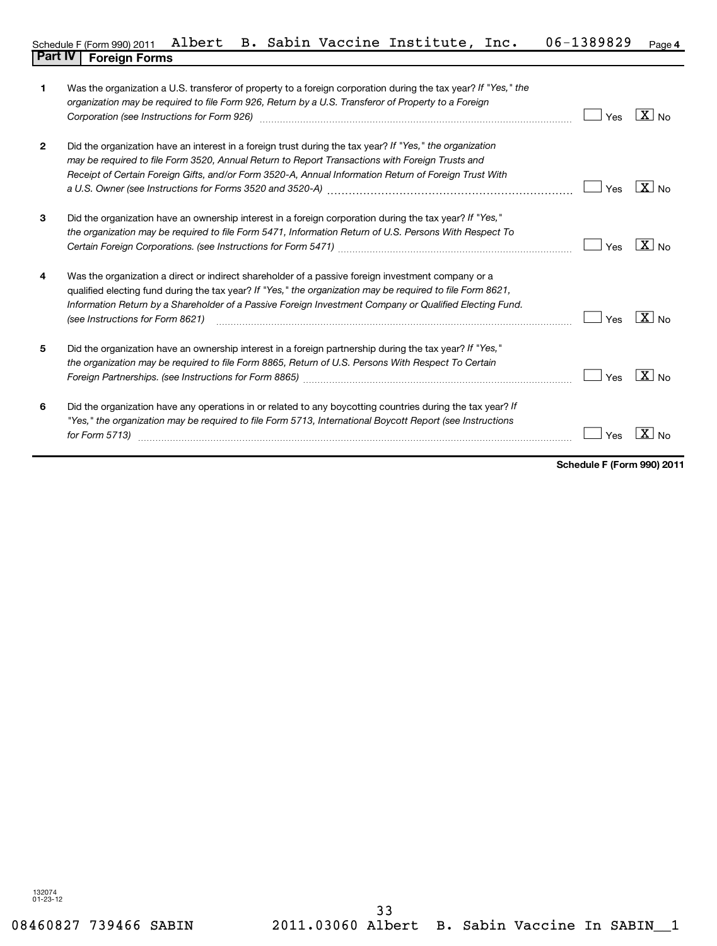| 1            | Was the organization a U.S. transferor of property to a foreign corporation during the tax year? If "Yes," the<br>organization may be required to file Form 926, Return by a U.S. Transferor of Property to a Foreign<br>Corporation (see Instructions for Form 926) [11] matter continuum matter of the Instruction (see Instructions for Form 926)            | Yes | $X_{N0}$                       |
|--------------|-----------------------------------------------------------------------------------------------------------------------------------------------------------------------------------------------------------------------------------------------------------------------------------------------------------------------------------------------------------------|-----|--------------------------------|
| $\mathbf{2}$ | Did the organization have an interest in a foreign trust during the tax year? If "Yes," the organization<br>may be required to file Form 3520, Annual Return to Report Transactions with Foreign Trusts and<br>Receipt of Certain Foreign Gifts, and/or Form 3520-A, Annual Information Return of Foreign Trust With                                            | Yes | $X_{N0}$                       |
| 3            | Did the organization have an ownership interest in a foreign corporation during the tax year? If "Yes,"<br>the organization may be required to file Form 5471, Information Return of U.S. Persons With Respect To                                                                                                                                               | Yes | $X _{N_Q}$                     |
| 4            | Was the organization a direct or indirect shareholder of a passive foreign investment company or a<br>qualified electing fund during the tax year? If "Yes," the organization may be required to file Form 8621,<br>Information Return by a Shareholder of a Passive Foreign Investment Company or Qualified Electing Fund.<br>(see Instructions for Form 8621) | Yes | $\boxed{\text{X}}$ No          |
| 5            | Did the organization have an ownership interest in a foreign partnership during the tax year? If "Yes,"<br>the organization may be required to file Form 8865, Return of U.S. Persons With Respect To Certain                                                                                                                                                   | Yes | $\mathbf{X}$<br>N <sub>0</sub> |
| 6            | Did the organization have any operations in or related to any boycotting countries during the tax year? If<br>"Yes," the organization may be required to file Form 5713, International Boycott Report (see Instructions<br>for Form 5713)                                                                                                                       | Yes | X<br>N <sub>0</sub>            |

**Schedule F (Form 990) 2011**

 $\blacksquare$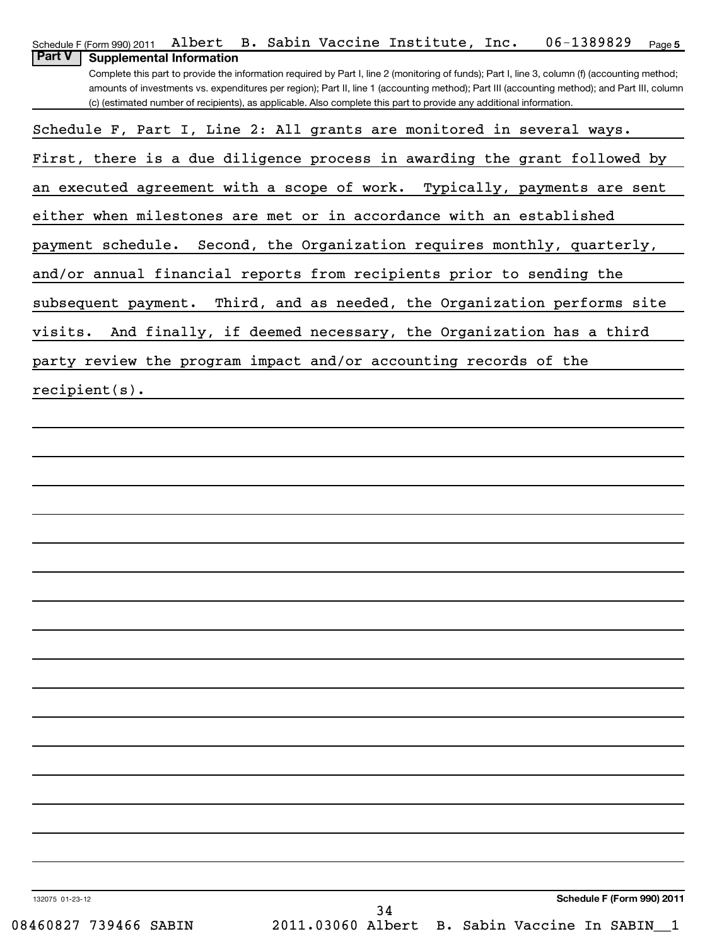| Albert B. Sabin Vaccine Institute, Inc. 06-1389829<br>Schedule F (Form 990) 2011<br>Page 5                                                                                                                                                                                                                                                                                                                                                                                |
|---------------------------------------------------------------------------------------------------------------------------------------------------------------------------------------------------------------------------------------------------------------------------------------------------------------------------------------------------------------------------------------------------------------------------------------------------------------------------|
| <b>Part V</b><br><b>Supplemental Information</b><br>Complete this part to provide the information required by Part I, line 2 (monitoring of funds); Part I, line 3, column (f) (accounting method;<br>amounts of investments vs. expenditures per region); Part II, line 1 (accounting method); Part III (accounting method); and Part III, column<br>(c) (estimated number of recipients), as applicable. Also complete this part to provide any additional information. |
| Schedule F, Part I, Line 2: All grants are monitored in several ways.                                                                                                                                                                                                                                                                                                                                                                                                     |
| First, there is a due diligence process in awarding the grant followed by                                                                                                                                                                                                                                                                                                                                                                                                 |
| an executed agreement with a scope of work. Typically, payments are sent                                                                                                                                                                                                                                                                                                                                                                                                  |
| either when milestones are met or in accordance with an established                                                                                                                                                                                                                                                                                                                                                                                                       |
| payment schedule. Second, the Organization requires monthly, quarterly,                                                                                                                                                                                                                                                                                                                                                                                                   |
| and/or annual financial reports from recipients prior to sending the                                                                                                                                                                                                                                                                                                                                                                                                      |
| subsequent payment. Third, and as needed, the Organization performs site                                                                                                                                                                                                                                                                                                                                                                                                  |
| And finally, if deemed necessary, the Organization has a third<br>visits.                                                                                                                                                                                                                                                                                                                                                                                                 |
| party review the program impact and/or accounting records of the                                                                                                                                                                                                                                                                                                                                                                                                          |
| $recipient(s)$ .                                                                                                                                                                                                                                                                                                                                                                                                                                                          |
|                                                                                                                                                                                                                                                                                                                                                                                                                                                                           |
|                                                                                                                                                                                                                                                                                                                                                                                                                                                                           |
|                                                                                                                                                                                                                                                                                                                                                                                                                                                                           |
|                                                                                                                                                                                                                                                                                                                                                                                                                                                                           |
|                                                                                                                                                                                                                                                                                                                                                                                                                                                                           |
|                                                                                                                                                                                                                                                                                                                                                                                                                                                                           |
|                                                                                                                                                                                                                                                                                                                                                                                                                                                                           |
|                                                                                                                                                                                                                                                                                                                                                                                                                                                                           |
|                                                                                                                                                                                                                                                                                                                                                                                                                                                                           |
|                                                                                                                                                                                                                                                                                                                                                                                                                                                                           |
|                                                                                                                                                                                                                                                                                                                                                                                                                                                                           |
|                                                                                                                                                                                                                                                                                                                                                                                                                                                                           |
|                                                                                                                                                                                                                                                                                                                                                                                                                                                                           |
|                                                                                                                                                                                                                                                                                                                                                                                                                                                                           |
|                                                                                                                                                                                                                                                                                                                                                                                                                                                                           |
|                                                                                                                                                                                                                                                                                                                                                                                                                                                                           |
|                                                                                                                                                                                                                                                                                                                                                                                                                                                                           |
| Schedule F (Form 990) 2011<br>132075 01-23-12<br>י כ                                                                                                                                                                                                                                                                                                                                                                                                                      |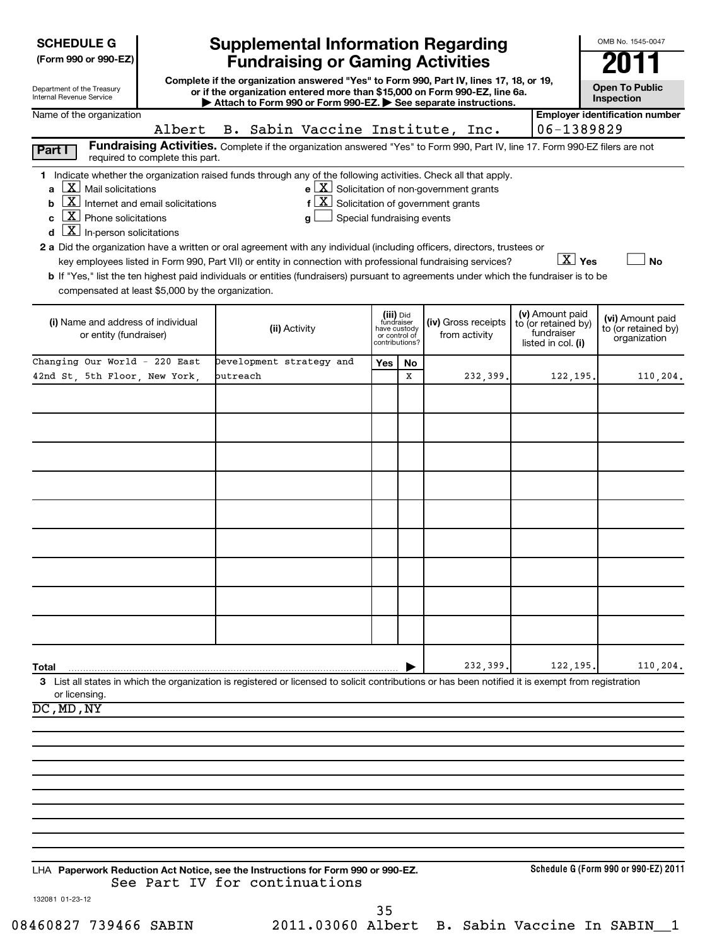| <b>SCHEDULE G</b> |
|-------------------|
|-------------------|

| (Form 990 or 990-EZ) |  |  |  |  |
|----------------------|--|--|--|--|
|----------------------|--|--|--|--|

| Department of the Treasury |  |
|----------------------------|--|
| Internal Revenue Service   |  |

# **Supplemental Information Regarding Fundraising or Gaming Activities 2011**

**Complete if the organization answered "Yes" to Form 990, Part IV, lines 17, 18, or 19, or if the organization entered more than \$15,000 on Form 990-EZ, line 6a. | Attach to Form 990 or Form 990-EZ. | See separate instructions.**

| <b>Open To Public</b><br>Inspection |  |
|-------------------------------------|--|

OMB No. 1545-0047

| Name of the organization                                                                                                                                                                                                                                                                                                                                                                                                                                                                                                                                                                                                                                                                                                                                        |                                  |                                                                                                                                                     |     |                                                                            |                                      |                                                                            |                        | <b>Employer identification number</b>                   |
|-----------------------------------------------------------------------------------------------------------------------------------------------------------------------------------------------------------------------------------------------------------------------------------------------------------------------------------------------------------------------------------------------------------------------------------------------------------------------------------------------------------------------------------------------------------------------------------------------------------------------------------------------------------------------------------------------------------------------------------------------------------------|----------------------------------|-----------------------------------------------------------------------------------------------------------------------------------------------------|-----|----------------------------------------------------------------------------|--------------------------------------|----------------------------------------------------------------------------|------------------------|---------------------------------------------------------|
| Albert                                                                                                                                                                                                                                                                                                                                                                                                                                                                                                                                                                                                                                                                                                                                                          | B. Sabin Vaccine Institute, Inc. |                                                                                                                                                     |     |                                                                            |                                      |                                                                            | 06-1389829             |                                                         |
| Fundraising Activities. Complete if the organization answered "Yes" to Form 990, Part IV, line 17. Form 990-EZ filers are not<br>Part I<br>required to complete this part.                                                                                                                                                                                                                                                                                                                                                                                                                                                                                                                                                                                      |                                  |                                                                                                                                                     |     |                                                                            |                                      |                                                                            |                        |                                                         |
| 1 Indicate whether the organization raised funds through any of the following activities. Check all that apply.<br>$\lfloor \underline{X} \rfloor$ Mail solicitations<br>a<br>$\boxed{\text{X}}$ Internet and email solicitations<br>b<br>$X$ Phone solicitations<br>$\overline{\mathbf{X}}$ In-person solicitations<br>2 a Did the organization have a written or oral agreement with any individual (including officers, directors, trustees or<br>key employees listed in Form 990, Part VII) or entity in connection with professional fundraising services?<br>b If "Yes," list the ten highest paid individuals or entities (fundraisers) pursuant to agreements under which the fundraiser is to be<br>compensated at least \$5,000 by the organization. |                                  | $e$ $\boxed{\text{X}}$ Solicitation of non-government grants<br>f $ \underline{X} $ Solicitation of government grants<br>Special fundraising events |     |                                                                            |                                      |                                                                            | $\boxed{\text{X}}$ Yes | No                                                      |
| (i) Name and address of individual<br>or entity (fundraiser)                                                                                                                                                                                                                                                                                                                                                                                                                                                                                                                                                                                                                                                                                                    | (ii) Activity                    |                                                                                                                                                     |     | (iii) Did<br>fundraiser<br>have custody<br>or control of<br>contributions? | (iv) Gross receipts<br>from activity | (v) Amount paid<br>to (or retained by)<br>fundraiser<br>listed in col. (i) |                        | (vi) Amount paid<br>to (or retained by)<br>organization |
| Changing Our World - 220 East                                                                                                                                                                                                                                                                                                                                                                                                                                                                                                                                                                                                                                                                                                                                   | Development strategy and         |                                                                                                                                                     | Yes | No                                                                         |                                      |                                                                            |                        |                                                         |
| 42nd St, 5th Floor, New York,                                                                                                                                                                                                                                                                                                                                                                                                                                                                                                                                                                                                                                                                                                                                   | butreach                         |                                                                                                                                                     |     | x                                                                          | 232,399.                             |                                                                            | 122, 195.              | 110,204.                                                |
|                                                                                                                                                                                                                                                                                                                                                                                                                                                                                                                                                                                                                                                                                                                                                                 |                                  |                                                                                                                                                     |     |                                                                            |                                      |                                                                            |                        |                                                         |
|                                                                                                                                                                                                                                                                                                                                                                                                                                                                                                                                                                                                                                                                                                                                                                 |                                  |                                                                                                                                                     |     |                                                                            |                                      |                                                                            |                        |                                                         |
|                                                                                                                                                                                                                                                                                                                                                                                                                                                                                                                                                                                                                                                                                                                                                                 |                                  |                                                                                                                                                     |     |                                                                            |                                      |                                                                            |                        |                                                         |
|                                                                                                                                                                                                                                                                                                                                                                                                                                                                                                                                                                                                                                                                                                                                                                 |                                  |                                                                                                                                                     |     |                                                                            |                                      |                                                                            |                        |                                                         |
|                                                                                                                                                                                                                                                                                                                                                                                                                                                                                                                                                                                                                                                                                                                                                                 |                                  |                                                                                                                                                     |     |                                                                            |                                      |                                                                            |                        |                                                         |
|                                                                                                                                                                                                                                                                                                                                                                                                                                                                                                                                                                                                                                                                                                                                                                 |                                  |                                                                                                                                                     |     |                                                                            |                                      |                                                                            |                        |                                                         |
|                                                                                                                                                                                                                                                                                                                                                                                                                                                                                                                                                                                                                                                                                                                                                                 |                                  |                                                                                                                                                     |     |                                                                            |                                      |                                                                            |                        |                                                         |
| Total<br>3 List all states in which the organization is registered or licensed to solicit contributions or has been notified it is exempt from registration                                                                                                                                                                                                                                                                                                                                                                                                                                                                                                                                                                                                     |                                  |                                                                                                                                                     |     |                                                                            | 232,399.                             |                                                                            | 122,195.               | 110,204.                                                |
| or licensing.<br>$\overline{DC}$ , MD, NY                                                                                                                                                                                                                                                                                                                                                                                                                                                                                                                                                                                                                                                                                                                       |                                  |                                                                                                                                                     |     |                                                                            |                                      |                                                                            |                        |                                                         |
|                                                                                                                                                                                                                                                                                                                                                                                                                                                                                                                                                                                                                                                                                                                                                                 |                                  |                                                                                                                                                     |     |                                                                            |                                      |                                                                            |                        |                                                         |
|                                                                                                                                                                                                                                                                                                                                                                                                                                                                                                                                                                                                                                                                                                                                                                 |                                  |                                                                                                                                                     |     |                                                                            |                                      |                                                                            |                        |                                                         |
|                                                                                                                                                                                                                                                                                                                                                                                                                                                                                                                                                                                                                                                                                                                                                                 |                                  |                                                                                                                                                     |     |                                                                            |                                      |                                                                            |                        |                                                         |
|                                                                                                                                                                                                                                                                                                                                                                                                                                                                                                                                                                                                                                                                                                                                                                 |                                  |                                                                                                                                                     |     |                                                                            |                                      |                                                                            |                        |                                                         |
|                                                                                                                                                                                                                                                                                                                                                                                                                                                                                                                                                                                                                                                                                                                                                                 |                                  |                                                                                                                                                     |     |                                                                            |                                      |                                                                            |                        |                                                         |
|                                                                                                                                                                                                                                                                                                                                                                                                                                                                                                                                                                                                                                                                                                                                                                 |                                  |                                                                                                                                                     |     |                                                                            |                                      |                                                                            |                        |                                                         |
| LHA Paperwork Reduction Act Notice, see the Instructions for Form 990 or 990-EZ.                                                                                                                                                                                                                                                                                                                                                                                                                                                                                                                                                                                                                                                                                | See Part IV for continuations    |                                                                                                                                                     |     |                                                                            |                                      |                                                                            |                        | Schedule G (Form 990 or 990-EZ) 2011                    |
| 132081 01-23-12                                                                                                                                                                                                                                                                                                                                                                                                                                                                                                                                                                                                                                                                                                                                                 |                                  |                                                                                                                                                     |     |                                                                            |                                      |                                                                            |                        |                                                         |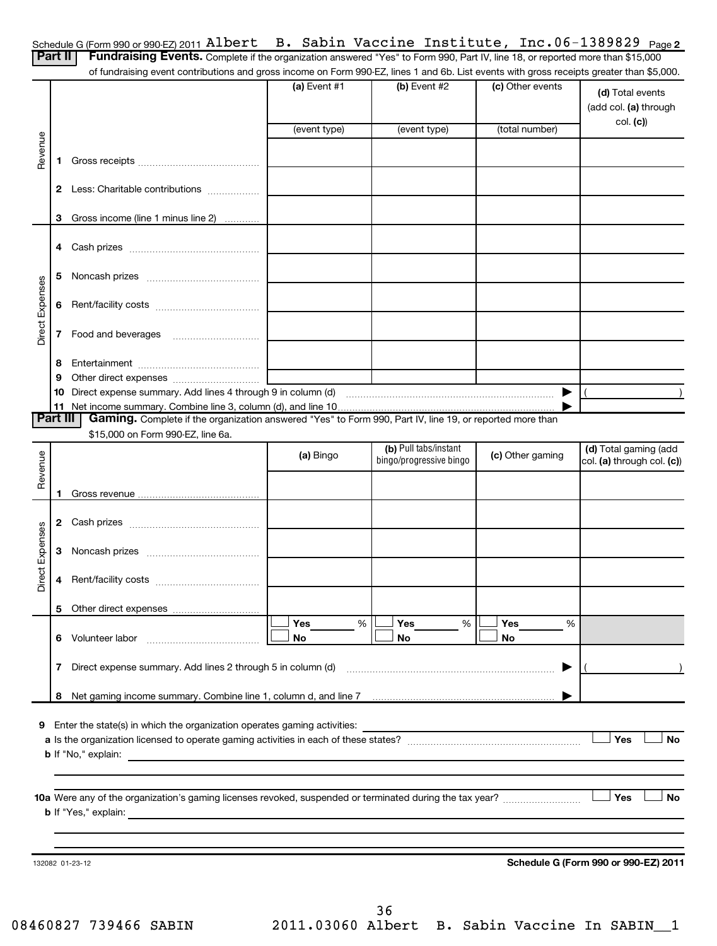| Schedule G (Form 990 or 990-EZ) 2011 Albert B. Sabin Vaccine Institute, Inc. $06-1389829$ Page 2 |  |  |  |  |  |  |
|--------------------------------------------------------------------------------------------------|--|--|--|--|--|--|
|--------------------------------------------------------------------------------------------------|--|--|--|--|--|--|

| <b>Part II</b>         |              | Schedule G (Form 990 or 990-EZ) 2011 ALDEL C<br>Fundraising Events. Complete if the organization answered "Yes" to Form 990, Part IV, line 18, or reported more than \$15,000 |                |                                                  |                  | P. Sabin vaccine institute, inc.00-1509029 Page2    |
|------------------------|--------------|-------------------------------------------------------------------------------------------------------------------------------------------------------------------------------|----------------|--------------------------------------------------|------------------|-----------------------------------------------------|
|                        |              | of fundraising event contributions and gross income on Form 990-EZ, lines 1 and 6b. List events with gross receipts greater than \$5,000.                                     |                |                                                  |                  |                                                     |
|                        |              |                                                                                                                                                                               | $(a)$ Event #1 | $(b)$ Event #2                                   | (c) Other events | (d) Total events<br>(add col. (a) through           |
|                        |              |                                                                                                                                                                               | (event type)   | (event type)                                     | (total number)   | col. (c)                                            |
| Revenue                |              |                                                                                                                                                                               |                |                                                  |                  |                                                     |
|                        | 1.           |                                                                                                                                                                               |                |                                                  |                  |                                                     |
|                        |              | 2 Less: Charitable contributions                                                                                                                                              |                |                                                  |                  |                                                     |
|                        | З            | Gross income (line 1 minus line 2)                                                                                                                                            |                |                                                  |                  |                                                     |
|                        |              |                                                                                                                                                                               |                |                                                  |                  |                                                     |
|                        | 5.           |                                                                                                                                                                               |                |                                                  |                  |                                                     |
| <b>Direct Expenses</b> | 6            |                                                                                                                                                                               |                |                                                  |                  |                                                     |
|                        |              |                                                                                                                                                                               |                |                                                  |                  |                                                     |
|                        | 8            |                                                                                                                                                                               |                |                                                  |                  |                                                     |
|                        | 9            |                                                                                                                                                                               |                |                                                  |                  |                                                     |
|                        |              |                                                                                                                                                                               |                |                                                  |                  |                                                     |
| <b>Part III</b>        |              | Gaming. Complete if the organization answered "Yes" to Form 990, Part IV, line 19, or reported more than                                                                      |                |                                                  |                  |                                                     |
|                        |              | \$15,000 on Form 990-EZ, line 6a.                                                                                                                                             |                |                                                  |                  |                                                     |
|                        |              |                                                                                                                                                                               | (a) Bingo      | (b) Pull tabs/instant<br>bingo/progressive bingo | (c) Other gaming | (d) Total gaming (add<br>col. (a) through col. (c)) |
| Revenue                |              |                                                                                                                                                                               |                |                                                  |                  |                                                     |
|                        | 1.           |                                                                                                                                                                               |                |                                                  |                  |                                                     |
|                        |              |                                                                                                                                                                               |                |                                                  |                  |                                                     |
|                        |              |                                                                                                                                                                               |                |                                                  |                  |                                                     |
| Direct Expenses        |              | 4 Rent/facility costs                                                                                                                                                         |                |                                                  |                  |                                                     |
|                        | 5            |                                                                                                                                                                               |                |                                                  |                  |                                                     |
|                        |              |                                                                                                                                                                               | Yes<br>%       | Yes<br>%                                         | Yes<br>%         |                                                     |
|                        |              | 6 Volunteer labor                                                                                                                                                             | No             | No                                               | No               |                                                     |
|                        | $\mathbf{7}$ | Direct expense summary. Add lines 2 through 5 in column (d)                                                                                                                   |                |                                                  | ▶                |                                                     |
|                        | 8            |                                                                                                                                                                               |                |                                                  |                  |                                                     |
| 9                      |              | Enter the state(s) in which the organization operates gaming activities:                                                                                                      |                |                                                  |                  |                                                     |
|                        |              |                                                                                                                                                                               |                |                                                  |                  | Yes<br>No                                           |
|                        |              | <b>b</b> If "No," explain:                                                                                                                                                    |                |                                                  |                  |                                                     |
|                        |              |                                                                                                                                                                               |                |                                                  |                  |                                                     |
|                        |              |                                                                                                                                                                               |                |                                                  |                  | <b>Yes</b><br>No                                    |
|                        |              | <b>b</b> If "Yes," explain:                                                                                                                                                   |                |                                                  |                  |                                                     |
|                        |              |                                                                                                                                                                               |                |                                                  |                  |                                                     |
|                        |              |                                                                                                                                                                               |                |                                                  |                  |                                                     |
|                        |              | 132082 01-23-12                                                                                                                                                               |                |                                                  |                  | Schedule G (Form 990 or 990-EZ) 2011                |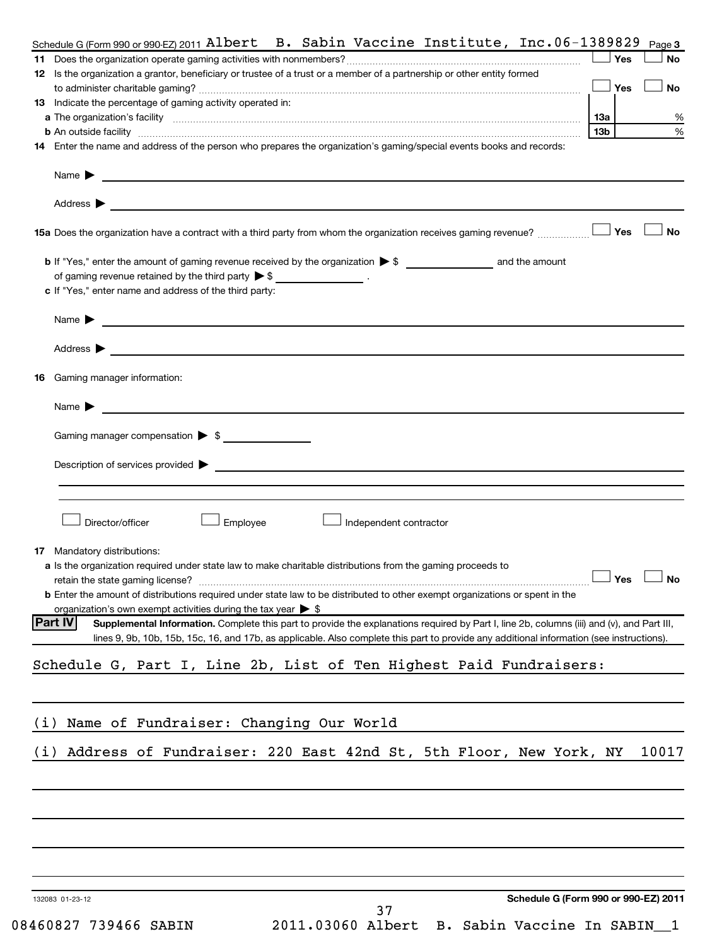|            |                                                                                                                                                                                                                                              |                 | Yes | No    |
|------------|----------------------------------------------------------------------------------------------------------------------------------------------------------------------------------------------------------------------------------------------|-----------------|-----|-------|
|            | 12 Is the organization a grantor, beneficiary or trustee of a trust or a member of a partnership or other entity formed                                                                                                                      |                 |     |       |
|            |                                                                                                                                                                                                                                              |                 | Yes | No    |
|            | 13 Indicate the percentage of gaming activity operated in:                                                                                                                                                                                   |                 |     |       |
|            | a The organization's facility [11, 2010] The contract of the contract of the contract of the contract of the contract of the contract of the contract of the contract of the contract of the contract of the contract of the c               | 1За             |     |       |
|            | 14 Enter the name and address of the person who prepares the organization's gaming/special events books and records:                                                                                                                         | 13 <sub>b</sub> |     |       |
|            |                                                                                                                                                                                                                                              |                 |     |       |
|            | Name $\blacktriangleright$<br>and the control of the control of the control of the control of the control of the control of the control of the                                                                                               |                 |     |       |
|            | Address $\blacktriangleright$                                                                                                                                                                                                                |                 |     |       |
|            | 15a Does the organization have a contract with a third party from whom the organization receives gaming revenue?                                                                                                                             |                 | Yes |       |
|            |                                                                                                                                                                                                                                              |                 |     |       |
|            | of gaming revenue retained by the third party $\triangleright$ \$ ___________________.                                                                                                                                                       |                 |     |       |
|            | c If "Yes," enter name and address of the third party:                                                                                                                                                                                       |                 |     |       |
|            | Name $\blacktriangleright$                                                                                                                                                                                                                   |                 |     |       |
|            | Address $\blacktriangleright$                                                                                                                                                                                                                |                 |     |       |
|            | <u> 1989 - Johann Stein, marwolaethau a bhann an t-Amhain an t-Amhain an t-Amhain an t-Amhain an t-Amhain an t-A</u>                                                                                                                         |                 |     |       |
| 16.        | Gaming manager information:                                                                                                                                                                                                                  |                 |     |       |
|            | Name $\blacktriangleright$<br><u> 1989 - Johann Stoff, deutscher Stoff, der Stoff, der Stoff, der Stoff, der Stoff, der Stoff, der Stoff, der S</u>                                                                                          |                 |     |       |
|            | Gaming manager compensation > \$                                                                                                                                                                                                             |                 |     |       |
|            |                                                                                                                                                                                                                                              |                 |     |       |
|            | Director/officer                                                                                                                                                                                                                             |                 |     |       |
|            | Employee<br>Independent contractor                                                                                                                                                                                                           |                 |     |       |
|            |                                                                                                                                                                                                                                              |                 |     |       |
|            | 17 Mandatory distributions:                                                                                                                                                                                                                  |                 |     |       |
|            | a Is the organization required under state law to make charitable distributions from the gaming proceeds to                                                                                                                                  |                 |     |       |
|            | retain the state gaming license?                                                                                                                                                                                                             |                 | Yes |       |
|            | <b>b</b> Enter the amount of distributions required under state law to be distributed to other exempt organizations or spent in the                                                                                                          |                 |     |       |
|            | organization's own exempt activities during the tax year $\triangleright$ \$<br><b>Part IV</b><br>Supplemental Information. Complete this part to provide the explanations required by Part I, line 2b, columns (iii) and (v), and Part III, |                 |     |       |
|            | lines 9, 9b, 10b, 15b, 15c, 16, and 17b, as applicable. Also complete this part to provide any additional information (see instructions).                                                                                                    |                 |     |       |
|            |                                                                                                                                                                                                                                              |                 |     |       |
|            | Schedule G, Part I, Line 2b, List of Ten Highest Paid Fundraisers:                                                                                                                                                                           |                 |     |       |
|            |                                                                                                                                                                                                                                              |                 |     |       |
|            | Name of Fundraiser: Changing Our World                                                                                                                                                                                                       |                 |     |       |
|            | Address of Fundraiser: 220 East 42nd St, 5th Floor, New York, NY                                                                                                                                                                             |                 |     |       |
|            |                                                                                                                                                                                                                                              |                 |     |       |
| (i)<br>(i) |                                                                                                                                                                                                                                              |                 |     |       |
|            |                                                                                                                                                                                                                                              |                 |     |       |
|            |                                                                                                                                                                                                                                              |                 |     |       |
|            |                                                                                                                                                                                                                                              |                 |     |       |
|            |                                                                                                                                                                                                                                              |                 |     |       |
|            |                                                                                                                                                                                                                                              |                 |     | 10017 |
|            | Schedule G (Form 990 or 990-EZ) 2011<br>132083 01-23-12<br>37                                                                                                                                                                                |                 |     |       |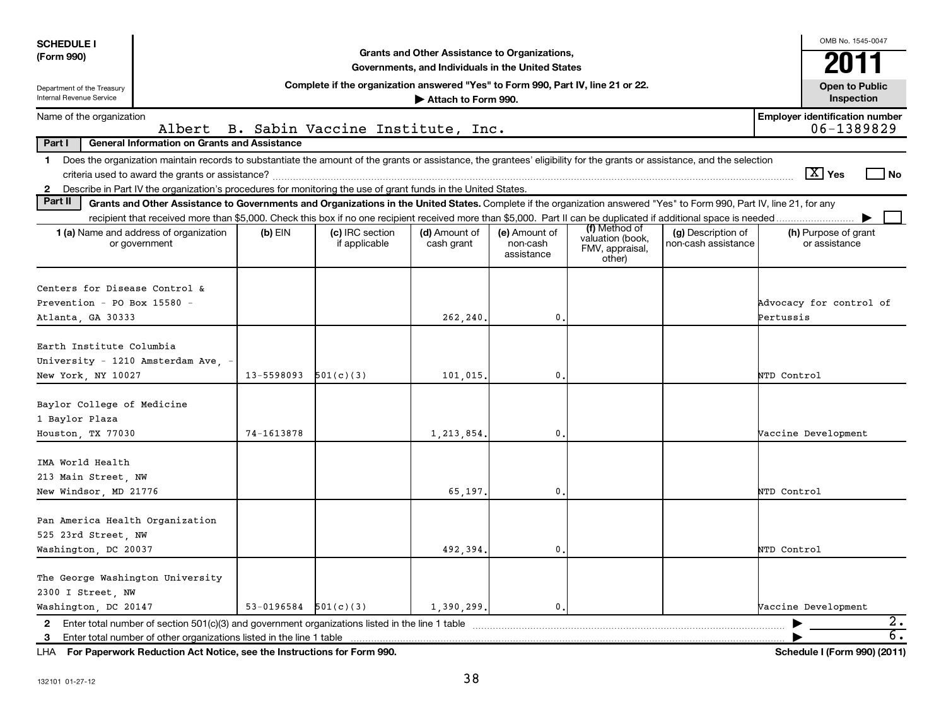| <b>SCHEDULE I</b>                                            |                                                                                                                                                                          |                          |                                                                                  |                             |                                         |                                               |                                           | OMB No. 1545-0047                                   |  |  |  |
|--------------------------------------------------------------|--------------------------------------------------------------------------------------------------------------------------------------------------------------------------|--------------------------|----------------------------------------------------------------------------------|-----------------------------|-----------------------------------------|-----------------------------------------------|-------------------------------------------|-----------------------------------------------------|--|--|--|
| (Form 990)                                                   | Grants and Other Assistance to Organizations,<br>Governments, and Individuals in the United States                                                                       |                          |                                                                                  |                             |                                         |                                               |                                           |                                                     |  |  |  |
| Department of the Treasury                                   |                                                                                                                                                                          |                          | Complete if the organization answered "Yes" to Form 990, Part IV, line 21 or 22. |                             |                                         |                                               |                                           | 201<br><b>Open to Public</b>                        |  |  |  |
| <b>Internal Revenue Service</b>                              |                                                                                                                                                                          |                          |                                                                                  | Attach to Form 990.         |                                         |                                               |                                           | Inspection                                          |  |  |  |
| Name of the organization                                     | Albert                                                                                                                                                                   |                          | B. Sabin Vaccine Institute, Inc.                                                 |                             |                                         |                                               |                                           | <b>Employer identification number</b><br>06-1389829 |  |  |  |
| Part I                                                       | <b>General Information on Grants and Assistance</b>                                                                                                                      |                          |                                                                                  |                             |                                         |                                               |                                           |                                                     |  |  |  |
| $\mathbf 1$                                                  | Does the organization maintain records to substantiate the amount of the grants or assistance, the grantees' eligibility for the grants or assistance, and the selection |                          |                                                                                  |                             |                                         |                                               |                                           |                                                     |  |  |  |
|                                                              |                                                                                                                                                                          |                          |                                                                                  |                             |                                         |                                               |                                           | $ \mathbf{X} $ Yes<br>l No                          |  |  |  |
| $\mathbf{2}$                                                 | Describe in Part IV the organization's procedures for monitoring the use of grant funds in the United States.                                                            |                          |                                                                                  |                             |                                         |                                               |                                           |                                                     |  |  |  |
| Part II                                                      | Grants and Other Assistance to Governments and Organizations in the United States. Complete if the organization answered "Yes" to Form 990, Part IV, line 21, for any    |                          |                                                                                  |                             |                                         |                                               |                                           |                                                     |  |  |  |
|                                                              | recipient that received more than \$5,000. Check this box if no one recipient received more than \$5,000. Part II can be duplicated if additional space is needed        |                          |                                                                                  |                             |                                         | (f) Method of                                 |                                           |                                                     |  |  |  |
|                                                              | <b>1 (a)</b> Name and address of organization<br>or government                                                                                                           | $(b)$ EIN                | (c) IRC section<br>if applicable                                                 | (d) Amount of<br>cash grant | (e) Amount of<br>non-cash<br>assistance | valuation (book,<br>FMV, appraisal,<br>other) | (g) Description of<br>non-cash assistance | (h) Purpose of grant<br>or assistance               |  |  |  |
|                                                              |                                                                                                                                                                          |                          |                                                                                  |                             |                                         |                                               |                                           |                                                     |  |  |  |
| Centers for Disease Control &<br>Prevention - PO Box 15580 - |                                                                                                                                                                          |                          |                                                                                  |                             |                                         |                                               |                                           | Advocacy for control of                             |  |  |  |
| Atlanta, GA 30333                                            |                                                                                                                                                                          |                          |                                                                                  | 262,240                     | 0                                       |                                               |                                           | Pertussis                                           |  |  |  |
|                                                              |                                                                                                                                                                          |                          |                                                                                  |                             |                                         |                                               |                                           |                                                     |  |  |  |
| Earth Institute Columbia                                     |                                                                                                                                                                          |                          |                                                                                  |                             |                                         |                                               |                                           |                                                     |  |  |  |
|                                                              | University - 1210 Amsterdam Ave, -                                                                                                                                       |                          |                                                                                  |                             |                                         |                                               |                                           |                                                     |  |  |  |
| New York, NY 10027                                           |                                                                                                                                                                          | 13-5598093               | 501(c)(3)                                                                        | 101,015                     | 0                                       |                                               |                                           | NTD Control                                         |  |  |  |
|                                                              |                                                                                                                                                                          |                          |                                                                                  |                             |                                         |                                               |                                           |                                                     |  |  |  |
| Baylor College of Medicine<br>1 Baylor Plaza                 |                                                                                                                                                                          |                          |                                                                                  |                             |                                         |                                               |                                           |                                                     |  |  |  |
| Houston, TX 77030                                            |                                                                                                                                                                          | 74-1613878               |                                                                                  | 1, 213, 854                 | 0                                       |                                               |                                           | Vaccine Development                                 |  |  |  |
|                                                              |                                                                                                                                                                          |                          |                                                                                  |                             |                                         |                                               |                                           |                                                     |  |  |  |
| IMA World Health                                             |                                                                                                                                                                          |                          |                                                                                  |                             |                                         |                                               |                                           |                                                     |  |  |  |
| 213 Main Street, NW                                          |                                                                                                                                                                          |                          |                                                                                  |                             |                                         |                                               |                                           |                                                     |  |  |  |
| New Windsor, MD 21776                                        |                                                                                                                                                                          |                          |                                                                                  | 65.197                      | 0                                       |                                               |                                           | NTD Control                                         |  |  |  |
|                                                              |                                                                                                                                                                          |                          |                                                                                  |                             |                                         |                                               |                                           |                                                     |  |  |  |
| Pan America Health Organization<br>525 23rd Street, NW       |                                                                                                                                                                          |                          |                                                                                  |                             |                                         |                                               |                                           |                                                     |  |  |  |
| Washington, DC 20037                                         |                                                                                                                                                                          |                          |                                                                                  | 492.394                     | 0                                       |                                               |                                           | NTD Control                                         |  |  |  |
|                                                              |                                                                                                                                                                          |                          |                                                                                  |                             |                                         |                                               |                                           |                                                     |  |  |  |
| The George Washington University                             |                                                                                                                                                                          |                          |                                                                                  |                             |                                         |                                               |                                           |                                                     |  |  |  |
| 2300 I Street, NW                                            |                                                                                                                                                                          |                          |                                                                                  |                             |                                         |                                               |                                           |                                                     |  |  |  |
| Washington, DC 20147                                         |                                                                                                                                                                          | $53-0196584$ $501(c)(3)$ |                                                                                  | 1,390,299.                  | $\mathbf{0}$                            |                                               |                                           | Vaccine Development                                 |  |  |  |
| 2                                                            | Enter total number of section 501(c)(3) and government organizations listed in the line 1 table                                                                          |                          |                                                                                  |                             |                                         |                                               |                                           | 2.                                                  |  |  |  |
| 3                                                            | Enter total number of other organizations listed in the line 1 table                                                                                                     |                          |                                                                                  |                             |                                         |                                               |                                           | $\overline{6}$ .                                    |  |  |  |
|                                                              | LHA For Paperwork Reduction Act Notice, see the Instructions for Form 990.                                                                                               |                          |                                                                                  |                             |                                         |                                               |                                           | Schedule I (Form 990) (2011)                        |  |  |  |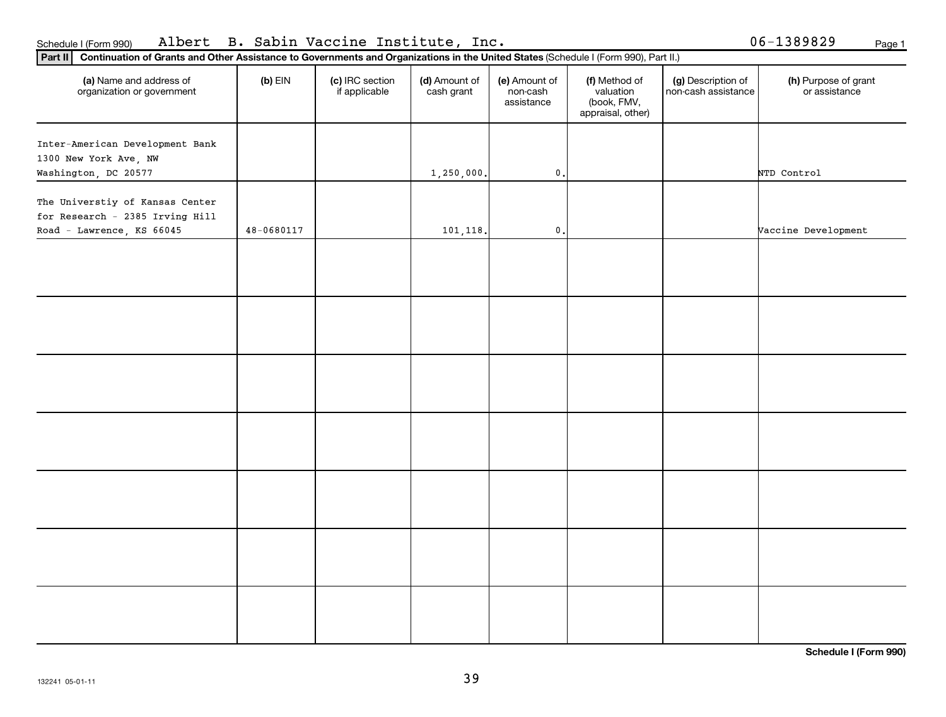| (a) Name and address of<br>organization or government              | $(b)$ EIN      | (c) IRC section<br>if applicable | (d) Amount of<br>cash grant | (e) Amount of<br>non-cash<br>assistance | (f) Method of<br>valuation<br>(book, FMV,<br>appraisal, other) | (g) Description of<br>non-cash assistance | (h) Purpose of grant<br>or assistance |
|--------------------------------------------------------------------|----------------|----------------------------------|-----------------------------|-----------------------------------------|----------------------------------------------------------------|-------------------------------------------|---------------------------------------|
| Inter-American Development Bank                                    |                |                                  |                             |                                         |                                                                |                                           |                                       |
| 1300 New York Ave, NW                                              |                |                                  |                             |                                         |                                                                |                                           |                                       |
| Washington, DC 20577                                               |                |                                  | 1,250,000.                  | $\mathbf 0$ .                           |                                                                |                                           | NTD Control                           |
| The Universtiy of Kansas Center<br>for Research - 2385 Irving Hill |                |                                  |                             |                                         |                                                                |                                           |                                       |
| Road - Lawrence, KS 66045                                          | $48 - 0680117$ |                                  | 101,118.                    | $\mathfrak o$ .                         |                                                                |                                           | Vaccine Development                   |
|                                                                    |                |                                  |                             |                                         |                                                                |                                           |                                       |
|                                                                    |                |                                  |                             |                                         |                                                                |                                           |                                       |
|                                                                    |                |                                  |                             |                                         |                                                                |                                           |                                       |
|                                                                    |                |                                  |                             |                                         |                                                                |                                           |                                       |
|                                                                    |                |                                  |                             |                                         |                                                                |                                           |                                       |
|                                                                    |                |                                  |                             |                                         |                                                                |                                           |                                       |
|                                                                    |                |                                  |                             |                                         |                                                                |                                           |                                       |
|                                                                    |                |                                  |                             |                                         |                                                                |                                           |                                       |
|                                                                    |                |                                  |                             |                                         |                                                                |                                           |                                       |
|                                                                    |                |                                  |                             |                                         |                                                                |                                           |                                       |
|                                                                    |                |                                  |                             |                                         |                                                                |                                           |                                       |
|                                                                    |                |                                  |                             |                                         |                                                                |                                           |                                       |
|                                                                    |                |                                  |                             |                                         |                                                                |                                           |                                       |
|                                                                    |                |                                  |                             |                                         |                                                                |                                           |                                       |
|                                                                    |                |                                  |                             |                                         |                                                                |                                           |                                       |

**Schedule I (Form 990)**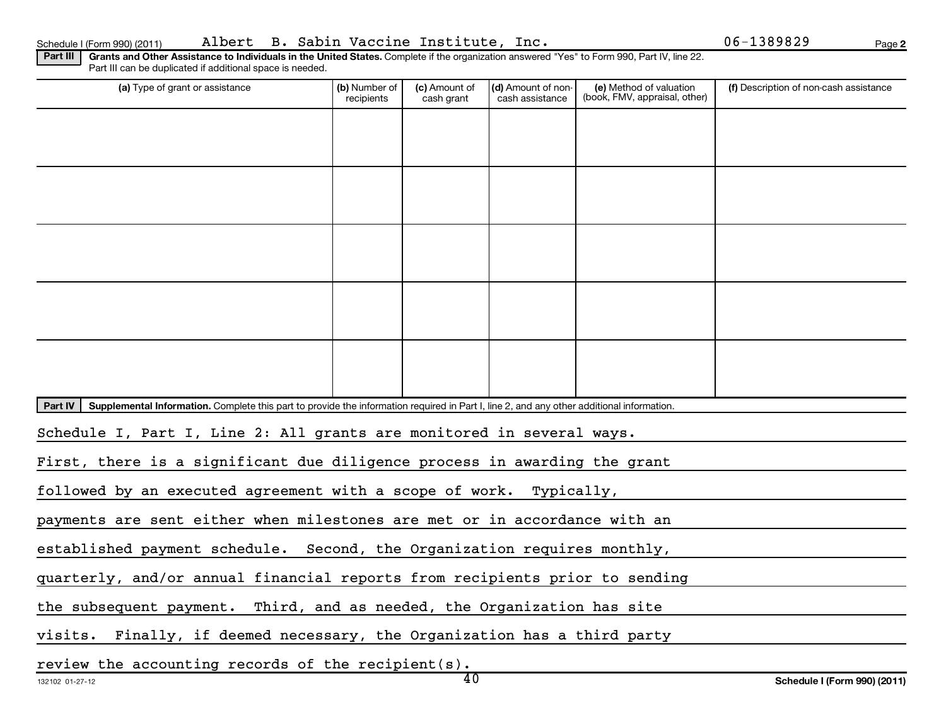| Schedule I (Form 990) (201 |  |  |
|----------------------------|--|--|
|                            |  |  |

Schedule I (Form 990) (2011) Albert B. Sabin Vaccine Institute, Inc. 06-1389829 <sub>Page</sub>

**2**

Part III | Grants and Other Assistance to Individuals in the United States. Complete if the organization answered "Yes" to Form 990, Part IV, line 22. Part III can be duplicated if additional space is needed.

| (a) Type of grant or assistance                                                                                                                      | (b) Number of<br>recipients | (c) Amount of<br>cash grant | (d) Amount of non-<br>cash assistance | (e) Method of valuation<br>(book, FMV, appraisal, other) | (f) Description of non-cash assistance |  |  |  |
|------------------------------------------------------------------------------------------------------------------------------------------------------|-----------------------------|-----------------------------|---------------------------------------|----------------------------------------------------------|----------------------------------------|--|--|--|
|                                                                                                                                                      |                             |                             |                                       |                                                          |                                        |  |  |  |
|                                                                                                                                                      |                             |                             |                                       |                                                          |                                        |  |  |  |
|                                                                                                                                                      |                             |                             |                                       |                                                          |                                        |  |  |  |
|                                                                                                                                                      |                             |                             |                                       |                                                          |                                        |  |  |  |
|                                                                                                                                                      |                             |                             |                                       |                                                          |                                        |  |  |  |
|                                                                                                                                                      |                             |                             |                                       |                                                          |                                        |  |  |  |
|                                                                                                                                                      |                             |                             |                                       |                                                          |                                        |  |  |  |
|                                                                                                                                                      |                             |                             |                                       |                                                          |                                        |  |  |  |
|                                                                                                                                                      |                             |                             |                                       |                                                          |                                        |  |  |  |
|                                                                                                                                                      |                             |                             |                                       |                                                          |                                        |  |  |  |
| Part IV<br>Supplemental Information. Complete this part to provide the information required in Part I, line 2, and any other additional information. |                             |                             |                                       |                                                          |                                        |  |  |  |
| Schedule I, Part I, Line 2: All grants are monitored in several ways.                                                                                |                             |                             |                                       |                                                          |                                        |  |  |  |
| First, there is a significant due diligence process in awarding the grant                                                                            |                             |                             |                                       |                                                          |                                        |  |  |  |
| followed by an executed agreement with a scope of work. Typically,                                                                                   |                             |                             |                                       |                                                          |                                        |  |  |  |
| payments are sent either when milestones are met or in accordance with an                                                                            |                             |                             |                                       |                                                          |                                        |  |  |  |
| established payment schedule. Second, the Organization requires monthly,                                                                             |                             |                             |                                       |                                                          |                                        |  |  |  |
| quarterly, and/or annual financial reports from recipients prior to sending                                                                          |                             |                             |                                       |                                                          |                                        |  |  |  |
| the subsequent payment. Third, and as needed, the Organization has site                                                                              |                             |                             |                                       |                                                          |                                        |  |  |  |
| visits. Finally, if deemed necessary, the Organization has a third party                                                                             |                             |                             |                                       |                                                          |                                        |  |  |  |
|                                                                                                                                                      |                             |                             |                                       |                                                          |                                        |  |  |  |

review the accounting records of the recipient(s).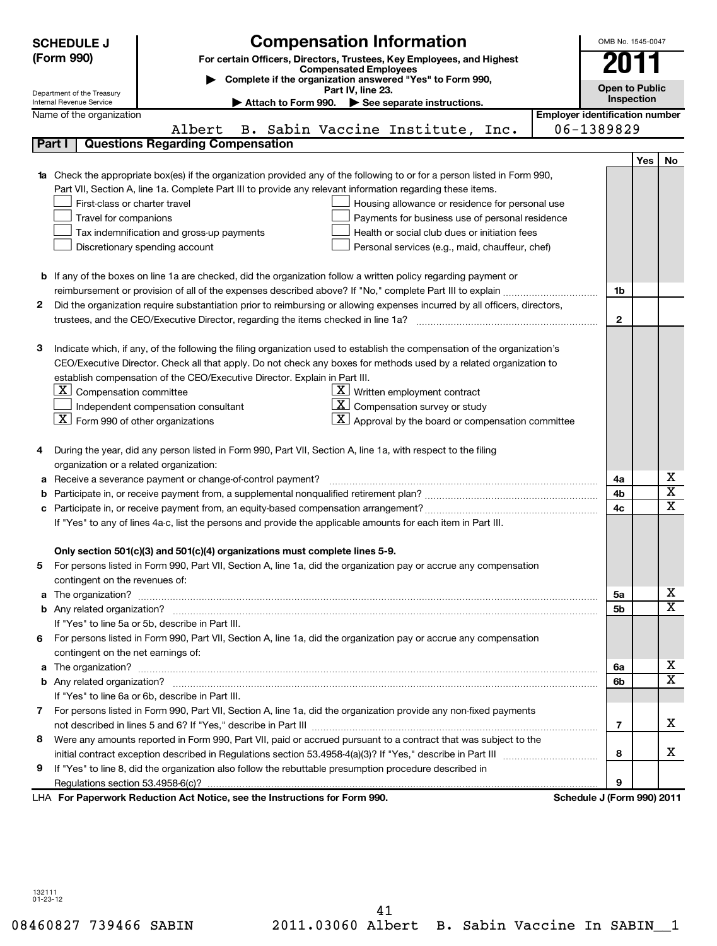| <b>Compensation Information</b><br><b>SCHEDULE J</b><br>(Form 990)<br>For certain Officers, Directors, Trustees, Key Employees, and Highest<br><b>Compensated Employees</b><br>Complete if the organization answered "Yes" to Form 990,<br>Part IV, line 23.<br>Department of the Treasury<br>Attach to Form 990. > See separate instructions.<br>Internal Revenue Service                                                                                                                                                                                                                        |                                                                                                                           |                                                                                                                   |                                                                                                                                                                                                                                                                                                                                                                                            |                                       |                         |  |  |  |
|---------------------------------------------------------------------------------------------------------------------------------------------------------------------------------------------------------------------------------------------------------------------------------------------------------------------------------------------------------------------------------------------------------------------------------------------------------------------------------------------------------------------------------------------------------------------------------------------------|---------------------------------------------------------------------------------------------------------------------------|-------------------------------------------------------------------------------------------------------------------|--------------------------------------------------------------------------------------------------------------------------------------------------------------------------------------------------------------------------------------------------------------------------------------------------------------------------------------------------------------------------------------------|---------------------------------------|-------------------------|--|--|--|
|                                                                                                                                                                                                                                                                                                                                                                                                                                                                                                                                                                                                   | Name of the organization                                                                                                  |                                                                                                                   |                                                                                                                                                                                                                                                                                                                                                                                            | <b>Employer identification number</b> |                         |  |  |  |
|                                                                                                                                                                                                                                                                                                                                                                                                                                                                                                                                                                                                   |                                                                                                                           | Albert                                                                                                            | B. Sabin Vaccine Institute, Inc.                                                                                                                                                                                                                                                                                                                                                           | 06-1389829                            |                         |  |  |  |
|                                                                                                                                                                                                                                                                                                                                                                                                                                                                                                                                                                                                   | Part I                                                                                                                    | <b>Questions Regarding Compensation</b>                                                                           |                                                                                                                                                                                                                                                                                                                                                                                            |                                       |                         |  |  |  |
|                                                                                                                                                                                                                                                                                                                                                                                                                                                                                                                                                                                                   |                                                                                                                           |                                                                                                                   |                                                                                                                                                                                                                                                                                                                                                                                            |                                       | Yes<br>No               |  |  |  |
| <b>1a</b> Check the appropriate box(es) if the organization provided any of the following to or for a person listed in Form 990,<br>Part VII, Section A, line 1a. Complete Part III to provide any relevant information regarding these items.<br>First-class or charter travel<br>Housing allowance or residence for personal use<br>Payments for business use of personal residence<br>Travel for companions<br>Tax indemnification and gross-up payments<br>Health or social club dues or initiation fees<br>Discretionary spending account<br>Personal services (e.g., maid, chauffeur, chef) |                                                                                                                           |                                                                                                                   |                                                                                                                                                                                                                                                                                                                                                                                            |                                       |                         |  |  |  |
|                                                                                                                                                                                                                                                                                                                                                                                                                                                                                                                                                                                                   |                                                                                                                           |                                                                                                                   | <b>b</b> If any of the boxes on line 1a are checked, did the organization follow a written policy regarding payment or                                                                                                                                                                                                                                                                     |                                       |                         |  |  |  |
|                                                                                                                                                                                                                                                                                                                                                                                                                                                                                                                                                                                                   |                                                                                                                           |                                                                                                                   | reimbursement or provision of all of the expenses described above? If "No," complete Part III to explain                                                                                                                                                                                                                                                                                   | 1b                                    |                         |  |  |  |
| 2                                                                                                                                                                                                                                                                                                                                                                                                                                                                                                                                                                                                 |                                                                                                                           |                                                                                                                   | Did the organization require substantiation prior to reimbursing or allowing expenses incurred by all officers, directors,                                                                                                                                                                                                                                                                 |                                       |                         |  |  |  |
|                                                                                                                                                                                                                                                                                                                                                                                                                                                                                                                                                                                                   |                                                                                                                           |                                                                                                                   |                                                                                                                                                                                                                                                                                                                                                                                            | $\mathbf{2}$                          |                         |  |  |  |
| з                                                                                                                                                                                                                                                                                                                                                                                                                                                                                                                                                                                                 | $\lfloor \underline{X} \rfloor$ Compensation committee<br>$\lfloor \underline{X} \rfloor$ Form 990 of other organizations | establish compensation of the CEO/Executive Director. Explain in Part III.<br>Independent compensation consultant | Indicate which, if any, of the following the filing organization used to establish the compensation of the organization's<br>CEO/Executive Director. Check all that apply. Do not check any boxes for methods used by a related organization to<br>$\underline{\mathbf{X}}$ Written employment contract<br>Compensation survey or study<br>Approval by the board or compensation committee |                                       |                         |  |  |  |
| 4                                                                                                                                                                                                                                                                                                                                                                                                                                                                                                                                                                                                 |                                                                                                                           |                                                                                                                   | During the year, did any person listed in Form 990, Part VII, Section A, line 1a, with respect to the filing                                                                                                                                                                                                                                                                               |                                       |                         |  |  |  |
|                                                                                                                                                                                                                                                                                                                                                                                                                                                                                                                                                                                                   | organization or a related organization:                                                                                   |                                                                                                                   |                                                                                                                                                                                                                                                                                                                                                                                            |                                       | х                       |  |  |  |
| а                                                                                                                                                                                                                                                                                                                                                                                                                                                                                                                                                                                                 |                                                                                                                           | Receive a severance payment or change-of-control payment?                                                         |                                                                                                                                                                                                                                                                                                                                                                                            | 4a                                    | $\overline{\mathtt{x}}$ |  |  |  |
| b                                                                                                                                                                                                                                                                                                                                                                                                                                                                                                                                                                                                 |                                                                                                                           |                                                                                                                   |                                                                                                                                                                                                                                                                                                                                                                                            | 4b                                    | $\overline{\text{x}}$   |  |  |  |
| c                                                                                                                                                                                                                                                                                                                                                                                                                                                                                                                                                                                                 |                                                                                                                           |                                                                                                                   |                                                                                                                                                                                                                                                                                                                                                                                            | 4 <sub>c</sub>                        |                         |  |  |  |
|                                                                                                                                                                                                                                                                                                                                                                                                                                                                                                                                                                                                   |                                                                                                                           | Only section 501(c)(3) and 501(c)(4) organizations must complete lines 5-9.                                       | If "Yes" to any of lines 4a-c, list the persons and provide the applicable amounts for each item in Part III.                                                                                                                                                                                                                                                                              |                                       |                         |  |  |  |
| 5                                                                                                                                                                                                                                                                                                                                                                                                                                                                                                                                                                                                 | contingent on the revenues of:                                                                                            |                                                                                                                   | For persons listed in Form 990, Part VII, Section A, line 1a, did the organization pay or accrue any compensation                                                                                                                                                                                                                                                                          |                                       |                         |  |  |  |
| a                                                                                                                                                                                                                                                                                                                                                                                                                                                                                                                                                                                                 |                                                                                                                           |                                                                                                                   | The organization? <b>With the contract of the contract of the contract of the contract of the contract of the contract of the contract of the contract of the contract of the contract of the contract of the contract of the co</b>                                                                                                                                                       | 5a                                    | х                       |  |  |  |
|                                                                                                                                                                                                                                                                                                                                                                                                                                                                                                                                                                                                   |                                                                                                                           |                                                                                                                   |                                                                                                                                                                                                                                                                                                                                                                                            | 5b                                    | $\overline{\text{x}}$   |  |  |  |
|                                                                                                                                                                                                                                                                                                                                                                                                                                                                                                                                                                                                   |                                                                                                                           | If "Yes" to line 5a or 5b, describe in Part III.                                                                  |                                                                                                                                                                                                                                                                                                                                                                                            |                                       |                         |  |  |  |
| 6                                                                                                                                                                                                                                                                                                                                                                                                                                                                                                                                                                                                 |                                                                                                                           |                                                                                                                   | For persons listed in Form 990, Part VII, Section A, line 1a, did the organization pay or accrue any compensation                                                                                                                                                                                                                                                                          |                                       |                         |  |  |  |
|                                                                                                                                                                                                                                                                                                                                                                                                                                                                                                                                                                                                   | contingent on the net earnings of:                                                                                        |                                                                                                                   |                                                                                                                                                                                                                                                                                                                                                                                            |                                       |                         |  |  |  |
|                                                                                                                                                                                                                                                                                                                                                                                                                                                                                                                                                                                                   |                                                                                                                           |                                                                                                                   |                                                                                                                                                                                                                                                                                                                                                                                            | 6a                                    | x                       |  |  |  |
|                                                                                                                                                                                                                                                                                                                                                                                                                                                                                                                                                                                                   |                                                                                                                           |                                                                                                                   |                                                                                                                                                                                                                                                                                                                                                                                            | 6b                                    | $\overline{\mathtt{x}}$ |  |  |  |
|                                                                                                                                                                                                                                                                                                                                                                                                                                                                                                                                                                                                   |                                                                                                                           | If "Yes" to line 6a or 6b, describe in Part III.                                                                  |                                                                                                                                                                                                                                                                                                                                                                                            |                                       |                         |  |  |  |
|                                                                                                                                                                                                                                                                                                                                                                                                                                                                                                                                                                                                   |                                                                                                                           |                                                                                                                   | 7 For persons listed in Form 990, Part VII, Section A, line 1a, did the organization provide any non-fixed payments                                                                                                                                                                                                                                                                        |                                       |                         |  |  |  |
|                                                                                                                                                                                                                                                                                                                                                                                                                                                                                                                                                                                                   |                                                                                                                           |                                                                                                                   |                                                                                                                                                                                                                                                                                                                                                                                            | 7                                     | x                       |  |  |  |
| 8                                                                                                                                                                                                                                                                                                                                                                                                                                                                                                                                                                                                 |                                                                                                                           |                                                                                                                   | Were any amounts reported in Form 990, Part VII, paid or accrued pursuant to a contract that was subject to the                                                                                                                                                                                                                                                                            |                                       | x                       |  |  |  |
|                                                                                                                                                                                                                                                                                                                                                                                                                                                                                                                                                                                                   |                                                                                                                           |                                                                                                                   |                                                                                                                                                                                                                                                                                                                                                                                            | 8                                     |                         |  |  |  |
| 9                                                                                                                                                                                                                                                                                                                                                                                                                                                                                                                                                                                                 |                                                                                                                           |                                                                                                                   | If "Yes" to line 8, did the organization also follow the rebuttable presumption procedure described in                                                                                                                                                                                                                                                                                     | 9                                     |                         |  |  |  |
|                                                                                                                                                                                                                                                                                                                                                                                                                                                                                                                                                                                                   |                                                                                                                           | LHA For Paperwork Reduction Act Notice, see the Instructions for Form 990.                                        |                                                                                                                                                                                                                                                                                                                                                                                            | Schedule J (Form 990) 2011            |                         |  |  |  |

132111 01-23-12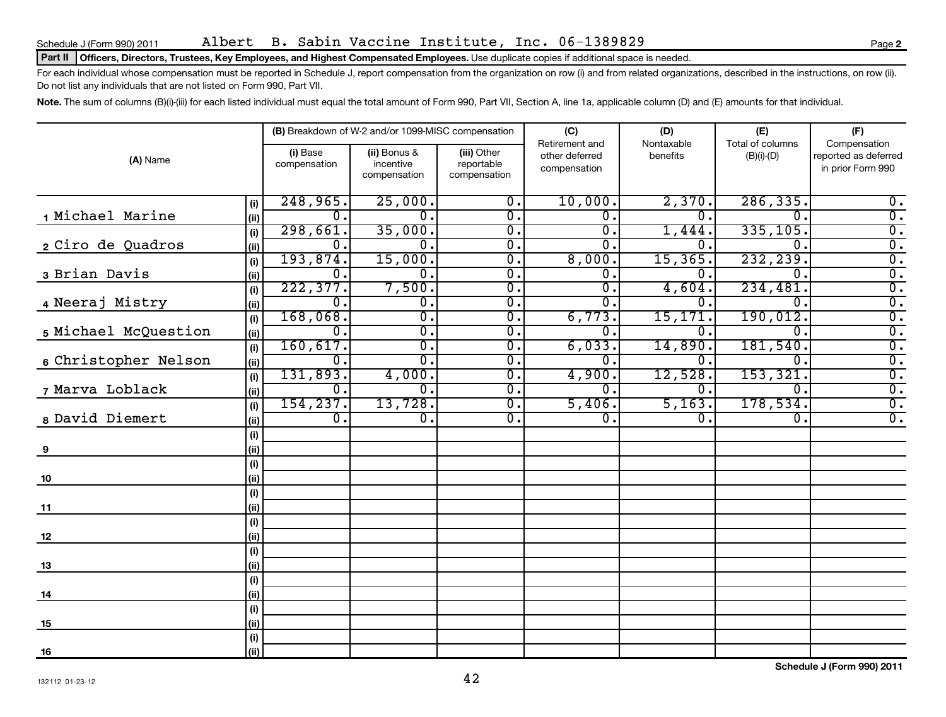### Schedule J (Form 990) 2011 Albert B. Sabin Vaccine Institute, Inc. 06-1389829 Page

### Part II | Officers, Directors, Trustees, Key Employees, and Highest Compensated Employees. Use duplicate copies if additional space is needed.

For each individual whose compensation must be reported in Schedule J, report compensation from the organization on row (i) and from related organizations, described in the instructions, on row (ii). Do not list any individuals that are not listed on Form 990, Part VII.

Note. The sum of columns (B)(i)-(iii) for each listed individual must equal the total amount of Form 990, Part VII, Section A, line 1a, applicable column (D) and (E) amounts for that individual.

| (A) Name             |             |                          | (B) Breakdown of W-2 and/or 1099-MISC compensation |                                                 | (C)                                              | (D)<br>Nontaxable | (E)                              | (F)                                                       |
|----------------------|-------------|--------------------------|----------------------------------------------------|-------------------------------------------------|--------------------------------------------------|-------------------|----------------------------------|-----------------------------------------------------------|
|                      |             | (i) Base<br>compensation | (ii) Bonus &<br>incentive<br>compensation          | (iii) Other<br>reportable<br>compensation       | Retirement and<br>other deferred<br>compensation | benefits          | Total of columns<br>$(B)(i)-(D)$ | Compensation<br>reported as deferred<br>in prior Form 990 |
|                      | (i)         | 248,965.                 | 25,000.                                            | $\overline{0}$ .                                | 10,000.                                          | 2,370.            | 286, 335.                        | 0.                                                        |
| 1 Michael Marine     | (ii)        | 0.                       | $\Omega$ .                                         | $\overline{0}$ .                                | 0.                                               | $\mathbf 0$ .     | $\Omega$ .                       | $\overline{0}$ .                                          |
|                      | (i)         | 298,661.                 | 35,000.                                            | $\overline{0}$ .                                | $\overline{0}$ .                                 | 1,444.            | 335,105.                         | $\overline{0}$ .                                          |
| 2 Ciro de Quadros    | (ii)        | 0.                       | $\overline{0}$ .                                   | $\overline{0}$ .                                | $\overline{0}$ .                                 | 0                 | $\Omega$ .                       | $\overline{0}$ .                                          |
|                      | (i)         | 193,874.                 | 15,000.                                            | $\overline{0}$ .                                | 8,000.                                           | 15, 365.          | 232, 239.                        | $\overline{0}$ .                                          |
| 3 Brian Davis        | (ii)        | $0$ .                    | 0.                                                 | $\overline{\mathfrak{o}}$ .                     | $\overline{0}$ .                                 | $\Omega$ .        | $\Omega$ .                       | $\overline{0}$ .                                          |
|                      | (i)         | 222, 377.<br>$0$ .       | 7,500.                                             | $\overline{\mathfrak{o}}$ .                     | σ.                                               | 4,604.            | 234,481.<br>0.                   | $\overline{\mathfrak{o}}$ .                               |
| 4 Neeraj Mistry      | (ii)        | 168,068.                 | $\overline{0}$ .<br>$\overline{0}$ .               | $\overline{\mathfrak{o}}$ .<br>$\overline{0}$ . | 0.<br>6,773.                                     | 0.<br>15, 171.    | 190,012.                         | $\overline{\mathfrak{o}}$ .<br>$\overline{\mathbf{0}}$ .  |
| 5 Michael McQuestion | (i)         | $0$ .                    | $\overline{\mathfrak{o}}$ .                        | $\overline{0}$ .                                | О.                                               | Ω.                | 0.                               | $\overline{0}$ .                                          |
|                      | (ii)<br>(i) | 160, 617.                | σ.                                                 | $\overline{0}$ .                                | 6,033.                                           | 14,890            | 181,540.                         | $\overline{0}$ .                                          |
| 6 Christopher Nelson | (ii)        | $\mathbf{0}$ .           | σ.                                                 | $\overline{0}$ .                                | О.                                               | 0.                | $\overline{0}$ .                 | $\overline{0}$ .                                          |
|                      | (i)         | 131,893.                 | 4,000.                                             | $\overline{0}$ .                                | 4,900.                                           | 12,528.           | 153, 321.                        | $\overline{\mathfrak{o}}$ .                               |
| 7 Marva Loblack      | (ii)        | 0.                       | $\overline{0}$ .                                   | $\overline{0}$ .                                | О.                                               | о.                | $\overline{0}$ .                 | $\overline{\mathfrak{o}}$ .                               |
|                      | (i)         | 154, 237.                | 13,728.                                            | $\overline{0}$ .                                | 5,406.                                           | 5,163.            | 178,534.                         | $\overline{0}$ .                                          |
| 8 David Diemert      | (ii)        | $\overline{0}$ .         | $\overline{0}$ .                                   | $\overline{0}$ .                                | $\overline{\mathfrak{o}}$ .                      | $\overline{0}$ .  | 0.                               | $\overline{0}$ .                                          |
|                      | (i)         |                          |                                                    |                                                 |                                                  |                   |                                  |                                                           |
| 9                    | (ii)        |                          |                                                    |                                                 |                                                  |                   |                                  |                                                           |
|                      | (i)         |                          |                                                    |                                                 |                                                  |                   |                                  |                                                           |
| 10                   | (ii)        |                          |                                                    |                                                 |                                                  |                   |                                  |                                                           |
|                      | (i)         |                          |                                                    |                                                 |                                                  |                   |                                  |                                                           |
| 11                   | (ii)        |                          |                                                    |                                                 |                                                  |                   |                                  |                                                           |
|                      | (i)<br>(ii) |                          |                                                    |                                                 |                                                  |                   |                                  |                                                           |
| 12                   | (i)         |                          |                                                    |                                                 |                                                  |                   |                                  |                                                           |
| 13                   | (ii)        |                          |                                                    |                                                 |                                                  |                   |                                  |                                                           |
|                      | (i)         |                          |                                                    |                                                 |                                                  |                   |                                  |                                                           |
| 14                   | (ii)        |                          |                                                    |                                                 |                                                  |                   |                                  |                                                           |
|                      | (i)         |                          |                                                    |                                                 |                                                  |                   |                                  |                                                           |
| 15                   | (ii)        |                          |                                                    |                                                 |                                                  |                   |                                  |                                                           |
|                      | (i)         |                          |                                                    |                                                 |                                                  |                   |                                  |                                                           |
| <u>16</u>            | (ii)        |                          |                                                    |                                                 |                                                  |                   |                                  |                                                           |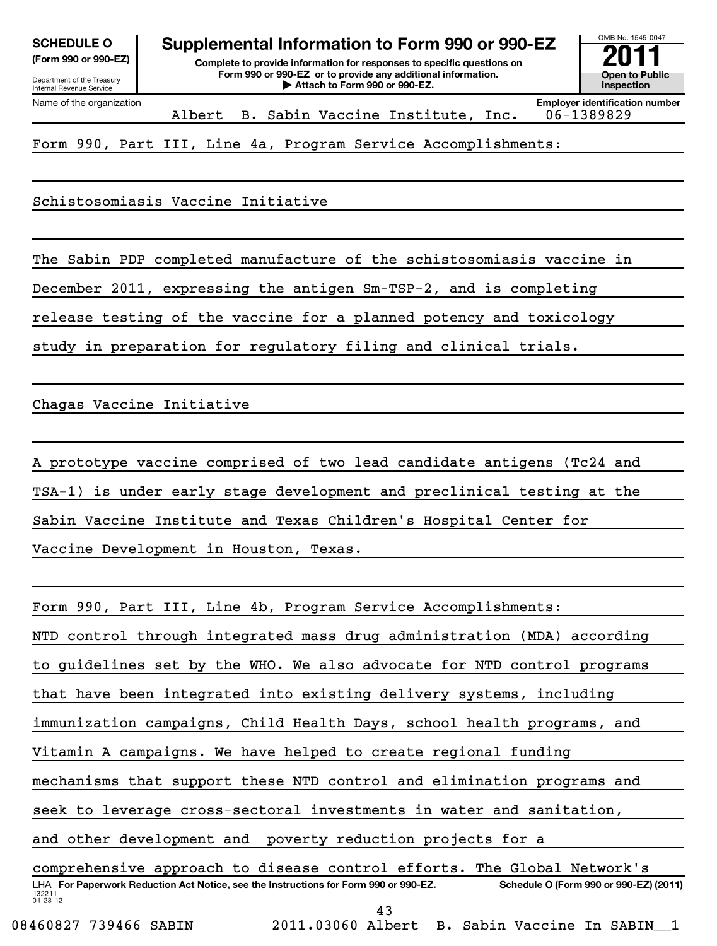| <b>SCHEDULE O</b> |  |
|-------------------|--|
| E 000  000 ETN    |  |

Department of the Treasury Internal Revenue Service

**(Form 990 or 990-EZ) Complete to provide information for responses to specific questions on Form 990 or 990-EZ or to provide any additional information. | Attach to Form 990 or 990-EZ. Open to Public Supplemental Information to Form 990 or 990-EZ**<br> **Complete to provide information for responses to specific questions on**<br> **Exam 990 or 990-EZ** or to provide any additional information.

OMB No. 1545-0047 **Inspection**

Name of the organization

Albert B. Sabin Vaccine Institute, Inc. 06-1389829

**Employer identification number**

Form 990, Part III, Line 4a, Program Service Accomplishments:

Schistosomiasis Vaccine Initiative

The Sabin PDP completed manufacture of the schistosomiasis vaccine in

December 2011, expressing the antigen Sm-TSP-2, and is completing

release testing of the vaccine for a planned potency and toxicology

study in preparation for regulatory filing and clinical trials.

Chagas Vaccine Initiative

A prototype vaccine comprised of two lead candidate antigens (Tc24 and

TSA-1) is under early stage development and preclinical testing at the

Sabin Vaccine Institute and Texas Children's Hospital Center for

Vaccine Development in Houston, Texas.

132211 01-23-12 LHA For Paperwork Reduction Act Notice, see the Instructions for Form 990 or 990-EZ. Schedule O (Form 990 or 990-EZ) (2011) Form 990, Part III, Line 4b, Program Service Accomplishments: NTD control through integrated mass drug administration (MDA) according to guidelines set by the WHO. We also advocate for NTD control programs that have been integrated into existing delivery systems, including immunization campaigns, Child Health Days, school health programs, and Vitamin A campaigns. We have helped to create regional funding mechanisms that support these NTD control and elimination programs and seek to leverage cross-sectoral investments in water and sanitation, and other development and poverty reduction projects for a comprehensive approach to disease control efforts. The Global Network's 43

08460827 739466 SABIN 2011.03060 Albert B. Sabin Vaccine In SABIN 1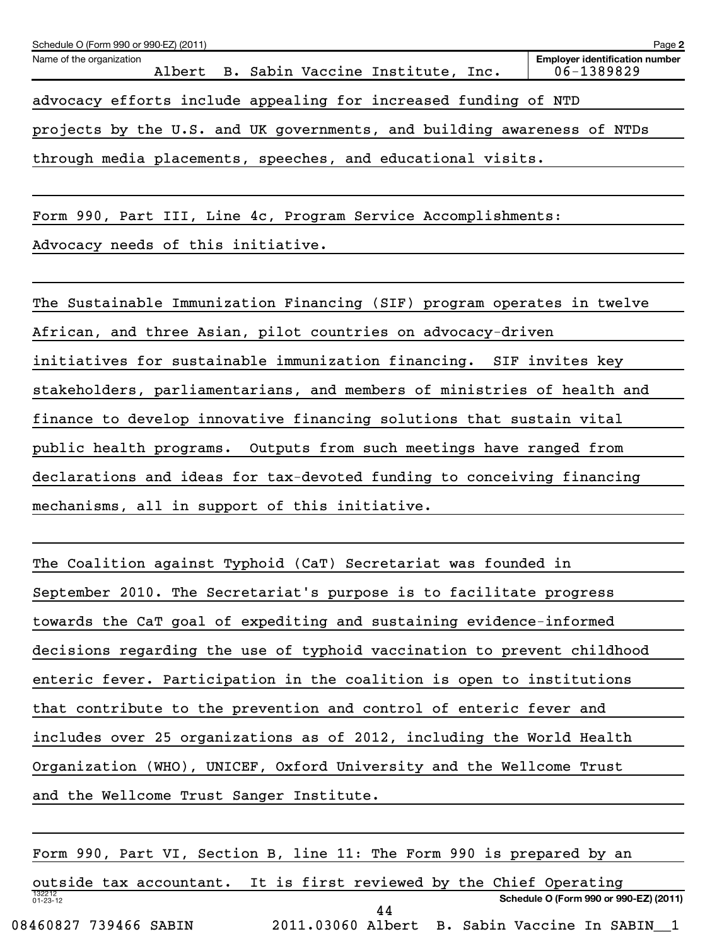| Schedule O (Form 990 or 990-EZ) (2011)                                  | Page 2                                              |
|-------------------------------------------------------------------------|-----------------------------------------------------|
| Name of the organization<br>Albert B. Sabin Vaccine Institute, Inc.     | <b>Employer identification number</b><br>06-1389829 |
| advocacy efforts include appealing for increased funding of NTD         |                                                     |
| projects by the U.S. and UK governments, and building awareness of NTDs |                                                     |
| through media placements, speeches, and educational visits.             |                                                     |
|                                                                         |                                                     |
| Form 990, Part III, Line 4c, Program Service Accomplishments:           |                                                     |
| Advocacy needs of this initiative.                                      |                                                     |
|                                                                         |                                                     |
| The Sustainable Immunization Financing (SIF) program operates in twelve |                                                     |
| African, and three Asian, pilot countries on advocacy-driven            |                                                     |
| initiatives for sustainable immunization financing. SIF invites key     |                                                     |
| stakeholders, parliamentarians, and members of ministries of health and |                                                     |
| finance to develop innovative financing solutions that sustain vital    |                                                     |
| public health programs. Outputs from such meetings have ranged from     |                                                     |
| declarations and ideas for tax-devoted funding to conceiving financing  |                                                     |
| mechanisms, all in support of this initiative.                          |                                                     |
|                                                                         |                                                     |
|                                                                         |                                                     |

| The Coalition against Typhoid (CaT) Secretariat was founded in          |
|-------------------------------------------------------------------------|
| September 2010. The Secretariat's purpose is to facilitate progress     |
| towards the CaT goal of expediting and sustaining evidence-informed     |
| decisions regarding the use of typhoid vaccination to prevent childhood |
| enteric fever. Participation in the coalition is open to institutions   |
| that contribute to the prevention and control of enteric fever and      |
| includes over 25 organizations as of 2012, including the World Health   |
| Organization (WHO), UNICEF, Oxford University and the Wellcome Trust    |
| and the Wellcome Trust Sanger Institute.                                |
|                                                                         |

132212 01-23-12 **Schedule O (Form 990 or 990-EZ) (2011)** Form 990, Part VI, Section B, line 11: The Form 990 is prepared by an outside tax accountant. It is first reviewed by the Chief Operating 08460827 739466 SABIN 2011.03060 Albert B. Sabin Vaccine In SABIN\_\_1 44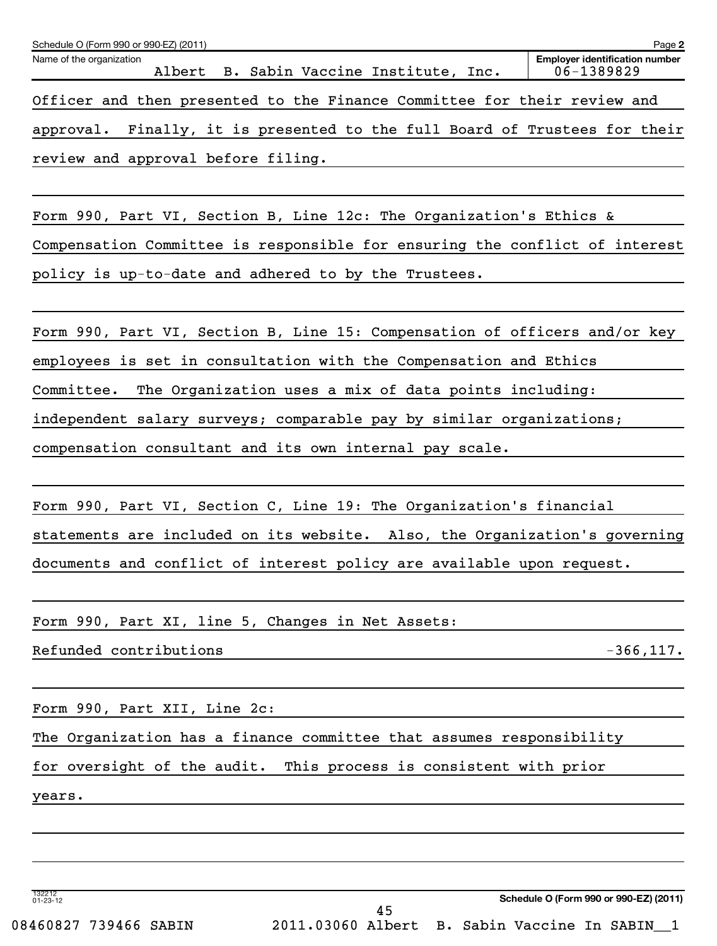| Name of the organization<br>Albert B. Sabin Vaccine Institute, Inc.           | <b>Employer identification number</b><br>06-1389829 |
|-------------------------------------------------------------------------------|-----------------------------------------------------|
| Officer and then presented to the Finance Committee for their review and      |                                                     |
| Finally, it is presented to the full Board of Trustees for their<br>approval. |                                                     |
| review and approval before filing.                                            |                                                     |
|                                                                               |                                                     |
| Form 990, Part VI, Section B, Line 12c: The Organization's Ethics &           |                                                     |
| Compensation Committee is responsible for ensuring the conflict of interest   |                                                     |
| policy is up-to-date and adhered to by the Trustees.                          |                                                     |
|                                                                               |                                                     |
| Form 990, Part VI, Section B, Line 15: Compensation of officers and/or key    |                                                     |
| employees is set in consultation with the Compensation and Ethics             |                                                     |
| Committee.<br>The Organization uses a mix of data points including:           |                                                     |
| independent salary surveys; comparable pay by similar organizations;          |                                                     |
| compensation consultant and its own internal pay scale.                       |                                                     |
|                                                                               |                                                     |
| Form 990, Part VI, Section C, Line 19: The Organization's financial           |                                                     |
| statements are included on its website. Also, the Organization's governing    |                                                     |
| documents and conflict of interest policy are available upon request.         |                                                     |
| Form 990, Part XI, line 5, Changes in Net Assets:                             |                                                     |
| Refunded contributions                                                        | $-366, 117.$                                        |
|                                                                               |                                                     |
| Form 990, Part XII, Line 2c:                                                  |                                                     |
| The Organization has a finance committee that assumes responsibility          |                                                     |
| for oversight of the audit. This process is consistent with prior             |                                                     |
| years.                                                                        |                                                     |
|                                                                               |                                                     |
|                                                                               |                                                     |
|                                                                               |                                                     |

Schedule O (Form 990 or 990-EZ) (2011)

**Schedule O (Form 990 or 990-EZ) (2011)**

**2**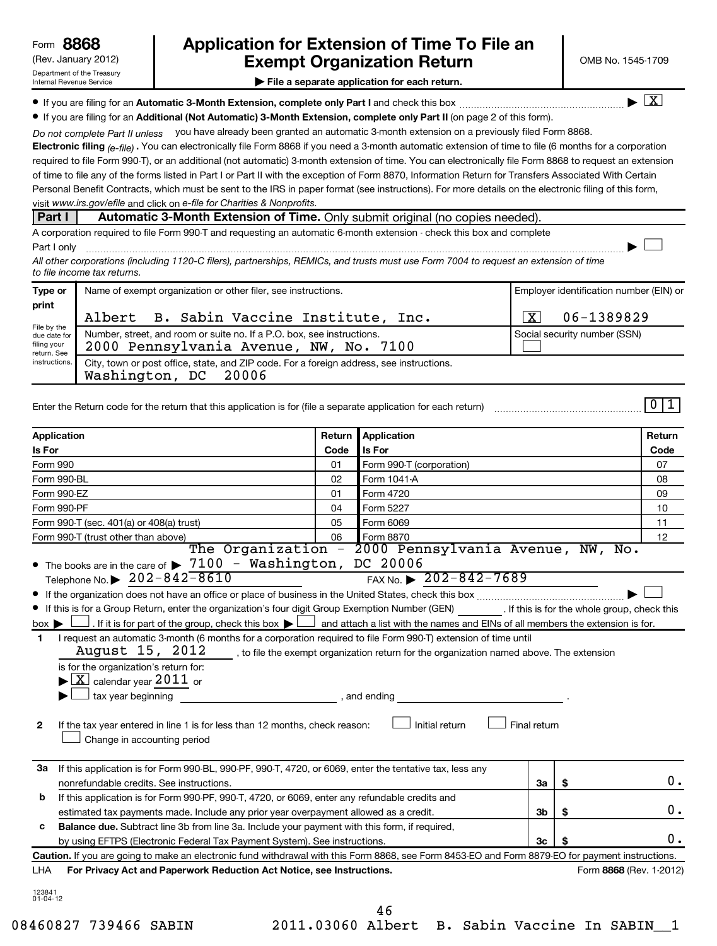# (Rev. January 2012) **Cxempt Organization Return** Manuary 2012) OMB No. 1545-1709 **8868 Application for Extension of Time To File an**

 $\lfloor x \rfloor$ 

 $\left\vert \cdot\right\vert$ 

**| File a separate application for each return.**

**If you are filing for an Automatic 3-Month Extension, complete only Part I** and check this box  $\ldots$  $\ldots$  $\ldots$  $\ldots$  $\ldots$  $\ldots$ 

**• If you are filing for an Additional (Not Automatic) 3-Month Extension, complete only Part II (on page 2 of this form).** 

Do not complete Part II unless you have already been granted an automatic 3-month extension on a previously filed Form 8868.

**Electronic filing .**  You can electronically file Form 8868 if you need a 3-month automatic extension of time to file (6 months for a corporation  *(e-file)* visit www.irs.gov/efile and click on e-file for Charities & Nonprofits. required to file Form 990-T), or an additional (not automatic) 3-month extension of time. You can electronically file Form 8868 to request an extension of time to file any of the forms listed in Part I or Part II with the exception of Form 8870, Information Return for Transfers Associated With Certain Personal Benefit Contracts, which must be sent to the IRS in paper format (see instructions). For more details on the electronic filing of this form,

### **Part I Automatic 3-Month Extension of Time.** Only submit original (no copies needed).

A corporation required to file Form 990-T and requesting an automatic 6-month extension - check this box and complete Part I only ~~~~~~~~~~~~~~~~~~~~~~~~~~~~~~~~~~~~~~~~~~~~~~~~~~~~~~~~~~~~~~ |

*All other corporations (including 1120-C filers), partnerships, REMICs, and trusts must use Form 7004 to request an extension of time to file income tax returns.*

| Type or                                                                             | Name of exempt organization or other filer, see instructions.                                                    | Employer identification number (EIN) or |  |  |
|-------------------------------------------------------------------------------------|------------------------------------------------------------------------------------------------------------------|-----------------------------------------|--|--|
| print<br>File by the<br>due date for<br>filing your<br>return. See<br>instructions. | Albert B. Sabin Vaccine Institute, Inc.                                                                          | 06-1389829                              |  |  |
|                                                                                     | Number, street, and room or suite no. If a P.O. box, see instructions.<br>2000 Pennsylvania Avenue, NW, No. 7100 | Social security number (SSN)            |  |  |
|                                                                                     | City, town or post office, state, and ZIP code. For a foreign address, see instructions.<br>Washington, DC 20006 |                                         |  |  |

Enter the Return code for the return that this application is for (file a separate application for each return)

 $011$ 

| Application<br>Application<br>Return                                                                                                                                                                                                                                                                                                                                                                                                                                                                                                                                                                                                                                                                                                                                                                                                                                                                                                                                                                                                                                                                                   |                                                                                                              | Return                   |    |                         |      |  |
|------------------------------------------------------------------------------------------------------------------------------------------------------------------------------------------------------------------------------------------------------------------------------------------------------------------------------------------------------------------------------------------------------------------------------------------------------------------------------------------------------------------------------------------------------------------------------------------------------------------------------------------------------------------------------------------------------------------------------------------------------------------------------------------------------------------------------------------------------------------------------------------------------------------------------------------------------------------------------------------------------------------------------------------------------------------------------------------------------------------------|--------------------------------------------------------------------------------------------------------------|--------------------------|----|-------------------------|------|--|
| Is For                                                                                                                                                                                                                                                                                                                                                                                                                                                                                                                                                                                                                                                                                                                                                                                                                                                                                                                                                                                                                                                                                                                 | Code                                                                                                         | Is For                   |    |                         | Code |  |
| <b>Form 990</b>                                                                                                                                                                                                                                                                                                                                                                                                                                                                                                                                                                                                                                                                                                                                                                                                                                                                                                                                                                                                                                                                                                        | 01                                                                                                           | Form 990-T (corporation) |    |                         | 07   |  |
| Form 990-BL                                                                                                                                                                                                                                                                                                                                                                                                                                                                                                                                                                                                                                                                                                                                                                                                                                                                                                                                                                                                                                                                                                            | 02                                                                                                           | Form 1041-A              |    |                         | 08   |  |
| Form 990-EZ                                                                                                                                                                                                                                                                                                                                                                                                                                                                                                                                                                                                                                                                                                                                                                                                                                                                                                                                                                                                                                                                                                            | 01                                                                                                           | Form 4720                |    |                         | 09   |  |
| Form 990-PF                                                                                                                                                                                                                                                                                                                                                                                                                                                                                                                                                                                                                                                                                                                                                                                                                                                                                                                                                                                                                                                                                                            | 04                                                                                                           | Form 5227                |    |                         | 10   |  |
| Form 990-T (sec. 401(a) or 408(a) trust)                                                                                                                                                                                                                                                                                                                                                                                                                                                                                                                                                                                                                                                                                                                                                                                                                                                                                                                                                                                                                                                                               | 05                                                                                                           | Form 6069                |    |                         | 11   |  |
| Form 990-T (trust other than above)                                                                                                                                                                                                                                                                                                                                                                                                                                                                                                                                                                                                                                                                                                                                                                                                                                                                                                                                                                                                                                                                                    | 06                                                                                                           | Form 8870                |    |                         | 12   |  |
| The Organization - 2000 Pennsylvania Avenue, NW, No.<br>• The books are in the care of > 7100 - Washington, DC 20006<br>FAX No. $\geq 202 - 842 - 7689$<br>Telephone No. $\triangleright$ 202-842-8610<br>If this is for a Group Return, enter the organization's four digit Group Exemption Number (GEN) [If this is for the whole group, check this<br>. If it is for part of the group, check this box $\blacktriangleright\Box$ and attach a list with the names and EINs of all members the extension is for.<br>$box \blacktriangleright$<br>I request an automatic 3-month (6 months for a corporation required to file Form 990-T) extension of time until<br>1<br>August $15$ , $2012$ , $\ldots$ , to file the exempt organization return for the organization named above. The extension<br>is for the organization's return for:<br>$\blacktriangleright$ $\boxed{\text{X}}$ calendar year $2011$ or<br>tax year beginning<br>, and ending<br>If the tax year entered in line 1 is for less than 12 months, check reason:<br>Initial return<br>$\mathbf{2}$<br>Final return<br>Change in accounting period |                                                                                                              |                          |    |                         |      |  |
| If this application is for Form 990-BL, 990-PF, 990-T, 4720, or 6069, enter the tentative tax, less any<br>За<br>nonrefundable credits. See instructions.                                                                                                                                                                                                                                                                                                                                                                                                                                                                                                                                                                                                                                                                                                                                                                                                                                                                                                                                                              |                                                                                                              |                          | За | \$                      | 0.   |  |
| b                                                                                                                                                                                                                                                                                                                                                                                                                                                                                                                                                                                                                                                                                                                                                                                                                                                                                                                                                                                                                                                                                                                      | If this application is for Form 990-PF, 990-T, 4720, or 6069, enter any refundable credits and               |                          |    |                         |      |  |
|                                                                                                                                                                                                                                                                                                                                                                                                                                                                                                                                                                                                                                                                                                                                                                                                                                                                                                                                                                                                                                                                                                                        | estimated tax payments made. Include any prior year overpayment allowed as a credit.<br>3 <sub>b</sub><br>\$ |                          |    | 0.                      |      |  |
| с                                                                                                                                                                                                                                                                                                                                                                                                                                                                                                                                                                                                                                                                                                                                                                                                                                                                                                                                                                                                                                                                                                                      | Balance due. Subtract line 3b from line 3a. Include your payment with this form, if required,                |                          |    |                         |      |  |
| 3 <sub>c</sub><br>by using EFTPS (Electronic Federal Tax Payment System). See instructions.<br>\$                                                                                                                                                                                                                                                                                                                                                                                                                                                                                                                                                                                                                                                                                                                                                                                                                                                                                                                                                                                                                      |                                                                                                              |                          | Ο. |                         |      |  |
| Caution. If you are going to make an electronic fund withdrawal with this Form 8868, see Form 8453-EO and Form 8879-EO for payment instructions.                                                                                                                                                                                                                                                                                                                                                                                                                                                                                                                                                                                                                                                                                                                                                                                                                                                                                                                                                                       |                                                                                                              |                          |    |                         |      |  |
| For Privacy Act and Paperwork Reduction Act Notice, see Instructions.<br>LHA                                                                                                                                                                                                                                                                                                                                                                                                                                                                                                                                                                                                                                                                                                                                                                                                                                                                                                                                                                                                                                           |                                                                                                              |                          |    | Form 8868 (Rev. 1-2012) |      |  |
| 123841<br>$01 - 04 - 12$                                                                                                                                                                                                                                                                                                                                                                                                                                                                                                                                                                                                                                                                                                                                                                                                                                                                                                                                                                                                                                                                                               |                                                                                                              | 46                       |    |                         |      |  |

08460827 739466 SABIN 2011.03060 Albert B. Sabin Vaccine In SABIN 1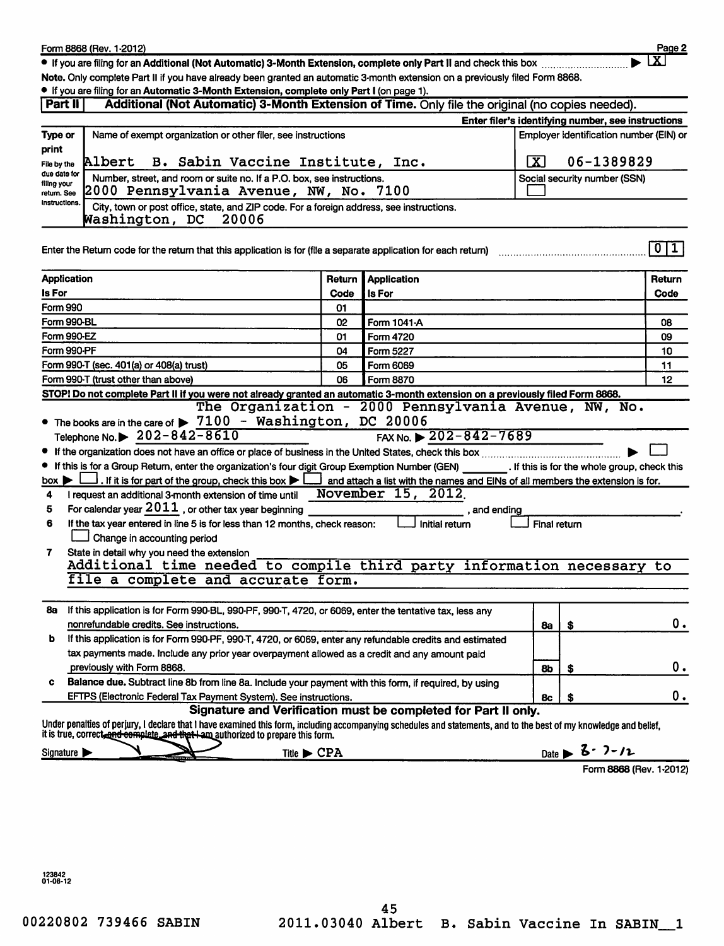|                                                                                                                                                                                                 | Form 8868 (Rev. 1-2012)                                                                                                                                                                                                                                  |                       |                                                                                |              |                                        | Page 2                                             |  |
|-------------------------------------------------------------------------------------------------------------------------------------------------------------------------------------------------|----------------------------------------------------------------------------------------------------------------------------------------------------------------------------------------------------------------------------------------------------------|-----------------------|--------------------------------------------------------------------------------|--------------|----------------------------------------|----------------------------------------------------|--|
|                                                                                                                                                                                                 | • If you are filing for an Additional (Not Automatic) 3-Month Extension, complete only Part II and check this box                                                                                                                                        |                       |                                                                                |              |                                        | $\mathbf{x}$                                       |  |
|                                                                                                                                                                                                 | Note. Only complete Part II if you have already been granted an automatic 3-month extension on a previously filed Form 8868.                                                                                                                             |                       |                                                                                |              |                                        |                                                    |  |
|                                                                                                                                                                                                 | • If you are filing for an Automatic 3-Month Extension, complete only Part I (on page 1).                                                                                                                                                                |                       |                                                                                |              |                                        |                                                    |  |
| Part II                                                                                                                                                                                         | Additional (Not Automatic) 3-Month Extension of Time. Only file the original (no copies needed).                                                                                                                                                         |                       |                                                                                |              |                                        |                                                    |  |
|                                                                                                                                                                                                 |                                                                                                                                                                                                                                                          |                       |                                                                                |              |                                        | Enter filer's identifying number, see instructions |  |
|                                                                                                                                                                                                 |                                                                                                                                                                                                                                                          |                       |                                                                                |              |                                        |                                                    |  |
|                                                                                                                                                                                                 | Employer identification number (EIN) or<br>Type or<br>Name of exempt organization or other filer, see instructions<br>print<br><b>Albert</b><br>B. Sabin Vaccine Institute, Inc.<br>$\overline{\mathbf{x}}$<br>06-1389829<br>File by the<br>due date for |                       |                                                                                |              |                                        |                                                    |  |
|                                                                                                                                                                                                 |                                                                                                                                                                                                                                                          |                       |                                                                                |              |                                        |                                                    |  |
|                                                                                                                                                                                                 |                                                                                                                                                                                                                                                          |                       |                                                                                |              |                                        |                                                    |  |
| Number, street, and room or suite no. If a P.O. box, see instructions.<br>Social security number (SSN)<br>filing your<br>2000 Pennsylvania Avenue, NW, No. 7100<br>return. See<br>instructions. |                                                                                                                                                                                                                                                          |                       |                                                                                |              |                                        |                                                    |  |
|                                                                                                                                                                                                 |                                                                                                                                                                                                                                                          |                       |                                                                                |              |                                        |                                                    |  |
|                                                                                                                                                                                                 | City, town or post office, state, and ZIP code. For a foreign address, see instructions.                                                                                                                                                                 |                       |                                                                                |              |                                        |                                                    |  |
|                                                                                                                                                                                                 | Washington, DC<br>20006                                                                                                                                                                                                                                  |                       |                                                                                |              |                                        |                                                    |  |
|                                                                                                                                                                                                 |                                                                                                                                                                                                                                                          |                       |                                                                                |              |                                        |                                                    |  |
|                                                                                                                                                                                                 | Enter the Return code for the return that this application is for (file a separate application for each return)                                                                                                                                          |                       |                                                                                |              |                                        | 0 1                                                |  |
|                                                                                                                                                                                                 |                                                                                                                                                                                                                                                          |                       |                                                                                |              |                                        |                                                    |  |
| <b>Application</b>                                                                                                                                                                              |                                                                                                                                                                                                                                                          | Return                | <b>Application</b>                                                             |              |                                        | Return                                             |  |
| Is For                                                                                                                                                                                          |                                                                                                                                                                                                                                                          | Code                  | <b>Is For</b>                                                                  |              |                                        | Code                                               |  |
| <b>Form 990</b>                                                                                                                                                                                 |                                                                                                                                                                                                                                                          | 01                    |                                                                                |              |                                        |                                                    |  |
| Form 990-BL                                                                                                                                                                                     |                                                                                                                                                                                                                                                          | 02                    | Form 1041-A                                                                    |              |                                        | 08                                                 |  |
| Form 990-EZ                                                                                                                                                                                     |                                                                                                                                                                                                                                                          | 01                    | Form 4720                                                                      |              |                                        | 09                                                 |  |
| Form 990-PF                                                                                                                                                                                     |                                                                                                                                                                                                                                                          | 04                    | Form 5227                                                                      |              |                                        | 10                                                 |  |
|                                                                                                                                                                                                 | <u>Form 990-T (sec. 401(a)</u> or 408(a) trust)                                                                                                                                                                                                          | 05                    | Form 6069                                                                      |              |                                        | 11                                                 |  |
|                                                                                                                                                                                                 | Form 990-T (trust other than above)                                                                                                                                                                                                                      | 06<br>Form 8870<br>12 |                                                                                |              |                                        |                                                    |  |
|                                                                                                                                                                                                 | STOP! Do not complete Part II if you were not already granted an automatic 3-month extension on a previously filed Form 8868.                                                                                                                            |                       |                                                                                |              |                                        |                                                    |  |
|                                                                                                                                                                                                 |                                                                                                                                                                                                                                                          |                       | The Organization - 2000 Pennsylvania Avenue, NW, No.                           |              |                                        |                                                    |  |
|                                                                                                                                                                                                 | • The books are in the care of $\triangleright$ 7100 - Washington, DC 20006                                                                                                                                                                              |                       |                                                                                |              |                                        |                                                    |  |
|                                                                                                                                                                                                 | Telephone No. $\triangleright$ 202-842-8610                                                                                                                                                                                                              |                       | FAX No. $\geq 202 - 842 - 7689$                                                |              |                                        |                                                    |  |
|                                                                                                                                                                                                 |                                                                                                                                                                                                                                                          |                       |                                                                                |              |                                        |                                                    |  |
|                                                                                                                                                                                                 | • If this is for a Group Return, enter the organization's four digit Group Exemption Number (GEN) [16] If this is for the whole group, check this                                                                                                        |                       |                                                                                |              |                                        |                                                    |  |
| $box \blacktriangleright$                                                                                                                                                                       | $\perp$ . If it is for part of the group, check this box $\blacktriangleright$ $\mid$                                                                                                                                                                    |                       | and attach a list with the names and EINs of all members the extension is for. |              |                                        |                                                    |  |
| 4                                                                                                                                                                                               | I request an additional 3-month extension of time until                                                                                                                                                                                                  |                       | November 15, 2012                                                              |              |                                        |                                                    |  |
| 5                                                                                                                                                                                               | For calendar year $2011$ , or other tax year beginning                                                                                                                                                                                                   |                       | , and ending                                                                   |              |                                        |                                                    |  |
| 6                                                                                                                                                                                               | If the tax year entered in line 5 is for less than 12 months, check reason:                                                                                                                                                                              |                       | Initial return                                                                 | Final return |                                        |                                                    |  |
|                                                                                                                                                                                                 | Change in accounting period                                                                                                                                                                                                                              |                       |                                                                                |              |                                        |                                                    |  |
| 7                                                                                                                                                                                               | State in detail why you need the extension                                                                                                                                                                                                               |                       |                                                                                |              |                                        |                                                    |  |
|                                                                                                                                                                                                 | Additional time needed to compile third party information necessary to                                                                                                                                                                                   |                       |                                                                                |              |                                        |                                                    |  |
|                                                                                                                                                                                                 | file a complete and accurate form.                                                                                                                                                                                                                       |                       |                                                                                |              |                                        |                                                    |  |
|                                                                                                                                                                                                 |                                                                                                                                                                                                                                                          |                       |                                                                                |              |                                        |                                                    |  |
| 8а                                                                                                                                                                                              | If this application is for Form 990-BL, 990-PF, 990-T, 4720, or 6069, enter the tentative tax, less any                                                                                                                                                  |                       |                                                                                |              |                                        |                                                    |  |
|                                                                                                                                                                                                 | nonrefundable credits. See instructions.                                                                                                                                                                                                                 |                       |                                                                                | 8a           | \$                                     | 0.                                                 |  |
| b                                                                                                                                                                                               | If this application is for Form 990-PF, 990-T, 4720, or 6069, enter any refundable credits and estimated                                                                                                                                                 |                       |                                                                                |              |                                        |                                                    |  |
|                                                                                                                                                                                                 | tax payments made. Include any prior year overpayment allowed as a credit and any amount paid                                                                                                                                                            |                       |                                                                                |              |                                        |                                                    |  |
|                                                                                                                                                                                                 | previously with Form 8868.                                                                                                                                                                                                                               |                       |                                                                                | 8b           | \$                                     | 0.                                                 |  |
| Balance due. Subtract line 8b from line 8a. Include your payment with this form, if required, by using<br>c                                                                                     |                                                                                                                                                                                                                                                          |                       |                                                                                |              |                                        |                                                    |  |
|                                                                                                                                                                                                 | EFTPS (Electronic Federal Tax Payment System). See instructions.                                                                                                                                                                                         |                       |                                                                                | 8c           | \$                                     | 0.                                                 |  |
|                                                                                                                                                                                                 |                                                                                                                                                                                                                                                          |                       | Signature and Verification must be completed for Part II only.                 |              |                                        |                                                    |  |
|                                                                                                                                                                                                 | Under penalties of perjury, I declare that I have examined this form, including accompanying schedules and statements, and to the best of my knowledge and belief,<br>it is true, correct, and complete, and that I am authorized to prepare this form.  |                       |                                                                                |              |                                        |                                                    |  |
| Signature >                                                                                                                                                                                     | Title $\blacktriangleright$ CPA                                                                                                                                                                                                                          |                       |                                                                                |              | Date $\triangleright$ 3 $\cdot$ 7 - 12 |                                                    |  |
|                                                                                                                                                                                                 |                                                                                                                                                                                                                                                          |                       |                                                                                |              |                                        |                                                    |  |

123842<br>01-06-12